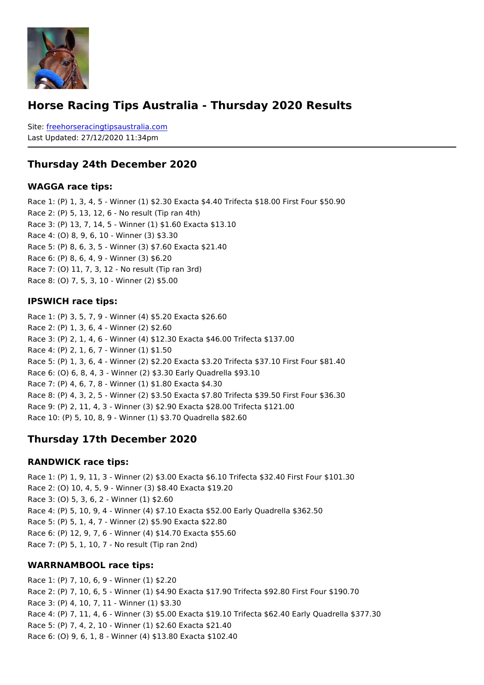## Horse Racing Tips Australia - Thursday 2020 Results

Sitefreehorseracingtipsaustralia.com Last Updated: 27/12/2020 11:34pm

#### Thursday 24th December 2020

WAGGA race tips:

Race 1: (P) 1, 3, 4, 5 - Winner (1) \$2.30 Exacta \$4.40 Trifecta \$18.00 First Four \$50.90 Race 2: (P) 5, 13, 12, 6 - No result (Tip ran 4th) Race 3: (P) 13, 7, 14, 5 - Winner (1) \$1.60 Exacta \$13.10 Race 4: (O) 8, 9, 6, 10 - Winner (3) \$3.30 Race 5: (P) 8, 6, 3, 5 - Winner (3) \$7.60 Exacta \$21.40 Race 6: (P) 8, 6, 4, 9 - Winner (3) \$6.20 Race 7: (O) 11, 7, 3, 12 - No result (Tip ran 3rd) Race 8: (O) 7, 5, 3, 10 - Winner (2) \$5.00

IPSWICH race tips:

```
Race 1: (P) 3, 5, 7, 9 - Winner (4) $5.20 Exacta $26.60
Race 2: (P) 1, 3, 6, 4 - Winner (2) $2.60
Race 3: (P) 2, 1, 4, 6 - Winner (4) $12.30 Exacta $46.00 Trifecta $137.00
Race 4: (P) 2, 1, 6, 7 - Winner (1) $1.50
Race 5: (P) 1, 3, 6, 4 - Winner (2) $2.20 Exacta $3.20 Trifecta $37.10 First Four $81.40
Race 6: (O) 6, 8, 4, 3 - Winner (2) $3.30 Early Quadrella $93.10
Race 7: (P) 4, 6, 7, 8 - Winner (1) $1.80 Exacta $4.30
Race 8: (P) 4, 3, 2, 5 - Winner (2) $3.50 Exacta $7.80 Trifecta $39.50 First Four $36.30
Race 9: (P) 2, 11, 4, 3 - Winner (3) $2.90 Exacta $28.00 Trifecta $121.00
Race 10: (P) 5, 10, 8, 9 - Winner (1) $3.70 Quadrella $82.60
```
Thursday 17th December 2020

#### RANDWICK race tips:

```
Race 1: (P) 1, 9, 11, 3 - Winner (2) $3.00 Exacta $6.10 Trifecta $32.40 First Four $101
Race 2: (O) 10, 4, 5, 9 - Winner (3) $8.40 Exacta $19.20
Race 3: (O) 5, 3, 6, 2 - Winner (1) $2.60
Race 4: (P) 5, 10, 9, 4 - Winner (4) $7.10 Exacta $52.00 Early Quadrella $362.50
Race 5: (P) 5, 1, 4, 7 - Winner (2) $5.90 Exacta $22.80
Race 6: (P) 12, 9, 7, 6 - Winner (4) $14.70 Exacta $55.60
Race 7: (P) 5, 1, 10, 7 - No result (Tip ran 2nd)
```
WARRNAMBOOL race tips:

```
Race 1: (P) 7, 10, 6, 9 - Winner (1) $2.20
Race 2: (P) 7, 10, 6, 5 - Winner (1) $4.90 Exacta $17.90 Trifecta $92.80 First Four $19
Race 3: (P) 4, 10, 7, 11 - Winner (1) $3.30
Race 4: (P) 7, 11, 4, 6 - Winner (3) $5.00 Exacta $19.10 Trifecta $62.40 Early Quadrel
Race 5: (P) 7, 4, 2, 10 - Winner (1) $2.60 Exacta $21.40
Race 6: (O) 9, 6, 1, 8 - Winner (4) $13.80 Exacta $102.40
```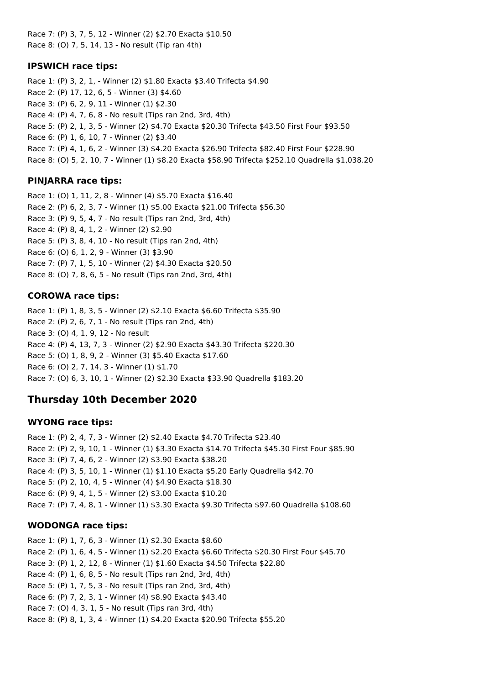Race 7: (P) 3, 7, 5, 12 - Winner (2) \$2.70 Exacta \$10.50 Race 8: (O) 7, 5, 14, 13 - No result (Tip ran 4th)

### **IPSWICH race tips:**

Race 1: (P) 3, 2, 1, - Winner (2) \$1.80 Exacta \$3.40 Trifecta \$4.90 Race 2: (P) 17, 12, 6, 5 - Winner (3) \$4.60 Race 3: (P) 6, 2, 9, 11 - Winner (1) \$2.30 Race 4: (P) 4, 7, 6, 8 - No result (Tips ran 2nd, 3rd, 4th) Race 5: (P) 2, 1, 3, 5 - Winner (2) \$4.70 Exacta \$20.30 Trifecta \$43.50 First Four \$93.50 Race 6: (P) 1, 6, 10, 7 - Winner (2) \$3.40 Race 7: (P) 4, 1, 6, 2 - Winner (3) \$4.20 Exacta \$26.90 Trifecta \$82.40 First Four \$228.90 Race 8: (O) 5, 2, 10, 7 - Winner (1) \$8.20 Exacta \$58.90 Trifecta \$252.10 Quadrella \$1,038.20

## **PINJARRA race tips:**

Race 1: (O) 1, 11, 2, 8 - Winner (4) \$5.70 Exacta \$16.40 Race 2: (P) 6, 2, 3, 7 - Winner (1) \$5.00 Exacta \$21.00 Trifecta \$56.30 Race 3: (P) 9, 5, 4, 7 - No result (Tips ran 2nd, 3rd, 4th) Race 4: (P) 8, 4, 1, 2 - Winner (2) \$2.90 Race 5: (P) 3, 8, 4, 10 - No result (Tips ran 2nd, 4th) Race 6: (O) 6, 1, 2, 9 - Winner (3) \$3.90 Race 7: (P) 7, 1, 5, 10 - Winner (2) \$4.30 Exacta \$20.50 Race 8: (O) 7, 8, 6, 5 - No result (Tips ran 2nd, 3rd, 4th)

## **COROWA race tips:**

Race 1: (P) 1, 8, 3, 5 - Winner (2) \$2.10 Exacta \$6.60 Trifecta \$35.90 Race 2: (P) 2, 6, 7, 1 - No result (Tips ran 2nd, 4th) Race 3: (O) 4, 1, 9, 12 - No result Race 4: (P) 4, 13, 7, 3 - Winner (2) \$2.90 Exacta \$43.30 Trifecta \$220.30 Race 5: (O) 1, 8, 9, 2 - Winner (3) \$5.40 Exacta \$17.60 Race 6: (O) 2, 7, 14, 3 - Winner (1) \$1.70 Race 7: (O) 6, 3, 10, 1 - Winner (2) \$2.30 Exacta \$33.90 Quadrella \$183.20

## **Thursday 10th December 2020**

#### **WYONG race tips:**

Race 1: (P) 2, 4, 7, 3 - Winner (2) \$2.40 Exacta \$4.70 Trifecta \$23.40 Race 2: (P) 2, 9, 10, 1 - Winner (1) \$3.30 Exacta \$14.70 Trifecta \$45.30 First Four \$85.90 Race 3: (P) 7, 4, 6, 2 - Winner (2) \$3.90 Exacta \$38.20 Race 4: (P) 3, 5, 10, 1 - Winner (1) \$1.10 Exacta \$5.20 Early Quadrella \$42.70 Race 5: (P) 2, 10, 4, 5 - Winner (4) \$4.90 Exacta \$18.30 Race 6: (P) 9, 4, 1, 5 - Winner (2) \$3.00 Exacta \$10.20 Race 7: (P) 7, 4, 8, 1 - Winner (1) \$3.30 Exacta \$9.30 Trifecta \$97.60 Quadrella \$108.60

## **WODONGA race tips:**

Race 1: (P) 1, 7, 6, 3 - Winner (1) \$2.30 Exacta \$8.60 Race 2: (P) 1, 6, 4, 5 - Winner (1) \$2.20 Exacta \$6.60 Trifecta \$20.30 First Four \$45.70 Race 3: (P) 1, 2, 12, 8 - Winner (1) \$1.60 Exacta \$4.50 Trifecta \$22.80 Race 4: (P) 1, 6, 8, 5 - No result (Tips ran 2nd, 3rd, 4th) Race 5: (P) 1, 7, 5, 3 - No result (Tips ran 2nd, 3rd, 4th) Race 6: (P) 7, 2, 3, 1 - Winner (4) \$8.90 Exacta \$43.40 Race 7: (O) 4, 3, 1, 5 - No result (Tips ran 3rd, 4th) Race 8: (P) 8, 1, 3, 4 - Winner (1) \$4.20 Exacta \$20.90 Trifecta \$55.20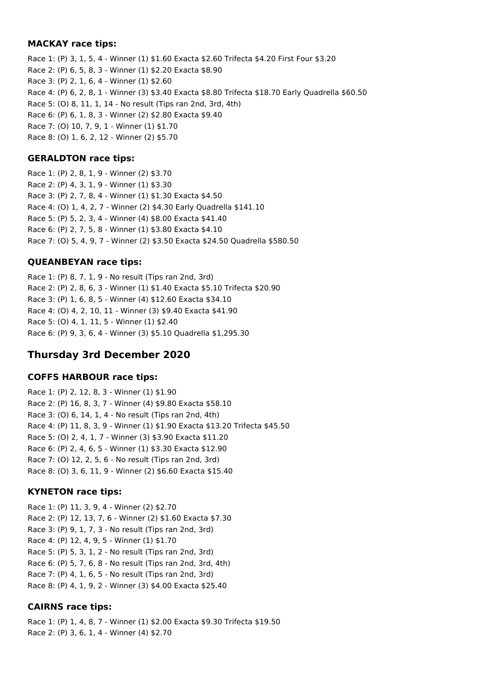#### **MACKAY race tips:**

Race 1: (P) 3, 1, 5, 4 - Winner (1) \$1.60 Exacta \$2.60 Trifecta \$4.20 First Four \$3.20 Race 2: (P) 6, 5, 8, 3 - Winner (1) \$2.20 Exacta \$8.90 Race 3: (P) 2, 1, 6, 4 - Winner (1) \$2.60 Race 4: (P) 6, 2, 8, 1 - Winner (3) \$3.40 Exacta \$8.80 Trifecta \$18.70 Early Quadrella \$60.50 Race 5: (O) 8, 11, 1, 14 - No result (Tips ran 2nd, 3rd, 4th) Race 6: (P) 6, 1, 8, 3 - Winner (2) \$2.80 Exacta \$9.40 Race 7: (O) 10, 7, 9, 1 - Winner (1) \$1.70 Race 8: (O) 1, 6, 2, 12 - Winner (2) \$5.70

#### **GERALDTON race tips:**

Race 1: (P) 2, 8, 1, 9 - Winner (2) \$3.70 Race 2: (P) 4, 3, 1, 9 - Winner (1) \$3.30 Race 3: (P) 2, 7, 8, 4 - Winner (1) \$1.30 Exacta \$4.50 Race 4: (O) 1, 4, 2, 7 - Winner (2) \$4.30 Early Quadrella \$141.10 Race 5: (P) 5, 2, 3, 4 - Winner (4) \$8.00 Exacta \$41.40 Race 6: (P) 2, 7, 5, 8 - Winner (1) \$3.80 Exacta \$4.10 Race 7: (O) 5, 4, 9, 7 - Winner (2) \$3.50 Exacta \$24.50 Quadrella \$580.50

### **QUEANBEYAN race tips:**

Race 1: (P) 8, 7, 1, 9 - No result (Tips ran 2nd, 3rd) Race 2: (P) 2, 8, 6, 3 - Winner (1) \$1.40 Exacta \$5.10 Trifecta \$20.90 Race 3: (P) 1, 6, 8, 5 - Winner (4) \$12.60 Exacta \$34.10 Race 4: (O) 4, 2, 10, 11 - Winner (3) \$9.40 Exacta \$41.90 Race 5: (O) 4, 1, 11, 5 - Winner (1) \$2.40 Race 6: (P) 9, 3, 6, 4 - Winner (3) \$5.10 Quadrella \$1,295.30

## **Thursday 3rd December 2020**

#### **COFFS HARBOUR race tips:**

Race 1: (P) 2, 12, 8, 3 - Winner (1) \$1.90 Race 2: (P) 16, 8, 3, 7 - Winner (4) \$9.80 Exacta \$58.10 Race 3: (O) 6, 14, 1, 4 - No result (Tips ran 2nd, 4th) Race 4: (P) 11, 8, 3, 9 - Winner (1) \$1.90 Exacta \$13.20 Trifecta \$45.50 Race 5: (O) 2, 4, 1, 7 - Winner (3) \$3.90 Exacta \$11.20 Race 6: (P) 2, 4, 6, 5 - Winner (1) \$3.30 Exacta \$12.90 Race 7: (O) 12, 2, 5, 6 - No result (Tips ran 2nd, 3rd) Race 8: (O) 3, 6, 11, 9 - Winner (2) \$6.60 Exacta \$15.40

## **KYNETON race tips:**

Race 1: (P) 11, 3, 9, 4 - Winner (2) \$2.70 Race 2: (P) 12, 13, 7, 6 - Winner (2) \$1.60 Exacta \$7.30 Race 3: (P) 9, 1, 7, 3 - No result (Tips ran 2nd, 3rd) Race 4: (P) 12, 4, 9, 5 - Winner (1) \$1.70 Race 5: (P) 5, 3, 1, 2 - No result (Tips ran 2nd, 3rd) Race 6: (P) 5, 7, 6, 8 - No result (Tips ran 2nd, 3rd, 4th) Race 7: (P) 4, 1, 6, 5 - No result (Tips ran 2nd, 3rd) Race 8: (P) 4, 1, 9, 2 - Winner (3) \$4.00 Exacta \$25.40

## **CAIRNS race tips:**

Race 1: (P) 1, 4, 8, 7 - Winner (1) \$2.00 Exacta \$9.30 Trifecta \$19.50 Race 2: (P) 3, 6, 1, 4 - Winner (4) \$2.70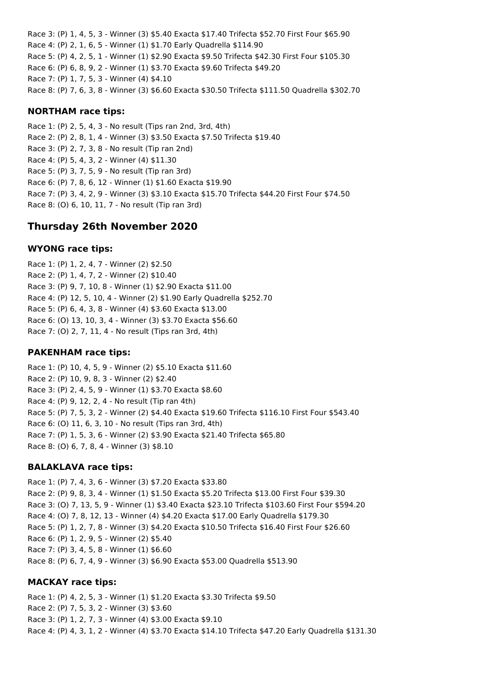Race 3: (P) 1, 4, 5, 3 - Winner (3) \$5.40 Exacta \$17.40 Trifecta \$52.70 First Four \$65.90 Race 4: (P) 2, 1, 6, 5 - Winner (1) \$1.70 Early Quadrella \$114.90 Race 5: (P) 4, 2, 5, 1 - Winner (1) \$2.90 Exacta \$9.50 Trifecta \$42.30 First Four \$105.30 Race 6: (P) 6, 8, 9, 2 - Winner (1) \$3.70 Exacta \$9.60 Trifecta \$49.20 Race 7: (P) 1, 7, 5, 3 - Winner (4) \$4.10 Race 8: (P) 7, 6, 3, 8 - Winner (3) \$6.60 Exacta \$30.50 Trifecta \$111.50 Quadrella \$302.70

#### **NORTHAM race tips:**

Race 1: (P) 2, 5, 4, 3 - No result (Tips ran 2nd, 3rd, 4th) Race 2: (P) 2, 8, 1, 4 - Winner (3) \$3.50 Exacta \$7.50 Trifecta \$19.40 Race 3: (P) 2, 7, 3, 8 - No result (Tip ran 2nd) Race 4: (P) 5, 4, 3, 2 - Winner (4) \$11.30 Race 5: (P) 3, 7, 5, 9 - No result (Tip ran 3rd) Race 6: (P) 7, 8, 6, 12 - Winner (1) \$1.60 Exacta \$19.90 Race 7: (P) 3, 4, 2, 9 - Winner (3) \$3.10 Exacta \$15.70 Trifecta \$44.20 First Four \$74.50 Race 8: (O) 6, 10, 11, 7 - No result (Tip ran 3rd)

## **Thursday 26th November 2020**

#### **WYONG race tips:**

Race 1: (P) 1, 2, 4, 7 - Winner (2) \$2.50 Race 2: (P) 1, 4, 7, 2 - Winner (2) \$10.40 Race 3: (P) 9, 7, 10, 8 - Winner (1) \$2.90 Exacta \$11.00 Race 4: (P) 12, 5, 10, 4 - Winner (2) \$1.90 Early Quadrella \$252.70 Race 5: (P) 6, 4, 3, 8 - Winner (4) \$3.60 Exacta \$13.00 Race 6: (O) 13, 10, 3, 4 - Winner (3) \$3.70 Exacta \$56.60 Race 7: (O) 2, 7, 11, 4 - No result (Tips ran 3rd, 4th)

#### **PAKENHAM race tips:**

Race 1: (P) 10, 4, 5, 9 - Winner (2) \$5.10 Exacta \$11.60 Race 2: (P) 10, 9, 8, 3 - Winner (2) \$2.40 Race 3: (P) 2, 4, 5, 9 - Winner (1) \$3.70 Exacta \$8.60 Race 4: (P) 9, 12, 2, 4 - No result (Tip ran 4th) Race 5: (P) 7, 5, 3, 2 - Winner (2) \$4.40 Exacta \$19.60 Trifecta \$116.10 First Four \$543.40 Race 6: (O) 11, 6, 3, 10 - No result (Tips ran 3rd, 4th) Race 7: (P) 1, 5, 3, 6 - Winner (2) \$3.90 Exacta \$21.40 Trifecta \$65.80 Race 8: (O) 6, 7, 8, 4 - Winner (3) \$8.10

#### **BALAKLAVA race tips:**

Race 1: (P) 7, 4, 3, 6 - Winner (3) \$7.20 Exacta \$33.80 Race 2: (P) 9, 8, 3, 4 - Winner (1) \$1.50 Exacta \$5.20 Trifecta \$13.00 First Four \$39.30 Race 3: (O) 7, 13, 5, 9 - Winner (1) \$3.40 Exacta \$23.10 Trifecta \$103.60 First Four \$594.20 Race 4: (O) 7, 8, 12, 13 - Winner (4) \$4.20 Exacta \$17.00 Early Quadrella \$179.30 Race 5: (P) 1, 2, 7, 8 - Winner (3) \$4.20 Exacta \$10.50 Trifecta \$16.40 First Four \$26.60 Race 6: (P) 1, 2, 9, 5 - Winner (2) \$5.40 Race 7: (P) 3, 4, 5, 8 - Winner (1) \$6.60 Race 8: (P) 6, 7, 4, 9 - Winner (3) \$6.90 Exacta \$53.00 Quadrella \$513.90

#### **MACKAY race tips:**

Race 1: (P) 4, 2, 5, 3 - Winner (1) \$1.20 Exacta \$3.30 Trifecta \$9.50 Race 2: (P) 7, 5, 3, 2 - Winner (3) \$3.60 Race 3: (P) 1, 2, 7, 3 - Winner (4) \$3.00 Exacta \$9.10 Race 4: (P) 4, 3, 1, 2 - Winner (4) \$3.70 Exacta \$14.10 Trifecta \$47.20 Early Quadrella \$131.30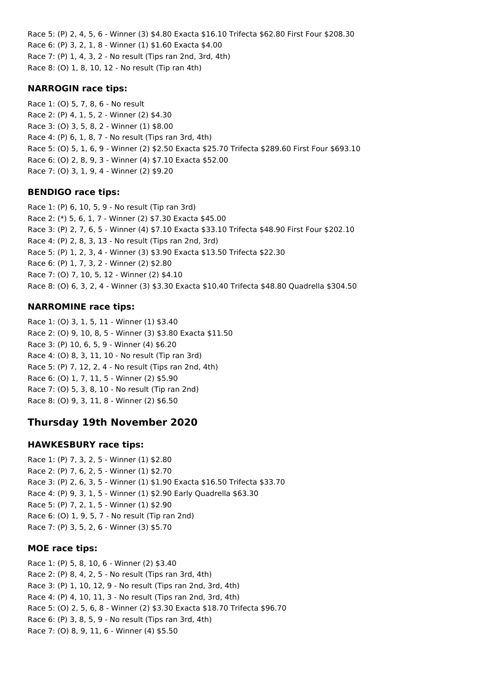Race 5: (P) 2, 4, 5, 6 - Winner (3) \$4.80 Exacta \$16.10 Trifecta \$62.80 First Four \$208.30 Race 6: (P) 3, 2, 1, 8 - Winner (1) \$1.60 Exacta \$4.00 Race 7: (P) 1, 4, 3, 2 - No result (Tips ran 2nd, 3rd, 4th) Race 8: (O) 1, 8, 10, 12 - No result (Tip ran 4th)

#### **NARROGIN race tips:**

Race 1: (O) 5, 7, 8, 6 - No result Race 2: (P) 4, 1, 5, 2 - Winner (2) \$4.30 Race 3: (O) 3, 5, 8, 2 - Winner (1) \$8.00 Race 4: (P) 6, 1, 8, 7 - No result (Tips ran 3rd, 4th) Race 5: (O) 5, 1, 6, 9 - Winner (2) \$2.50 Exacta \$25.70 Trifecta \$289.60 First Four \$693.10 Race 6: (O) 2, 8, 9, 3 - Winner (4) \$7.10 Exacta \$52.00 Race 7: (O) 3, 1, 9, 4 - Winner (2) \$9.20

## **BENDIGO race tips:**

Race 1: (P) 6, 10, 5, 9 - No result (Tip ran 3rd) Race 2: (\*) 5, 6, 1, 7 - Winner (2) \$7.30 Exacta \$45.00 Race 3: (P) 2, 7, 6, 5 - Winner (4) \$7.10 Exacta \$33.10 Trifecta \$48.90 First Four \$202.10 Race 4: (P) 2, 8, 3, 13 - No result (Tips ran 2nd, 3rd) Race 5: (P) 1, 2, 3, 4 - Winner (3) \$3.90 Exacta \$13.50 Trifecta \$22.30 Race 6: (P) 1, 7, 3, 2 - Winner (2) \$2.80 Race 7: (O) 7, 10, 5, 12 - Winner (2) \$4.10 Race 8: (O) 6, 3, 2, 4 - Winner (3) \$3.30 Exacta \$10.40 Trifecta \$48.80 Quadrella \$304.50

## **NARROMINE race tips:**

Race 1: (O) 3, 1, 5, 11 - Winner (1) \$3.40 Race 2: (O) 9, 10, 8, 5 - Winner (3) \$3.80 Exacta \$11.50 Race 3: (P) 10, 6, 5, 9 - Winner (4) \$6.20 Race 4: (O) 8, 3, 11, 10 - No result (Tip ran 3rd) Race 5: (P) 7, 12, 2, 4 - No result (Tips ran 2nd, 4th) Race 6: (O) 1, 7, 11, 5 - Winner (2) \$5.90 Race 7: (O) 5, 3, 8, 10 - No result (Tip ran 2nd) Race 8: (O) 9, 3, 11, 8 - Winner (2) \$6.50

## **Thursday 19th November 2020**

## **HAWKESBURY race tips:**

Race 1: (P) 7, 3, 2, 5 - Winner (1) \$2.80 Race 2: (P) 7, 6, 2, 5 - Winner (1) \$2.70 Race 3: (P) 2, 6, 3, 5 - Winner (1) \$1.90 Exacta \$16.50 Trifecta \$33.70 Race 4: (P) 9, 3, 1, 5 - Winner (1) \$2.90 Early Quadrella \$63.30 Race 5: (P) 7, 2, 1, 5 - Winner (1) \$2.90 Race 6: (O) 1, 9, 5, 7 - No result (Tip ran 2nd) Race 7: (P) 3, 5, 2, 6 - Winner (3) \$5.70

#### **MOE race tips:**

Race 1: (P) 5, 8, 10, 6 - Winner (2) \$3.40 Race 2: (P) 8, 4, 2, 5 - No result (Tips ran 3rd, 4th) Race 3: (P) 1, 10, 12, 9 - No result (Tips ran 2nd, 3rd, 4th) Race 4: (P) 4, 10, 11, 3 - No result (Tips ran 2nd, 3rd, 4th) Race 5: (O) 2, 5, 6, 8 - Winner (2) \$3.30 Exacta \$18.70 Trifecta \$96.70 Race 6: (P) 3, 8, 5, 9 - No result (Tips ran 3rd, 4th) Race 7: (O) 8, 9, 11, 6 - Winner (4) \$5.50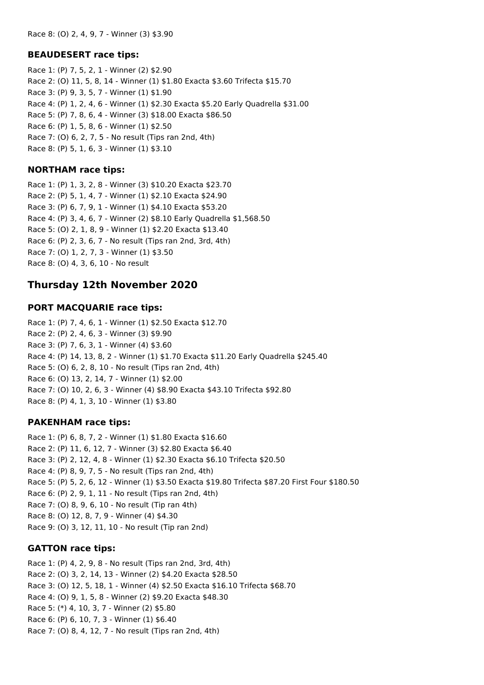#### **BEAUDESERT race tips:**

Race 1: (P) 7, 5, 2, 1 - Winner (2) \$2.90 Race 2: (O) 11, 5, 8, 14 - Winner (1) \$1.80 Exacta \$3.60 Trifecta \$15.70 Race 3: (P) 9, 3, 5, 7 - Winner (1) \$1.90 Race 4: (P) 1, 2, 4, 6 - Winner (1) \$2.30 Exacta \$5.20 Early Quadrella \$31.00 Race 5: (P) 7, 8, 6, 4 - Winner (3) \$18.00 Exacta \$86.50 Race 6: (P) 1, 5, 8, 6 - Winner (1) \$2.50 Race 7: (O) 6, 2, 7, 5 - No result (Tips ran 2nd, 4th) Race 8: (P) 5, 1, 6, 3 - Winner (1) \$3.10

#### **NORTHAM race tips:**

Race 1: (P) 1, 3, 2, 8 - Winner (3) \$10.20 Exacta \$23.70 Race 2: (P) 5, 1, 4, 7 - Winner (1) \$2.10 Exacta \$24.90 Race 3: (P) 6, 7, 9, 1 - Winner (1) \$4.10 Exacta \$53.20 Race 4: (P) 3, 4, 6, 7 - Winner (2) \$8.10 Early Quadrella \$1,568.50 Race 5: (O) 2, 1, 8, 9 - Winner (1) \$2.20 Exacta \$13.40 Race 6: (P) 2, 3, 6, 7 - No result (Tips ran 2nd, 3rd, 4th) Race 7: (O) 1, 2, 7, 3 - Winner (1) \$3.50 Race 8: (O) 4, 3, 6, 10 - No result

## **Thursday 12th November 2020**

#### **PORT MACQUARIE race tips:**

Race 1: (P) 7, 4, 6, 1 - Winner (1) \$2.50 Exacta \$12.70 Race 2: (P) 2, 4, 6, 3 - Winner (3) \$9.90 Race 3: (P) 7, 6, 3, 1 - Winner (4) \$3.60 Race 4: (P) 14, 13, 8, 2 - Winner (1) \$1.70 Exacta \$11.20 Early Quadrella \$245.40 Race 5: (O) 6, 2, 8, 10 - No result (Tips ran 2nd, 4th) Race 6: (O) 13, 2, 14, 7 - Winner (1) \$2.00 Race 7: (O) 10, 2, 6, 3 - Winner (4) \$8.90 Exacta \$43.10 Trifecta \$92.80 Race 8: (P) 4, 1, 3, 10 - Winner (1) \$3.80

#### **PAKENHAM race tips:**

Race 1: (P) 6, 8, 7, 2 - Winner (1) \$1.80 Exacta \$16.60 Race 2: (P) 11, 6, 12, 7 - Winner (3) \$2.80 Exacta \$6.40 Race 3: (P) 2, 12, 4, 8 - Winner (1) \$2.30 Exacta \$6.10 Trifecta \$20.50 Race 4: (P) 8, 9, 7, 5 - No result (Tips ran 2nd, 4th) Race 5: (P) 5, 2, 6, 12 - Winner (1) \$3.50 Exacta \$19.80 Trifecta \$87.20 First Four \$180.50 Race 6: (P) 2, 9, 1, 11 - No result (Tips ran 2nd, 4th) Race 7: (O) 8, 9, 6, 10 - No result (Tip ran 4th) Race 8: (O) 12, 8, 7, 9 - Winner (4) \$4.30 Race 9: (O) 3, 12, 11, 10 - No result (Tip ran 2nd)

#### **GATTON race tips:**

Race 1: (P) 4, 2, 9, 8 - No result (Tips ran 2nd, 3rd, 4th) Race 2: (O) 3, 2, 14, 13 - Winner (2) \$4.20 Exacta \$28.50 Race 3: (O) 12, 5, 18, 1 - Winner (4) \$2.50 Exacta \$16.10 Trifecta \$68.70 Race 4: (O) 9, 1, 5, 8 - Winner (2) \$9.20 Exacta \$48.30 Race 5: (\*) 4, 10, 3, 7 - Winner (2) \$5.80 Race 6: (P) 6, 10, 7, 3 - Winner (1) \$6.40 Race 7: (O) 8, 4, 12, 7 - No result (Tips ran 2nd, 4th)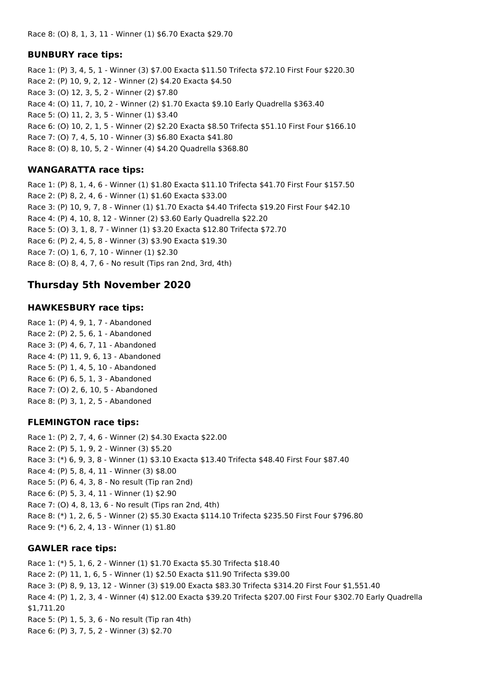#### **BUNBURY race tips:**

Race 1: (P) 3, 4, 5, 1 - Winner (3) \$7.00 Exacta \$11.50 Trifecta \$72.10 First Four \$220.30 Race 2: (P) 10, 9, 2, 12 - Winner (2) \$4.20 Exacta \$4.50 Race 3: (O) 12, 3, 5, 2 - Winner (2) \$7.80 Race 4: (O) 11, 7, 10, 2 - Winner (2) \$1.70 Exacta \$9.10 Early Quadrella \$363.40 Race 5: (O) 11, 2, 3, 5 - Winner (1) \$3.40 Race 6: (O) 10, 2, 1, 5 - Winner (2) \$2.20 Exacta \$8.50 Trifecta \$51.10 First Four \$166.10 Race 7: (O) 7, 4, 5, 10 - Winner (3) \$6.80 Exacta \$41.80 Race 8: (O) 8, 10, 5, 2 - Winner (4) \$4.20 Quadrella \$368.80

### **WANGARATTA race tips:**

Race 1: (P) 8, 1, 4, 6 - Winner (1) \$1.80 Exacta \$11.10 Trifecta \$41.70 First Four \$157.50 Race 2: (P) 8, 2, 4, 6 - Winner (1) \$1.60 Exacta \$33.00 Race 3: (P) 10, 9, 7, 8 - Winner (1) \$1.70 Exacta \$4.40 Trifecta \$19.20 First Four \$42.10 Race 4: (P) 4, 10, 8, 12 - Winner (2) \$3.60 Early Quadrella \$22.20 Race 5: (O) 3, 1, 8, 7 - Winner (1) \$3.20 Exacta \$12.80 Trifecta \$72.70 Race 6: (P) 2, 4, 5, 8 - Winner (3) \$3.90 Exacta \$19.30 Race 7: (O) 1, 6, 7, 10 - Winner (1) \$2.30 Race 8: (O) 8, 4, 7, 6 - No result (Tips ran 2nd, 3rd, 4th)

## **Thursday 5th November 2020**

### **HAWKESBURY race tips:**

Race 1: (P) 4, 9, 1, 7 - Abandoned Race 2: (P) 2, 5, 6, 1 - Abandoned Race 3: (P) 4, 6, 7, 11 - Abandoned Race 4: (P) 11, 9, 6, 13 - Abandoned Race 5: (P) 1, 4, 5, 10 - Abandoned Race 6: (P) 6, 5, 1, 3 - Abandoned Race 7: (O) 2, 6, 10, 5 - Abandoned Race 8: (P) 3, 1, 2, 5 - Abandoned

#### **FLEMINGTON race tips:**

Race 1: (P) 2, 7, 4, 6 - Winner (2) \$4.30 Exacta \$22.00 Race 2: (P) 5, 1, 9, 2 - Winner (3) \$5.20 Race 3: (\*) 6, 9, 3, 8 - Winner (1) \$3.10 Exacta \$13.40 Trifecta \$48.40 First Four \$87.40 Race 4: (P) 5, 8, 4, 11 - Winner (3) \$8.00 Race 5: (P) 6, 4, 3, 8 - No result (Tip ran 2nd) Race 6: (P) 5, 3, 4, 11 - Winner (1) \$2.90 Race 7: (O) 4, 8, 13, 6 - No result (Tips ran 2nd, 4th) Race 8: (\*) 1, 2, 6, 5 - Winner (2) \$5.30 Exacta \$114.10 Trifecta \$235.50 First Four \$796.80 Race 9: (\*) 6, 2, 4, 13 - Winner (1) \$1.80

## **GAWLER race tips:**

Race 1: (\*) 5, 1, 6, 2 - Winner (1) \$1.70 Exacta \$5.30 Trifecta \$18.40 Race 2: (P) 11, 1, 6, 5 - Winner (1) \$2.50 Exacta \$11.90 Trifecta \$39.00 Race 3: (P) 8, 9, 13, 12 - Winner (3) \$19.00 Exacta \$83.30 Trifecta \$314.20 First Four \$1,551.40 Race 4: (P) 1, 2, 3, 4 - Winner (4) \$12.00 Exacta \$39.20 Trifecta \$207.00 First Four \$302.70 Early Quadrella \$1,711.20 Race 5: (P) 1, 5, 3, 6 - No result (Tip ran 4th) Race 6: (P) 3, 7, 5, 2 - Winner (3) \$2.70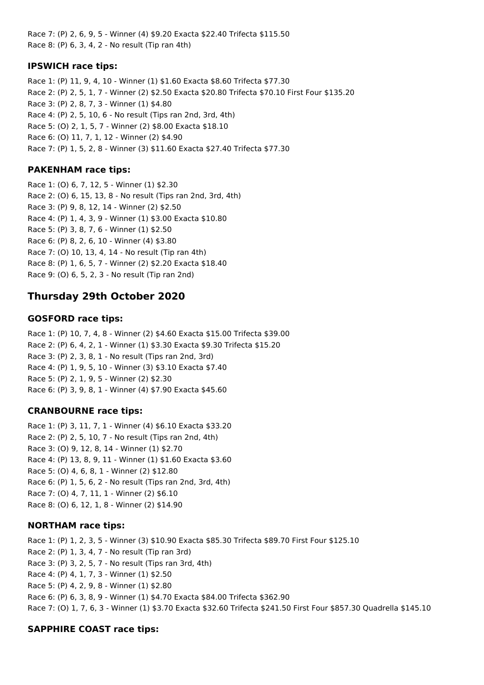Race 7: (P) 2, 6, 9, 5 - Winner (4) \$9.20 Exacta \$22.40 Trifecta \$115.50 Race 8: (P) 6, 3, 4, 2 - No result (Tip ran 4th)

### **IPSWICH race tips:**

Race 1: (P) 11, 9, 4, 10 - Winner (1) \$1.60 Exacta \$8.60 Trifecta \$77.30 Race 2: (P) 2, 5, 1, 7 - Winner (2) \$2.50 Exacta \$20.80 Trifecta \$70.10 First Four \$135.20 Race 3: (P) 2, 8, 7, 3 - Winner (1) \$4.80 Race 4: (P) 2, 5, 10, 6 - No result (Tips ran 2nd, 3rd, 4th) Race 5: (O) 2, 1, 5, 7 - Winner (2) \$8.00 Exacta \$18.10 Race 6: (O) 11, 7, 1, 12 - Winner (2) \$4.90 Race 7: (P) 1, 5, 2, 8 - Winner (3) \$11.60 Exacta \$27.40 Trifecta \$77.30

### **PAKENHAM race tips:**

Race 1: (O) 6, 7, 12, 5 - Winner (1) \$2.30 Race 2: (O) 6, 15, 13, 8 - No result (Tips ran 2nd, 3rd, 4th) Race 3: (P) 9, 8, 12, 14 - Winner (2) \$2.50 Race 4: (P) 1, 4, 3, 9 - Winner (1) \$3.00 Exacta \$10.80 Race 5: (P) 3, 8, 7, 6 - Winner (1) \$2.50 Race 6: (P) 8, 2, 6, 10 - Winner (4) \$3.80 Race 7: (O) 10, 13, 4, 14 - No result (Tip ran 4th) Race 8: (P) 1, 6, 5, 7 - Winner (2) \$2.20 Exacta \$18.40 Race 9: (O) 6, 5, 2, 3 - No result (Tip ran 2nd)

## **Thursday 29th October 2020**

## **GOSFORD race tips:**

Race 1: (P) 10, 7, 4, 8 - Winner (2) \$4.60 Exacta \$15.00 Trifecta \$39.00 Race 2: (P) 6, 4, 2, 1 - Winner (1) \$3.30 Exacta \$9.30 Trifecta \$15.20 Race 3: (P) 2, 3, 8, 1 - No result (Tips ran 2nd, 3rd) Race 4: (P) 1, 9, 5, 10 - Winner (3) \$3.10 Exacta \$7.40 Race 5: (P) 2, 1, 9, 5 - Winner (2) \$2.30 Race 6: (P) 3, 9, 8, 1 - Winner (4) \$7.90 Exacta \$45.60

#### **CRANBOURNE race tips:**

Race 1: (P) 3, 11, 7, 1 - Winner (4) \$6.10 Exacta \$33.20 Race 2: (P) 2, 5, 10, 7 - No result (Tips ran 2nd, 4th) Race 3: (O) 9, 12, 8, 14 - Winner (1) \$2.70 Race 4: (P) 13, 8, 9, 11 - Winner (1) \$1.60 Exacta \$3.60 Race 5: (O) 4, 6, 8, 1 - Winner (2) \$12.80 Race 6: (P) 1, 5, 6, 2 - No result (Tips ran 2nd, 3rd, 4th) Race 7: (O) 4, 7, 11, 1 - Winner (2) \$6.10 Race 8: (O) 6, 12, 1, 8 - Winner (2) \$14.90

#### **NORTHAM race tips:**

Race 1: (P) 1, 2, 3, 5 - Winner (3) \$10.90 Exacta \$85.30 Trifecta \$89.70 First Four \$125.10 Race 2: (P) 1, 3, 4, 7 - No result (Tip ran 3rd) Race 3: (P) 3, 2, 5, 7 - No result (Tips ran 3rd, 4th) Race 4: (P) 4, 1, 7, 3 - Winner (1) \$2.50 Race 5: (P) 4, 2, 9, 8 - Winner (1) \$2.80 Race 6: (P) 6, 3, 8, 9 - Winner (1) \$4.70 Exacta \$84.00 Trifecta \$362.90 Race 7: (O) 1, 7, 6, 3 - Winner (1) \$3.70 Exacta \$32.60 Trifecta \$241.50 First Four \$857.30 Quadrella \$145.10

## **SAPPHIRE COAST race tips:**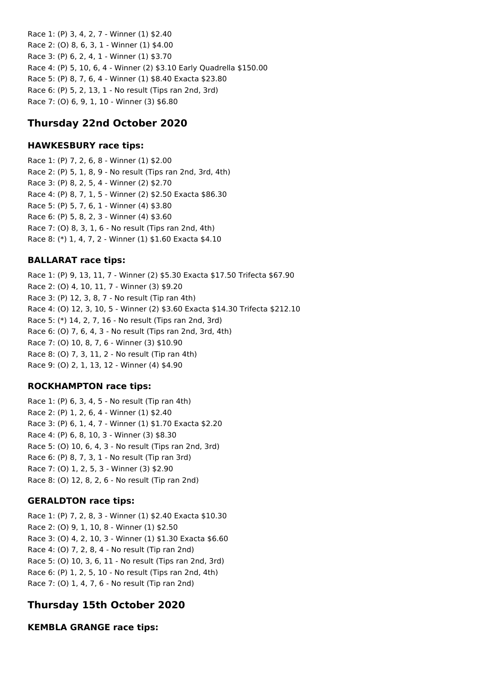Race 1: (P) 3, 4, 2, 7 - Winner (1) \$2.40 Race 2: (O) 8, 6, 3, 1 - Winner (1) \$4.00 Race 3: (P) 6, 2, 4, 1 - Winner (1) \$3.70 Race 4: (P) 5, 10, 6, 4 - Winner (2) \$3.10 Early Quadrella \$150.00 Race 5: (P) 8, 7, 6, 4 - Winner (1) \$8.40 Exacta \$23.80 Race 6: (P) 5, 2, 13, 1 - No result (Tips ran 2nd, 3rd) Race 7: (O) 6, 9, 1, 10 - Winner (3) \$6.80

# **Thursday 22nd October 2020**

## **HAWKESBURY race tips:**

Race 1: (P) 7, 2, 6, 8 - Winner (1) \$2.00 Race 2: (P) 5, 1, 8, 9 - No result (Tips ran 2nd, 3rd, 4th) Race 3: (P) 8, 2, 5, 4 - Winner (2) \$2.70 Race 4: (P) 8, 7, 1, 5 - Winner (2) \$2.50 Exacta \$86.30 Race 5: (P) 5, 7, 6, 1 - Winner (4) \$3.80 Race 6: (P) 5, 8, 2, 3 - Winner (4) \$3.60 Race 7: (O) 8, 3, 1, 6 - No result (Tips ran 2nd, 4th) Race 8: (\*) 1, 4, 7, 2 - Winner (1) \$1.60 Exacta \$4.10

## **BALLARAT race tips:**

Race 1: (P) 9, 13, 11, 7 - Winner (2) \$5.30 Exacta \$17.50 Trifecta \$67.90 Race 2: (O) 4, 10, 11, 7 - Winner (3) \$9.20 Race 3: (P) 12, 3, 8, 7 - No result (Tip ran 4th) Race 4: (O) 12, 3, 10, 5 - Winner (2) \$3.60 Exacta \$14.30 Trifecta \$212.10 Race 5: (\*) 14, 2, 7, 16 - No result (Tips ran 2nd, 3rd) Race 6: (O) 7, 6, 4, 3 - No result (Tips ran 2nd, 3rd, 4th) Race 7: (O) 10, 8, 7, 6 - Winner (3) \$10.90 Race 8: (O) 7, 3, 11, 2 - No result (Tip ran 4th) Race 9: (O) 2, 1, 13, 12 - Winner (4) \$4.90

## **ROCKHAMPTON race tips:**

Race 1: (P) 6, 3, 4, 5 - No result (Tip ran 4th) Race 2: (P) 1, 2, 6, 4 - Winner (1) \$2.40 Race 3: (P) 6, 1, 4, 7 - Winner (1) \$1.70 Exacta \$2.20 Race 4: (P) 6, 8, 10, 3 - Winner (3) \$8.30 Race 5: (O) 10, 6, 4, 3 - No result (Tips ran 2nd, 3rd) Race 6: (P) 8, 7, 3, 1 - No result (Tip ran 3rd) Race 7: (O) 1, 2, 5, 3 - Winner (3) \$2.90 Race 8: (O) 12, 8, 2, 6 - No result (Tip ran 2nd)

## **GERALDTON race tips:**

Race 1: (P) 7, 2, 8, 3 - Winner (1) \$2.40 Exacta \$10.30 Race 2: (O) 9, 1, 10, 8 - Winner (1) \$2.50 Race 3: (O) 4, 2, 10, 3 - Winner (1) \$1.30 Exacta \$6.60 Race 4: (O) 7, 2, 8, 4 - No result (Tip ran 2nd) Race 5: (O) 10, 3, 6, 11 - No result (Tips ran 2nd, 3rd) Race 6: (P) 1, 2, 5, 10 - No result (Tips ran 2nd, 4th) Race 7: (O) 1, 4, 7, 6 - No result (Tip ran 2nd)

# **Thursday 15th October 2020**

**KEMBLA GRANGE race tips:**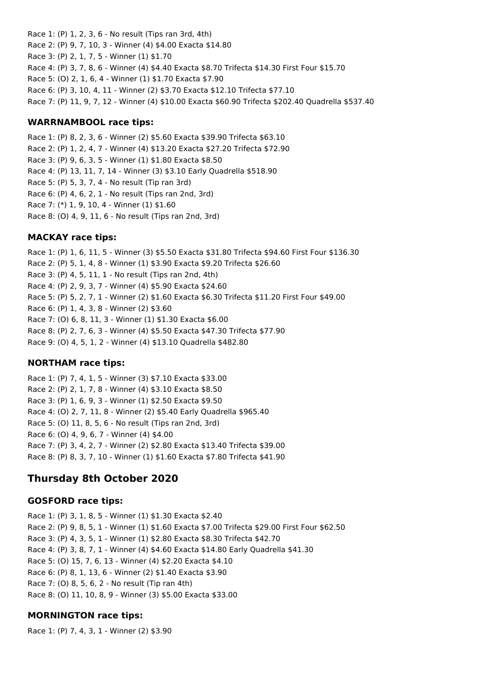Race 1: (P) 1, 2, 3, 6 - No result (Tips ran 3rd, 4th) Race 2: (P) 9, 7, 10, 3 - Winner (4) \$4.00 Exacta \$14.80 Race 3: (P) 2, 1, 7, 5 - Winner (1) \$1.70 Race 4: (P) 3, 7, 8, 6 - Winner (4) \$4.40 Exacta \$8.70 Trifecta \$14.30 First Four \$15.70 Race 5: (O) 2, 1, 6, 4 - Winner (1) \$1.70 Exacta \$7.90 Race 6: (P) 3, 10, 4, 11 - Winner (2) \$3.70 Exacta \$12.10 Trifecta \$77.10 Race 7: (P) 11, 9, 7, 12 - Winner (4) \$10.00 Exacta \$60.90 Trifecta \$202.40 Quadrella \$537.40

### **WARRNAMBOOL race tips:**

Race 1: (P) 8, 2, 3, 6 - Winner (2) \$5.60 Exacta \$39.90 Trifecta \$63.10 Race 2: (P) 1, 2, 4, 7 - Winner (4) \$13.20 Exacta \$27.20 Trifecta \$72.90 Race 3: (P) 9, 6, 3, 5 - Winner (1) \$1.80 Exacta \$8.50 Race 4: (P) 13, 11, 7, 14 - Winner (3) \$3.10 Early Quadrella \$518.90 Race 5: (P) 5, 3, 7, 4 - No result (Tip ran 3rd) Race 6: (P) 4, 6, 2, 1 - No result (Tips ran 2nd, 3rd) Race 7: (\*) 1, 9, 10, 4 - Winner (1) \$1.60 Race 8: (O) 4, 9, 11, 6 - No result (Tips ran 2nd, 3rd)

## **MACKAY race tips:**

Race 1: (P) 1, 6, 11, 5 - Winner (3) \$5.50 Exacta \$31.80 Trifecta \$94.60 First Four \$136.30 Race 2: (P) 5, 1, 4, 8 - Winner (1) \$3.90 Exacta \$9.20 Trifecta \$26.60 Race 3: (P) 4, 5, 11, 1 - No result (Tips ran 2nd, 4th) Race 4: (P) 2, 9, 3, 7 - Winner (4) \$5.90 Exacta \$24.60 Race 5: (P) 5, 2, 7, 1 - Winner (2) \$1.60 Exacta \$6.30 Trifecta \$11.20 First Four \$49.00 Race 6: (P) 1, 4, 3, 8 - Winner (2) \$3.60 Race 7: (O) 6, 8, 11, 3 - Winner (1) \$1.30 Exacta \$6.00 Race 8: (P) 2, 7, 6, 3 - Winner (4) \$5.50 Exacta \$47.30 Trifecta \$77.90 Race 9: (O) 4, 5, 1, 2 - Winner (4) \$13.10 Quadrella \$482.80

## **NORTHAM race tips:**

Race 1: (P) 7, 4, 1, 5 - Winner (3) \$7.10 Exacta \$33.00 Race 2: (P) 2, 1, 7, 8 - Winner (4) \$3.10 Exacta \$8.50 Race 3: (P) 1, 6, 9, 3 - Winner (1) \$2.50 Exacta \$9.50 Race 4: (O) 2, 7, 11, 8 - Winner (2) \$5.40 Early Quadrella \$965.40 Race 5: (O) 11, 8, 5, 6 - No result (Tips ran 2nd, 3rd) Race 6: (O) 4, 9, 6, 7 - Winner (4) \$4.00 Race 7: (P) 3, 4, 2, 7 - Winner (2) \$2.80 Exacta \$13.40 Trifecta \$39.00 Race 8: (P) 8, 3, 7, 10 - Winner (1) \$1.60 Exacta \$7.80 Trifecta \$41.90

## **Thursday 8th October 2020**

#### **GOSFORD race tips:**

Race 1: (P) 3, 1, 8, 5 - Winner (1) \$1.30 Exacta \$2.40 Race 2: (P) 9, 8, 5, 1 - Winner (1) \$1.60 Exacta \$7.00 Trifecta \$29.00 First Four \$62.50 Race 3: (P) 4, 3, 5, 1 - Winner (1) \$2.80 Exacta \$8.30 Trifecta \$42.70 Race 4: (P) 3, 8, 7, 1 - Winner (4) \$4.60 Exacta \$14.80 Early Quadrella \$41.30 Race 5: (O) 15, 7, 6, 13 - Winner (4) \$2.20 Exacta \$4.10 Race 6: (P) 8, 1, 13, 6 - Winner (2) \$1.40 Exacta \$3.90 Race 7: (O) 8, 5, 6, 2 - No result (Tip ran 4th) Race 8: (O) 11, 10, 8, 9 - Winner (3) \$5.00 Exacta \$33.00

## **MORNINGTON race tips:**

Race 1: (P) 7, 4, 3, 1 - Winner (2) \$3.90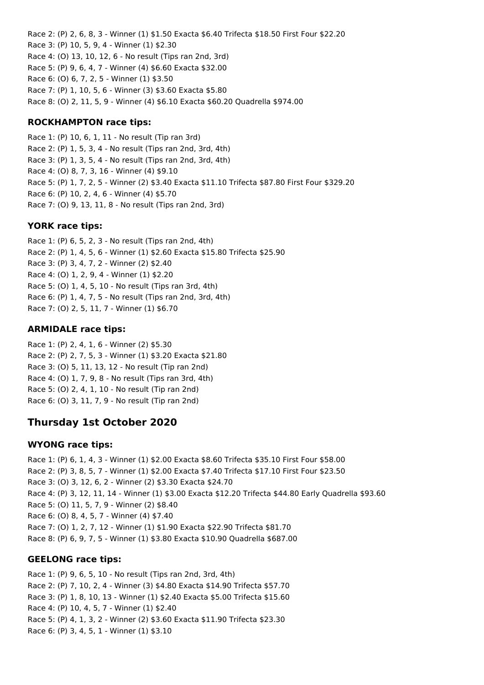Race 2: (P) 2, 6, 8, 3 - Winner (1) \$1.50 Exacta \$6.40 Trifecta \$18.50 First Four \$22.20 Race 3: (P) 10, 5, 9, 4 - Winner (1) \$2.30 Race 4: (O) 13, 10, 12, 6 - No result (Tips ran 2nd, 3rd) Race 5: (P) 9, 6, 4, 7 - Winner (4) \$6.60 Exacta \$32.00 Race 6: (O) 6, 7, 2, 5 - Winner (1) \$3.50 Race 7: (P) 1, 10, 5, 6 - Winner (3) \$3.60 Exacta \$5.80 Race 8: (O) 2, 11, 5, 9 - Winner (4) \$6.10 Exacta \$60.20 Quadrella \$974.00

## **ROCKHAMPTON race tips:**

Race 1: (P) 10, 6, 1, 11 - No result (Tip ran 3rd) Race 2: (P) 1, 5, 3, 4 - No result (Tips ran 2nd, 3rd, 4th) Race 3: (P) 1, 3, 5, 4 - No result (Tips ran 2nd, 3rd, 4th) Race 4: (O) 8, 7, 3, 16 - Winner (4) \$9.10 Race 5: (P) 1, 7, 2, 5 - Winner (2) \$3.40 Exacta \$11.10 Trifecta \$87.80 First Four \$329.20 Race 6: (P) 10, 2, 4, 6 - Winner (4) \$5.70 Race 7: (O) 9, 13, 11, 8 - No result (Tips ran 2nd, 3rd)

## **YORK race tips:**

Race 1: (P) 6, 5, 2, 3 - No result (Tips ran 2nd, 4th) Race 2: (P) 1, 4, 5, 6 - Winner (1) \$2.60 Exacta \$15.80 Trifecta \$25.90 Race 3: (P) 3, 4, 7, 2 - Winner (2) \$2.40 Race 4: (O) 1, 2, 9, 4 - Winner (1) \$2.20 Race 5: (O) 1, 4, 5, 10 - No result (Tips ran 3rd, 4th) Race 6: (P) 1, 4, 7, 5 - No result (Tips ran 2nd, 3rd, 4th) Race 7: (O) 2, 5, 11, 7 - Winner (1) \$6.70

## **ARMIDALE race tips:**

Race 1: (P) 2, 4, 1, 6 - Winner (2) \$5.30 Race 2: (P) 2, 7, 5, 3 - Winner (1) \$3.20 Exacta \$21.80 Race 3: (O) 5, 11, 13, 12 - No result (Tip ran 2nd) Race 4: (O) 1, 7, 9, 8 - No result (Tips ran 3rd, 4th) Race 5: (O) 2, 4, 1, 10 - No result (Tip ran 2nd) Race 6: (O) 3, 11, 7, 9 - No result (Tip ran 2nd)

# **Thursday 1st October 2020**

## **WYONG race tips:**

Race 1: (P) 6, 1, 4, 3 - Winner (1) \$2.00 Exacta \$8.60 Trifecta \$35.10 First Four \$58.00 Race 2: (P) 3, 8, 5, 7 - Winner (1) \$2.00 Exacta \$7.40 Trifecta \$17.10 First Four \$23.50 Race 3: (O) 3, 12, 6, 2 - Winner (2) \$3.30 Exacta \$24.70 Race 4: (P) 3, 12, 11, 14 - Winner (1) \$3.00 Exacta \$12.20 Trifecta \$44.80 Early Quadrella \$93.60 Race 5: (O) 11, 5, 7, 9 - Winner (2) \$8.40 Race 6: (O) 8, 4, 5, 7 - Winner (4) \$7.40 Race 7: (O) 1, 2, 7, 12 - Winner (1) \$1.90 Exacta \$22.90 Trifecta \$81.70 Race 8: (P) 6, 9, 7, 5 - Winner (1) \$3.80 Exacta \$10.90 Quadrella \$687.00

## **GEELONG race tips:**

Race 1: (P) 9, 6, 5, 10 - No result (Tips ran 2nd, 3rd, 4th) Race 2: (P) 7, 10, 2, 4 - Winner (3) \$4.80 Exacta \$14.90 Trifecta \$57.70 Race 3: (P) 1, 8, 10, 13 - Winner (1) \$2.40 Exacta \$5.00 Trifecta \$15.60 Race 4: (P) 10, 4, 5, 7 - Winner (1) \$2.40 Race 5: (P) 4, 1, 3, 2 - Winner (2) \$3.60 Exacta \$11.90 Trifecta \$23.30 Race 6: (P) 3, 4, 5, 1 - Winner (1) \$3.10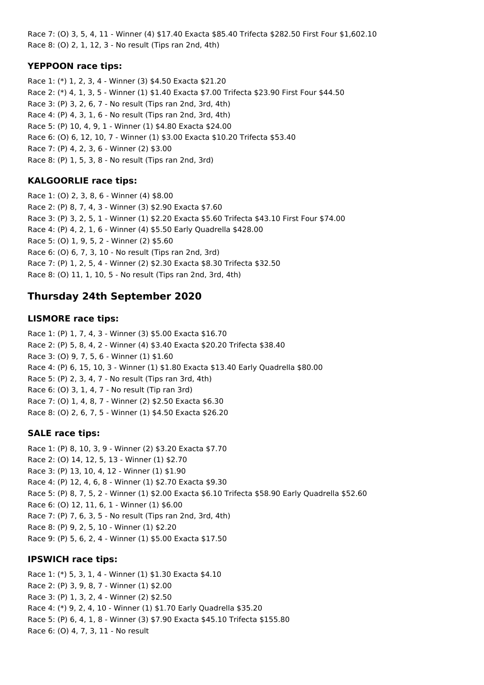Race 7: (O) 3, 5, 4, 11 - Winner (4) \$17.40 Exacta \$85.40 Trifecta \$282.50 First Four \$1,602.10 Race 8: (O) 2, 1, 12, 3 - No result (Tips ran 2nd, 4th)

## **YEPPOON race tips:**

Race 1: (\*) 1, 2, 3, 4 - Winner (3) \$4.50 Exacta \$21.20 Race 2: (\*) 4, 1, 3, 5 - Winner (1) \$1.40 Exacta \$7.00 Trifecta \$23.90 First Four \$44.50 Race 3: (P) 3, 2, 6, 7 - No result (Tips ran 2nd, 3rd, 4th) Race 4: (P) 4, 3, 1, 6 - No result (Tips ran 2nd, 3rd, 4th) Race 5: (P) 10, 4, 9, 1 - Winner (1) \$4.80 Exacta \$24.00 Race 6: (O) 6, 12, 10, 7 - Winner (1) \$3.00 Exacta \$10.20 Trifecta \$53.40 Race 7: (P) 4, 2, 3, 6 - Winner (2) \$3.00 Race 8: (P) 1, 5, 3, 8 - No result (Tips ran 2nd, 3rd)

## **KALGOORLIE race tips:**

Race 1: (O) 2, 3, 8, 6 - Winner (4) \$8.00 Race 2: (P) 8, 7, 4, 3 - Winner (3) \$2.90 Exacta \$7.60 Race 3: (P) 3, 2, 5, 1 - Winner (1) \$2.20 Exacta \$5.60 Trifecta \$43.10 First Four \$74.00 Race 4: (P) 4, 2, 1, 6 - Winner (4) \$5.50 Early Quadrella \$428.00 Race 5: (O) 1, 9, 5, 2 - Winner (2) \$5.60 Race 6: (O) 6, 7, 3, 10 - No result (Tips ran 2nd, 3rd) Race 7: (P) 1, 2, 5, 4 - Winner (2) \$2.30 Exacta \$8.30 Trifecta \$32.50 Race 8: (O) 11, 1, 10, 5 - No result (Tips ran 2nd, 3rd, 4th)

# **Thursday 24th September 2020**

## **LISMORE race tips:**

Race 1: (P) 1, 7, 4, 3 - Winner (3) \$5.00 Exacta \$16.70 Race 2: (P) 5, 8, 4, 2 - Winner (4) \$3.40 Exacta \$20.20 Trifecta \$38.40 Race 3: (O) 9, 7, 5, 6 - Winner (1) \$1.60 Race 4: (P) 6, 15, 10, 3 - Winner (1) \$1.80 Exacta \$13.40 Early Quadrella \$80.00 Race 5: (P) 2, 3, 4, 7 - No result (Tips ran 3rd, 4th) Race 6: (O) 3, 1, 4, 7 - No result (Tip ran 3rd) Race 7: (O) 1, 4, 8, 7 - Winner (2) \$2.50 Exacta \$6.30 Race 8: (O) 2, 6, 7, 5 - Winner (1) \$4.50 Exacta \$26.20

## **SALE race tips:**

Race 1: (P) 8, 10, 3, 9 - Winner (2) \$3.20 Exacta \$7.70 Race 2: (O) 14, 12, 5, 13 - Winner (1) \$2.70 Race 3: (P) 13, 10, 4, 12 - Winner (1) \$1.90 Race 4: (P) 12, 4, 6, 8 - Winner (1) \$2.70 Exacta \$9.30 Race 5: (P) 8, 7, 5, 2 - Winner (1) \$2.00 Exacta \$6.10 Trifecta \$58.90 Early Quadrella \$52.60 Race 6: (O) 12, 11, 6, 1 - Winner (1) \$6.00 Race 7: (P) 7, 6, 3, 5 - No result (Tips ran 2nd, 3rd, 4th) Race 8: (P) 9, 2, 5, 10 - Winner (1) \$2.20 Race 9: (P) 5, 6, 2, 4 - Winner (1) \$5.00 Exacta \$17.50

## **IPSWICH race tips:**

Race 1: (\*) 5, 3, 1, 4 - Winner (1) \$1.30 Exacta \$4.10 Race 2: (P) 3, 9, 8, 7 - Winner (1) \$2.00 Race 3: (P) 1, 3, 2, 4 - Winner (2) \$2.50 Race 4: (\*) 9, 2, 4, 10 - Winner (1) \$1.70 Early Quadrella \$35.20 Race 5: (P) 6, 4, 1, 8 - Winner (3) \$7.90 Exacta \$45.10 Trifecta \$155.80 Race 6: (O) 4, 7, 3, 11 - No result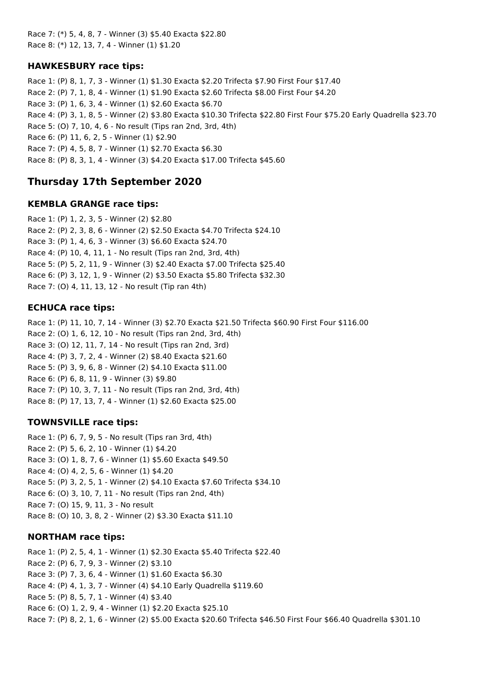Race 7: (\*) 5, 4, 8, 7 - Winner (3) \$5.40 Exacta \$22.80 Race 8: (\*) 12, 13, 7, 4 - Winner (1) \$1.20

## **HAWKESBURY race tips:**

Race 1: (P) 8, 1, 7, 3 - Winner (1) \$1.30 Exacta \$2.20 Trifecta \$7.90 First Four \$17.40 Race 2: (P) 7, 1, 8, 4 - Winner (1) \$1.90 Exacta \$2.60 Trifecta \$8.00 First Four \$4.20 Race 3: (P) 1, 6, 3, 4 - Winner (1) \$2.60 Exacta \$6.70 Race 4: (P) 3, 1, 8, 5 - Winner (2) \$3.80 Exacta \$10.30 Trifecta \$22.80 First Four \$75.20 Early Quadrella \$23.70 Race 5: (O) 7, 10, 4, 6 - No result (Tips ran 2nd, 3rd, 4th) Race 6: (P) 11, 6, 2, 5 - Winner (1) \$2.90 Race 7: (P) 4, 5, 8, 7 - Winner (1) \$2.70 Exacta \$6.30 Race 8: (P) 8, 3, 1, 4 - Winner (3) \$4.20 Exacta \$17.00 Trifecta \$45.60

## **Thursday 17th September 2020**

### **KEMBLA GRANGE race tips:**

Race 1: (P) 1, 2, 3, 5 - Winner (2) \$2.80 Race 2: (P) 2, 3, 8, 6 - Winner (2) \$2.50 Exacta \$4.70 Trifecta \$24.10 Race 3: (P) 1, 4, 6, 3 - Winner (3) \$6.60 Exacta \$24.70 Race 4: (P) 10, 4, 11, 1 - No result (Tips ran 2nd, 3rd, 4th) Race 5: (P) 5, 2, 11, 9 - Winner (3) \$2.40 Exacta \$7.00 Trifecta \$25.40 Race 6: (P) 3, 12, 1, 9 - Winner (2) \$3.50 Exacta \$5.80 Trifecta \$32.30 Race 7: (O) 4, 11, 13, 12 - No result (Tip ran 4th)

### **ECHUCA race tips:**

Race 1: (P) 11, 10, 7, 14 - Winner (3) \$2.70 Exacta \$21.50 Trifecta \$60.90 First Four \$116.00 Race 2: (O) 1, 6, 12, 10 - No result (Tips ran 2nd, 3rd, 4th) Race 3: (O) 12, 11, 7, 14 - No result (Tips ran 2nd, 3rd) Race 4: (P) 3, 7, 2, 4 - Winner (2) \$8.40 Exacta \$21.60 Race 5: (P) 3, 9, 6, 8 - Winner (2) \$4.10 Exacta \$11.00 Race 6: (P) 6, 8, 11, 9 - Winner (3) \$9.80 Race 7: (P) 10, 3, 7, 11 - No result (Tips ran 2nd, 3rd, 4th) Race 8: (P) 17, 13, 7, 4 - Winner (1) \$2.60 Exacta \$25.00

#### **TOWNSVILLE race tips:**

Race 1: (P) 6, 7, 9, 5 - No result (Tips ran 3rd, 4th) Race 2: (P) 5, 6, 2, 10 - Winner (1) \$4.20 Race 3: (O) 1, 8, 7, 6 - Winner (1) \$5.60 Exacta \$49.50 Race 4: (O) 4, 2, 5, 6 - Winner (1) \$4.20 Race 5: (P) 3, 2, 5, 1 - Winner (2) \$4.10 Exacta \$7.60 Trifecta \$34.10 Race 6: (O) 3, 10, 7, 11 - No result (Tips ran 2nd, 4th) Race 7: (O) 15, 9, 11, 3 - No result Race 8: (O) 10, 3, 8, 2 - Winner (2) \$3.30 Exacta \$11.10

#### **NORTHAM race tips:**

Race 1: (P) 2, 5, 4, 1 - Winner (1) \$2.30 Exacta \$5.40 Trifecta \$22.40 Race 2: (P) 6, 7, 9, 3 - Winner (2) \$3.10 Race 3: (P) 7, 3, 6, 4 - Winner (1) \$1.60 Exacta \$6.30 Race 4: (P) 4, 1, 3, 7 - Winner (4) \$4.10 Early Quadrella \$119.60 Race 5: (P) 8, 5, 7, 1 - Winner (4) \$3.40 Race 6: (O) 1, 2, 9, 4 - Winner (1) \$2.20 Exacta \$25.10 Race 7: (P) 8, 2, 1, 6 - Winner (2) \$5.00 Exacta \$20.60 Trifecta \$46.50 First Four \$66.40 Quadrella \$301.10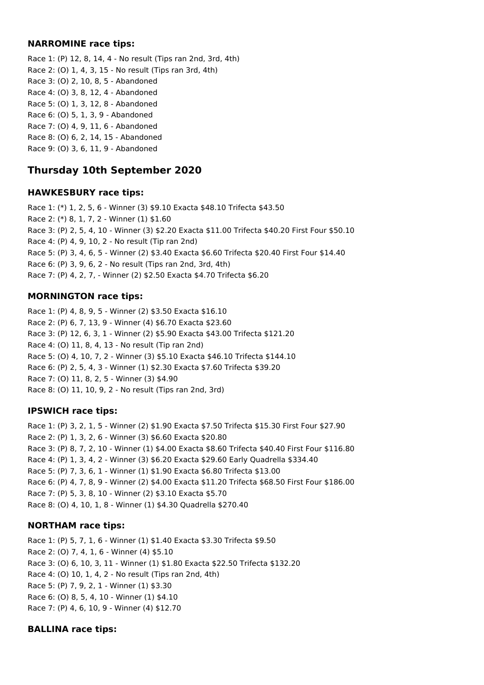#### **NARROMINE race tips:**

Race 1: (P) 12, 8, 14, 4 - No result (Tips ran 2nd, 3rd, 4th) Race 2: (O) 1, 4, 3, 15 - No result (Tips ran 3rd, 4th) Race 3: (O) 2, 10, 8, 5 - Abandoned Race 4: (O) 3, 8, 12, 4 - Abandoned Race 5: (O) 1, 3, 12, 8 - Abandoned Race 6: (O) 5, 1, 3, 9 - Abandoned Race 7: (O) 4, 9, 11, 6 - Abandoned Race 8: (O) 6, 2, 14, 15 - Abandoned Race 9: (O) 3, 6, 11, 9 - Abandoned

# **Thursday 10th September 2020**

### **HAWKESBURY race tips:**

Race 1: (\*) 1, 2, 5, 6 - Winner (3) \$9.10 Exacta \$48.10 Trifecta \$43.50 Race 2: (\*) 8, 1, 7, 2 - Winner (1) \$1.60 Race 3: (P) 2, 5, 4, 10 - Winner (3) \$2.20 Exacta \$11.00 Trifecta \$40.20 First Four \$50.10 Race 4: (P) 4, 9, 10, 2 - No result (Tip ran 2nd) Race 5: (P) 3, 4, 6, 5 - Winner (2) \$3.40 Exacta \$6.60 Trifecta \$20.40 First Four \$14.40 Race 6: (P) 3, 9, 6, 2 - No result (Tips ran 2nd, 3rd, 4th) Race 7: (P) 4, 2, 7, - Winner (2) \$2.50 Exacta \$4.70 Trifecta \$6.20

## **MORNINGTON race tips:**

Race 1: (P) 4, 8, 9, 5 - Winner (2) \$3.50 Exacta \$16.10 Race 2: (P) 6, 7, 13, 9 - Winner (4) \$6.70 Exacta \$23.60 Race 3: (P) 12, 6, 3, 1 - Winner (2) \$5.90 Exacta \$43.00 Trifecta \$121.20 Race 4: (O) 11, 8, 4, 13 - No result (Tip ran 2nd) Race 5: (O) 4, 10, 7, 2 - Winner (3) \$5.10 Exacta \$46.10 Trifecta \$144.10 Race 6: (P) 2, 5, 4, 3 - Winner (1) \$2.30 Exacta \$7.60 Trifecta \$39.20 Race 7: (O) 11, 8, 2, 5 - Winner (3) \$4.90 Race 8: (O) 11, 10, 9, 2 - No result (Tips ran 2nd, 3rd)

## **IPSWICH race tips:**

Race 1: (P) 3, 2, 1, 5 - Winner (2) \$1.90 Exacta \$7.50 Trifecta \$15.30 First Four \$27.90 Race 2: (P) 1, 3, 2, 6 - Winner (3) \$6.60 Exacta \$20.80 Race 3: (P) 8, 7, 2, 10 - Winner (1) \$4.00 Exacta \$8.60 Trifecta \$40.40 First Four \$116.80 Race 4: (P) 1, 3, 4, 2 - Winner (3) \$6.20 Exacta \$29.60 Early Quadrella \$334.40 Race 5: (P) 7, 3, 6, 1 - Winner (1) \$1.90 Exacta \$6.80 Trifecta \$13.00 Race 6: (P) 4, 7, 8, 9 - Winner (2) \$4.00 Exacta \$11.20 Trifecta \$68.50 First Four \$186.00 Race 7: (P) 5, 3, 8, 10 - Winner (2) \$3.10 Exacta \$5.70 Race 8: (O) 4, 10, 1, 8 - Winner (1) \$4.30 Quadrella \$270.40

## **NORTHAM race tips:**

Race 1: (P) 5, 7, 1, 6 - Winner (1) \$1.40 Exacta \$3.30 Trifecta \$9.50 Race 2: (O) 7, 4, 1, 6 - Winner (4) \$5.10 Race 3: (O) 6, 10, 3, 11 - Winner (1) \$1.80 Exacta \$22.50 Trifecta \$132.20 Race 4: (O) 10, 1, 4, 2 - No result (Tips ran 2nd, 4th) Race 5: (P) 7, 9, 2, 1 - Winner (1) \$3.30 Race 6: (O) 8, 5, 4, 10 - Winner (1) \$4.10 Race 7: (P) 4, 6, 10, 9 - Winner (4) \$12.70

## **BALLINA race tips:**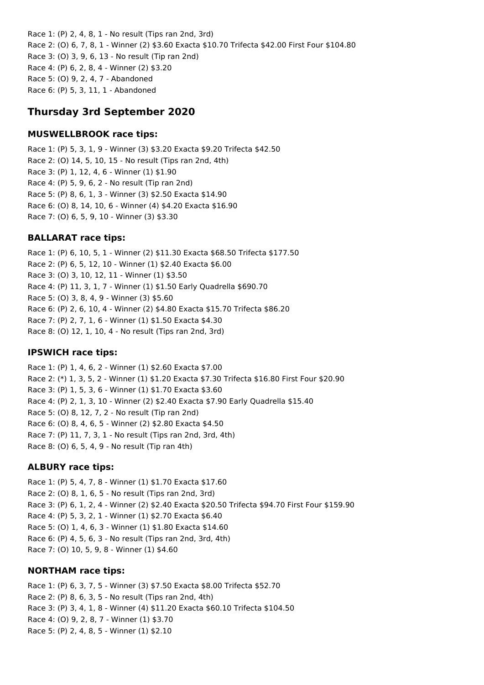Race 1: (P) 2, 4, 8, 1 - No result (Tips ran 2nd, 3rd) Race 2: (O) 6, 7, 8, 1 - Winner (2) \$3.60 Exacta \$10.70 Trifecta \$42.00 First Four \$104.80 Race 3: (O) 3, 9, 6, 13 - No result (Tip ran 2nd) Race 4: (P) 6, 2, 8, 4 - Winner (2) \$3.20 Race 5: (O) 9, 2, 4, 7 - Abandoned Race 6: (P) 5, 3, 11, 1 - Abandoned

## **Thursday 3rd September 2020**

#### **MUSWELLBROOK race tips:**

Race 1: (P) 5, 3, 1, 9 - Winner (3) \$3.20 Exacta \$9.20 Trifecta \$42.50 Race 2: (O) 14, 5, 10, 15 - No result (Tips ran 2nd, 4th) Race 3: (P) 1, 12, 4, 6 - Winner (1) \$1.90 Race 4: (P) 5, 9, 6, 2 - No result (Tip ran 2nd) Race 5: (P) 8, 6, 1, 3 - Winner (3) \$2.50 Exacta \$14.90 Race 6: (O) 8, 14, 10, 6 - Winner (4) \$4.20 Exacta \$16.90 Race 7: (O) 6, 5, 9, 10 - Winner (3) \$3.30

### **BALLARAT race tips:**

Race 1: (P) 6, 10, 5, 1 - Winner (2) \$11.30 Exacta \$68.50 Trifecta \$177.50 Race 2: (P) 6, 5, 12, 10 - Winner (1) \$2.40 Exacta \$6.00 Race 3: (O) 3, 10, 12, 11 - Winner (1) \$3.50 Race 4: (P) 11, 3, 1, 7 - Winner (1) \$1.50 Early Quadrella \$690.70 Race 5: (O) 3, 8, 4, 9 - Winner (3) \$5.60 Race 6: (P) 2, 6, 10, 4 - Winner (2) \$4.80 Exacta \$15.70 Trifecta \$86.20 Race 7: (P) 2, 7, 1, 6 - Winner (1) \$1.50 Exacta \$4.30 Race 8: (O) 12, 1, 10, 4 - No result (Tips ran 2nd, 3rd)

#### **IPSWICH race tips:**

Race 1: (P) 1, 4, 6, 2 - Winner (1) \$2.60 Exacta \$7.00 Race 2: (\*) 1, 3, 5, 2 - Winner (1) \$1.20 Exacta \$7.30 Trifecta \$16.80 First Four \$20.90 Race 3: (P) 1, 5, 3, 6 - Winner (1) \$1.70 Exacta \$3.60 Race 4: (P) 2, 1, 3, 10 - Winner (2) \$2.40 Exacta \$7.90 Early Quadrella \$15.40 Race 5: (O) 8, 12, 7, 2 - No result (Tip ran 2nd) Race 6: (O) 8, 4, 6, 5 - Winner (2) \$2.80 Exacta \$4.50 Race 7: (P) 11, 7, 3, 1 - No result (Tips ran 2nd, 3rd, 4th) Race 8: (O) 6, 5, 4, 9 - No result (Tip ran 4th)

#### **ALBURY race tips:**

Race 1: (P) 5, 4, 7, 8 - Winner (1) \$1.70 Exacta \$17.60 Race 2: (O) 8, 1, 6, 5 - No result (Tips ran 2nd, 3rd) Race 3: (P) 6, 1, 2, 4 - Winner (2) \$2.40 Exacta \$20.50 Trifecta \$94.70 First Four \$159.90 Race 4: (P) 5, 3, 2, 1 - Winner (1) \$2.70 Exacta \$6.40 Race 5: (O) 1, 4, 6, 3 - Winner (1) \$1.80 Exacta \$14.60 Race 6: (P) 4, 5, 6, 3 - No result (Tips ran 2nd, 3rd, 4th) Race 7: (O) 10, 5, 9, 8 - Winner (1) \$4.60

#### **NORTHAM race tips:**

Race 1: (P) 6, 3, 7, 5 - Winner (3) \$7.50 Exacta \$8.00 Trifecta \$52.70 Race 2: (P) 8, 6, 3, 5 - No result (Tips ran 2nd, 4th) Race 3: (P) 3, 4, 1, 8 - Winner (4) \$11.20 Exacta \$60.10 Trifecta \$104.50 Race 4: (O) 9, 2, 8, 7 - Winner (1) \$3.70 Race 5: (P) 2, 4, 8, 5 - Winner (1) \$2.10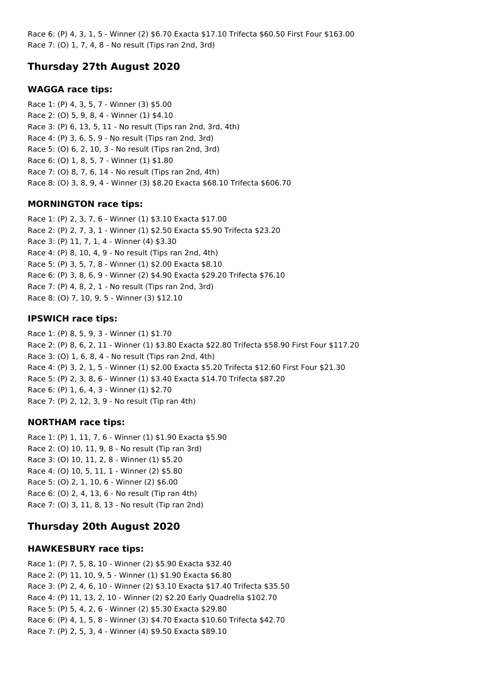Race 6: (P) 4, 3, 1, 5 - Winner (2) \$6.70 Exacta \$17.10 Trifecta \$60.50 First Four \$163.00 Race 7: (O) 1, 7, 4, 8 - No result (Tips ran 2nd, 3rd)

# **Thursday 27th August 2020**

## **WAGGA race tips:**

Race 1: (P) 4, 3, 5, 7 - Winner (3) \$5.00 Race 2: (O) 5, 9, 8, 4 - Winner (1) \$4.10 Race 3: (P) 6, 13, 5, 11 - No result (Tips ran 2nd, 3rd, 4th) Race 4: (P) 3, 6, 5, 9 - No result (Tips ran 2nd, 3rd) Race 5: (O) 6, 2, 10, 3 - No result (Tips ran 2nd, 3rd) Race 6: (O) 1, 8, 5, 7 - Winner (1) \$1.80 Race 7: (O) 8, 7, 6, 14 - No result (Tips ran 2nd, 4th) Race 8: (O) 3, 8, 9, 4 - Winner (3) \$8.20 Exacta \$68.10 Trifecta \$606.70

## **MORNINGTON race tips:**

Race 1: (P) 2, 3, 7, 6 - Winner (1) \$3.10 Exacta \$17.00 Race 2: (P) 2, 7, 3, 1 - Winner (1) \$2.50 Exacta \$5.90 Trifecta \$23.20 Race 3: (P) 11, 7, 1, 4 - Winner (4) \$3.30 Race 4: (P) 8, 10, 4, 9 - No result (Tips ran 2nd, 4th) Race 5: (P) 3, 5, 7, 8 - Winner (1) \$2.00 Exacta \$8.10 Race 6: (P) 3, 8, 6, 9 - Winner (2) \$4.90 Exacta \$29.20 Trifecta \$76.10 Race 7: (P) 4, 8, 2, 1 - No result (Tips ran 2nd, 3rd) Race 8: (O) 7, 10, 9, 5 - Winner (3) \$12.10

## **IPSWICH race tips:**

Race 1: (P) 8, 5, 9, 3 - Winner (1) \$1.70 Race 2: (P) 8, 6, 2, 11 - Winner (1) \$3.80 Exacta \$22.80 Trifecta \$58.90 First Four \$117.20 Race 3: (O) 1, 6, 8, 4 - No result (Tips ran 2nd, 4th) Race 4: (P) 3, 2, 1, 5 - Winner (1) \$2.00 Exacta \$5.20 Trifecta \$12.60 First Four \$21.30 Race 5: (P) 2, 3, 8, 6 - Winner (1) \$3.40 Exacta \$14.70 Trifecta \$87.20 Race 6: (P) 1, 6, 4, 3 - Winner (1) \$2.70 Race 7: (P) 2, 12, 3, 9 - No result (Tip ran 4th)

## **NORTHAM race tips:**

Race 1: (P) 1, 11, 7, 6 - Winner (1) \$1.90 Exacta \$5.90 Race 2: (O) 10, 11, 9, 8 - No result (Tip ran 3rd) Race 3: (O) 10, 11, 2, 8 - Winner (1) \$5.20 Race 4: (O) 10, 5, 11, 1 - Winner (2) \$5.80 Race 5: (O) 2, 1, 10, 6 - Winner (2) \$6.00 Race 6: (O) 2, 4, 13, 6 - No result (Tip ran 4th) Race 7: (O) 3, 11, 8, 13 - No result (Tip ran 2nd)

## **Thursday 20th August 2020**

## **HAWKESBURY race tips:**

Race 1: (P) 7, 5, 8, 10 - Winner (2) \$5.90 Exacta \$32.40 Race 2: (P) 11, 10, 9, 5 - Winner (1) \$1.90 Exacta \$6.80 Race 3: (P) 2, 4, 6, 10 - Winner (2) \$3.10 Exacta \$17.40 Trifecta \$35.50 Race 4: (P) 11, 13, 2, 10 - Winner (2) \$2.20 Early Quadrella \$102.70 Race 5: (P) 5, 4, 2, 6 - Winner (2) \$5.30 Exacta \$29.80 Race 6: (P) 4, 1, 5, 8 - Winner (3) \$4.70 Exacta \$10.60 Trifecta \$42.70 Race 7: (P) 2, 5, 3, 4 - Winner (4) \$9.50 Exacta \$89.10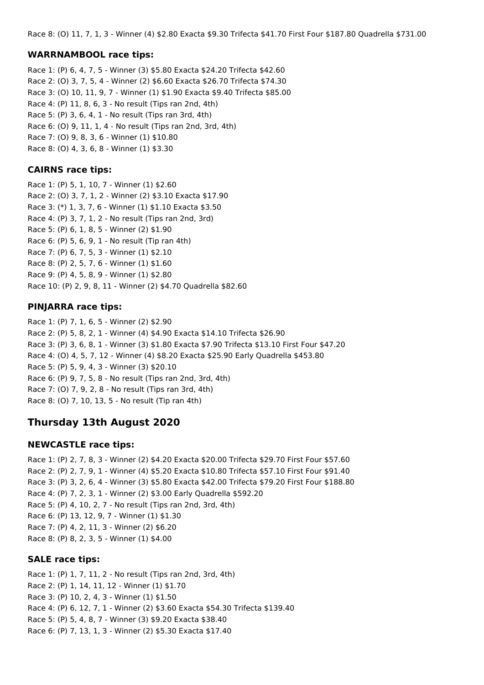Race 8: (O) 11, 7, 1, 3 - Winner (4) \$2.80 Exacta \$9.30 Trifecta \$41.70 First Four \$187.80 Quadrella \$731.00

#### **WARRNAMBOOL race tips:**

Race 1: (P) 6, 4, 7, 5 - Winner (3) \$5.80 Exacta \$24.20 Trifecta \$42.60 Race 2: (O) 3, 7, 5, 4 - Winner (2) \$6.60 Exacta \$26.70 Trifecta \$74.30 Race 3: (O) 10, 11, 9, 7 - Winner (1) \$1.90 Exacta \$9.40 Trifecta \$85.00 Race 4: (P) 11, 8, 6, 3 - No result (Tips ran 2nd, 4th) Race 5: (P) 3, 6, 4, 1 - No result (Tips ran 3rd, 4th) Race 6: (O) 9, 11, 1, 4 - No result (Tips ran 2nd, 3rd, 4th) Race 7: (O) 9, 8, 3, 6 - Winner (1) \$10.80 Race 8: (O) 4, 3, 6, 8 - Winner (1) \$3.30

#### **CAIRNS race tips:**

Race 1: (P) 5, 1, 10, 7 - Winner (1) \$2.60 Race 2: (O) 3, 7, 1, 2 - Winner (2) \$3.10 Exacta \$17.90 Race 3: (\*) 1, 3, 7, 6 - Winner (1) \$1.10 Exacta \$3.50 Race 4: (P) 3, 7, 1, 2 - No result (Tips ran 2nd, 3rd) Race 5: (P) 6, 1, 8, 5 - Winner (2) \$1.90 Race 6: (P) 5, 6, 9, 1 - No result (Tip ran 4th) Race 7: (P) 6, 7, 5, 3 - Winner (1) \$2.10 Race 8: (P) 2, 5, 7, 6 - Winner (1) \$1.60 Race 9: (P) 4, 5, 8, 9 - Winner (1) \$2.80 Race 10: (P) 2, 9, 8, 11 - Winner (2) \$4.70 Quadrella \$82.60

#### **PINJARRA race tips:**

Race 1: (P) 7, 1, 6, 5 - Winner (2) \$2.90 Race 2: (P) 5, 8, 2, 1 - Winner (4) \$4.90 Exacta \$14.10 Trifecta \$26.90 Race 3: (P) 3, 6, 8, 1 - Winner (3) \$1.80 Exacta \$7.90 Trifecta \$13.10 First Four \$47.20 Race 4: (O) 4, 5, 7, 12 - Winner (4) \$8.20 Exacta \$25.90 Early Quadrella \$453.80 Race 5: (P) 5, 9, 4, 3 - Winner (3) \$20.10 Race 6: (P) 9, 7, 5, 8 - No result (Tips ran 2nd, 3rd, 4th) Race 7: (O) 7, 9, 2, 8 - No result (Tips ran 3rd, 4th) Race 8: (O) 7, 10, 13, 5 - No result (Tip ran 4th)

## **Thursday 13th August 2020**

#### **NEWCASTLE race tips:**

Race 1: (P) 2, 7, 8, 3 - Winner (2) \$4.20 Exacta \$20.00 Trifecta \$29.70 First Four \$57.60 Race 2: (P) 2, 7, 9, 1 - Winner (4) \$5.20 Exacta \$10.80 Trifecta \$57.10 First Four \$91.40 Race 3: (P) 3, 2, 6, 4 - Winner (3) \$5.80 Exacta \$42.00 Trifecta \$79.20 First Four \$188.80 Race 4: (P) 7, 2, 3, 1 - Winner (2) \$3.00 Early Quadrella \$592.20 Race 5: (P) 4, 10, 2, 7 - No result (Tips ran 2nd, 3rd, 4th) Race 6: (P) 13, 12, 9, 7 - Winner (1) \$1.30 Race 7: (P) 4, 2, 11, 3 - Winner (2) \$6.20 Race 8: (P) 8, 2, 3, 5 - Winner (1) \$4.00

#### **SALE race tips:**

Race 1: (P) 1, 7, 11, 2 - No result (Tips ran 2nd, 3rd, 4th) Race 2: (P) 1, 14, 11, 12 - Winner (1) \$1.70 Race 3: (P) 10, 2, 4, 3 - Winner (1) \$1.50 Race 4: (P) 6, 12, 7, 1 - Winner (2) \$3.60 Exacta \$54.30 Trifecta \$139.40 Race 5: (P) 5, 4, 8, 7 - Winner (3) \$9.20 Exacta \$38.40 Race 6: (P) 7, 13, 1, 3 - Winner (2) \$5.30 Exacta \$17.40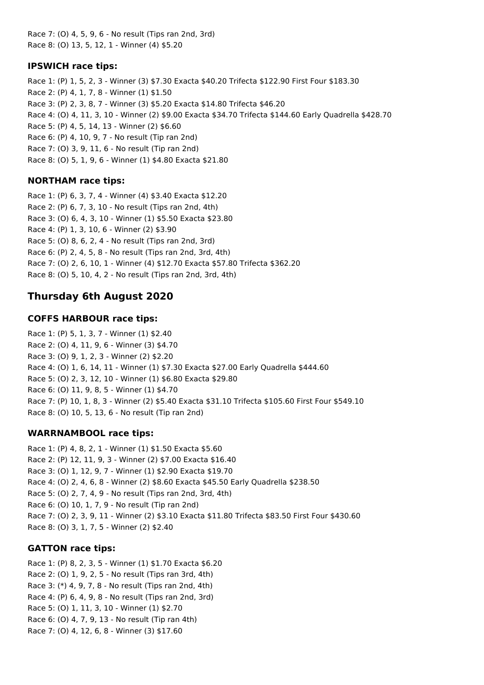Race 7: (O) 4, 5, 9, 6 - No result (Tips ran 2nd, 3rd) Race 8: (O) 13, 5, 12, 1 - Winner (4) \$5.20

### **IPSWICH race tips:**

Race 1: (P) 1, 5, 2, 3 - Winner (3) \$7.30 Exacta \$40.20 Trifecta \$122.90 First Four \$183.30 Race 2: (P) 4, 1, 7, 8 - Winner (1) \$1.50 Race 3: (P) 2, 3, 8, 7 - Winner (3) \$5.20 Exacta \$14.80 Trifecta \$46.20 Race 4: (O) 4, 11, 3, 10 - Winner (2) \$9.00 Exacta \$34.70 Trifecta \$144.60 Early Quadrella \$428.70 Race 5: (P) 4, 5, 14, 13 - Winner (2) \$6.60 Race 6: (P) 4, 10, 9, 7 - No result (Tip ran 2nd) Race 7: (O) 3, 9, 11, 6 - No result (Tip ran 2nd) Race 8: (O) 5, 1, 9, 6 - Winner (1) \$4.80 Exacta \$21.80

## **NORTHAM race tips:**

Race 1: (P) 6, 3, 7, 4 - Winner (4) \$3.40 Exacta \$12.20 Race 2: (P) 6, 7, 3, 10 - No result (Tips ran 2nd, 4th) Race 3: (O) 6, 4, 3, 10 - Winner (1) \$5.50 Exacta \$23.80 Race 4: (P) 1, 3, 10, 6 - Winner (2) \$3.90 Race 5: (O) 8, 6, 2, 4 - No result (Tips ran 2nd, 3rd) Race 6: (P) 2, 4, 5, 8 - No result (Tips ran 2nd, 3rd, 4th) Race 7: (O) 2, 6, 10, 1 - Winner (4) \$12.70 Exacta \$57.80 Trifecta \$362.20 Race 8: (O) 5, 10, 4, 2 - No result (Tips ran 2nd, 3rd, 4th)

## **Thursday 6th August 2020**

## **COFFS HARBOUR race tips:**

Race 1: (P) 5, 1, 3, 7 - Winner (1) \$2.40 Race 2: (O) 4, 11, 9, 6 - Winner (3) \$4.70 Race 3: (O) 9, 1, 2, 3 - Winner (2) \$2.20 Race 4: (O) 1, 6, 14, 11 - Winner (1) \$7.30 Exacta \$27.00 Early Quadrella \$444.60 Race 5: (O) 2, 3, 12, 10 - Winner (1) \$6.80 Exacta \$29.80 Race 6: (O) 11, 9, 8, 5 - Winner (1) \$4.70 Race 7: (P) 10, 1, 8, 3 - Winner (2) \$5.40 Exacta \$31.10 Trifecta \$105.60 First Four \$549.10 Race 8: (O) 10, 5, 13, 6 - No result (Tip ran 2nd)

## **WARRNAMBOOL race tips:**

Race 1: (P) 4, 8, 2, 1 - Winner (1) \$1.50 Exacta \$5.60 Race 2: (P) 12, 11, 9, 3 - Winner (2) \$7.00 Exacta \$16.40 Race 3: (O) 1, 12, 9, 7 - Winner (1) \$2.90 Exacta \$19.70 Race 4: (O) 2, 4, 6, 8 - Winner (2) \$8.60 Exacta \$45.50 Early Quadrella \$238.50 Race 5: (O) 2, 7, 4, 9 - No result (Tips ran 2nd, 3rd, 4th) Race 6: (O) 10, 1, 7, 9 - No result (Tip ran 2nd) Race 7: (O) 2, 3, 9, 11 - Winner (2) \$3.10 Exacta \$11.80 Trifecta \$83.50 First Four \$430.60 Race 8: (O) 3, 1, 7, 5 - Winner (2) \$2.40

## **GATTON race tips:**

Race 1: (P) 8, 2, 3, 5 - Winner (1) \$1.70 Exacta \$6.20 Race 2: (O) 1, 9, 2, 5 - No result (Tips ran 3rd, 4th) Race 3: (\*) 4, 9, 7, 8 - No result (Tips ran 2nd, 4th) Race 4: (P) 6, 4, 9, 8 - No result (Tips ran 2nd, 3rd) Race 5: (O) 1, 11, 3, 10 - Winner (1) \$2.70 Race 6: (O) 4, 7, 9, 13 - No result (Tip ran 4th) Race 7: (O) 4, 12, 6, 8 - Winner (3) \$17.60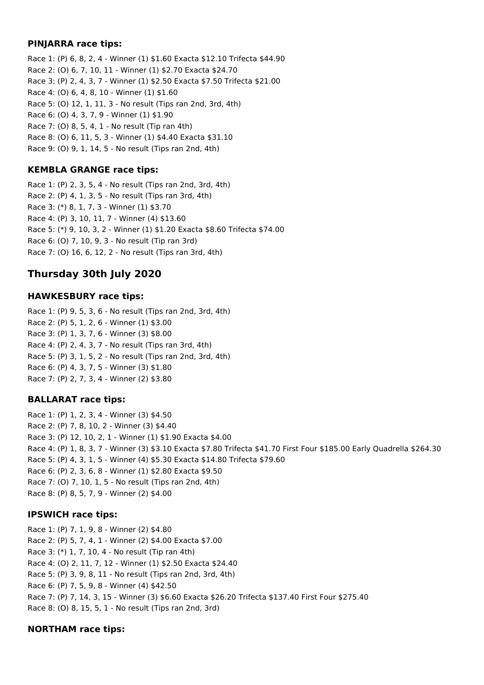### **PINJARRA race tips:**

Race 1: (P) 6, 8, 2, 4 - Winner (1) \$1.60 Exacta \$12.10 Trifecta \$44.90 Race 2: (O) 6, 7, 10, 11 - Winner (1) \$2.70 Exacta \$24.70 Race 3: (P) 2, 4, 3, 7 - Winner (1) \$2.50 Exacta \$7.50 Trifecta \$21.00 Race 4: (O) 6, 4, 8, 10 - Winner (1) \$1.60 Race 5: (O) 12, 1, 11, 3 - No result (Tips ran 2nd, 3rd, 4th) Race 6: (O) 4, 3, 7, 9 - Winner (1) \$1.90 Race 7: (O) 8, 5, 4, 1 - No result (Tip ran 4th) Race 8: (O) 6, 11, 5, 3 - Winner (1) \$4.40 Exacta \$31.10 Race 9: (O) 9, 1, 14, 5 - No result (Tips ran 2nd, 4th)

## **KEMBLA GRANGE race tips:**

Race 1: (P) 2, 3, 5, 4 - No result (Tips ran 2nd, 3rd, 4th) Race 2: (P) 4, 1, 3, 5 - No result (Tips ran 3rd, 4th) Race 3: (\*) 8, 1, 7, 3 - Winner (1) \$3.70 Race 4: (P) 3, 10, 11, 7 - Winner (4) \$13.60 Race 5: (\*) 9, 10, 3, 2 - Winner (1) \$1.20 Exacta \$8.60 Trifecta \$74.00 Race 6: (O) 7, 10, 9, 3 - No result (Tip ran 3rd) Race 7: (O) 16, 6, 12, 2 - No result (Tips ran 3rd, 4th)

# **Thursday 30th July 2020**

## **HAWKESBURY race tips:**

Race 1: (P) 9, 5, 3, 6 - No result (Tips ran 2nd, 3rd, 4th) Race 2: (P) 5, 1, 2, 6 - Winner (1) \$3.00 Race 3: (P) 1, 3, 7, 6 - Winner (3) \$8.00 Race 4: (P) 2, 4, 3, 7 - No result (Tips ran 3rd, 4th) Race 5: (P) 3, 1, 5, 2 - No result (Tips ran 2nd, 3rd, 4th) Race 6: (P) 4, 3, 7, 5 - Winner (3) \$1.80 Race 7: (P) 2, 7, 3, 4 - Winner (2) \$3.80

## **BALLARAT race tips:**

Race 1: (P) 1, 2, 3, 4 - Winner (3) \$4.50 Race 2: (P) 7, 8, 10, 2 - Winner (3) \$4.40 Race 3: (P) 12, 10, 2, 1 - Winner (1) \$1.90 Exacta \$4.00 Race 4: (P) 1, 8, 3, 7 - Winner (3) \$3.10 Exacta \$7.80 Trifecta \$41.70 First Four \$185.00 Early Quadrella \$264.30 Race 5: (P) 4, 3, 1, 5 - Winner (4) \$5.30 Exacta \$14.80 Trifecta \$79.60 Race 6: (P) 2, 3, 6, 8 - Winner (1) \$2.80 Exacta \$9.50 Race 7: (O) 7, 10, 1, 5 - No result (Tips ran 2nd, 4th) Race 8: (P) 8, 5, 7, 9 - Winner (2) \$4.00

## **IPSWICH race tips:**

Race 1: (P) 7, 1, 9, 8 - Winner (2) \$4.80 Race 2: (P) 5, 7, 4, 1 - Winner (2) \$4.00 Exacta \$7.00 Race 3: (\*) 1, 7, 10, 4 - No result (Tip ran 4th) Race 4: (O) 2, 11, 7, 12 - Winner (1) \$2.50 Exacta \$24.40 Race 5: (P) 3, 9, 8, 11 - No result (Tips ran 2nd, 3rd, 4th) Race 6: (P) 7, 5, 9, 8 - Winner (4) \$42.50 Race 7: (P) 7, 14, 3, 15 - Winner (3) \$6.60 Exacta \$26.20 Trifecta \$137.40 First Four \$275.40 Race 8: (O) 8, 15, 5, 1 - No result (Tips ran 2nd, 3rd)

## **NORTHAM race tips:**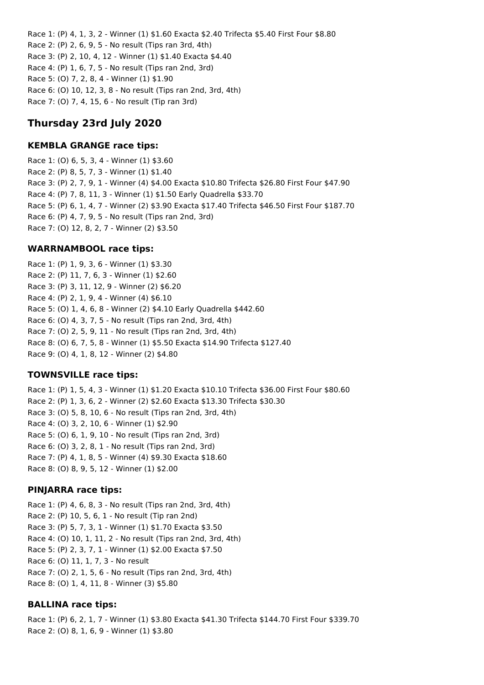Race 1: (P) 4, 1, 3, 2 - Winner (1) \$1.60 Exacta \$2.40 Trifecta \$5.40 First Four \$8.80 Race 2: (P) 2, 6, 9, 5 - No result (Tips ran 3rd, 4th) Race 3: (P) 2, 10, 4, 12 - Winner (1) \$1.40 Exacta \$4.40 Race 4: (P) 1, 6, 7, 5 - No result (Tips ran 2nd, 3rd) Race 5: (O) 7, 2, 8, 4 - Winner (1) \$1.90 Race 6: (O) 10, 12, 3, 8 - No result (Tips ran 2nd, 3rd, 4th) Race 7: (O) 7, 4, 15, 6 - No result (Tip ran 3rd)

# **Thursday 23rd July 2020**

## **KEMBLA GRANGE race tips:**

Race 1: (O) 6, 5, 3, 4 - Winner (1) \$3.60 Race 2: (P) 8, 5, 7, 3 - Winner (1) \$1.40 Race 3: (P) 2, 7, 9, 1 - Winner (4) \$4.00 Exacta \$10.80 Trifecta \$26.80 First Four \$47.90 Race 4: (P) 7, 8, 11, 3 - Winner (1) \$1.50 Early Quadrella \$33.70 Race 5: (P) 6, 1, 4, 7 - Winner (2) \$3.90 Exacta \$17.40 Trifecta \$46.50 First Four \$187.70 Race 6: (P) 4, 7, 9, 5 - No result (Tips ran 2nd, 3rd) Race 7: (O) 12, 8, 2, 7 - Winner (2) \$3.50

## **WARRNAMBOOL race tips:**

Race 1: (P) 1, 9, 3, 6 - Winner (1) \$3.30 Race 2: (P) 11, 7, 6, 3 - Winner (1) \$2.60 Race 3: (P) 3, 11, 12, 9 - Winner (2) \$6.20 Race 4: (P) 2, 1, 9, 4 - Winner (4) \$6.10 Race 5: (O) 1, 4, 6, 8 - Winner (2) \$4.10 Early Quadrella \$442.60 Race 6: (O) 4, 3, 7, 5 - No result (Tips ran 2nd, 3rd, 4th) Race 7: (O) 2, 5, 9, 11 - No result (Tips ran 2nd, 3rd, 4th) Race 8: (O) 6, 7, 5, 8 - Winner (1) \$5.50 Exacta \$14.90 Trifecta \$127.40 Race 9: (O) 4, 1, 8, 12 - Winner (2) \$4.80

## **TOWNSVILLE race tips:**

Race 1: (P) 1, 5, 4, 3 - Winner (1) \$1.20 Exacta \$10.10 Trifecta \$36.00 First Four \$80.60 Race 2: (P) 1, 3, 6, 2 - Winner (2) \$2.60 Exacta \$13.30 Trifecta \$30.30 Race 3: (O) 5, 8, 10, 6 - No result (Tips ran 2nd, 3rd, 4th) Race 4: (O) 3, 2, 10, 6 - Winner (1) \$2.90 Race 5: (O) 6, 1, 9, 10 - No result (Tips ran 2nd, 3rd) Race 6: (O) 3, 2, 8, 1 - No result (Tips ran 2nd, 3rd) Race 7: (P) 4, 1, 8, 5 - Winner (4) \$9.30 Exacta \$18.60 Race 8: (O) 8, 9, 5, 12 - Winner (1) \$2.00

## **PINJARRA race tips:**

Race 1: (P) 4, 6, 8, 3 - No result (Tips ran 2nd, 3rd, 4th) Race 2: (P) 10, 5, 6, 1 - No result (Tip ran 2nd) Race 3: (P) 5, 7, 3, 1 - Winner (1) \$1.70 Exacta \$3.50 Race 4: (O) 10, 1, 11, 2 - No result (Tips ran 2nd, 3rd, 4th) Race 5: (P) 2, 3, 7, 1 - Winner (1) \$2.00 Exacta \$7.50 Race 6: (O) 11, 1, 7, 3 - No result Race 7: (O) 2, 1, 5, 6 - No result (Tips ran 2nd, 3rd, 4th) Race 8: (O) 1, 4, 11, 8 - Winner (3) \$5.80

## **BALLINA race tips:**

Race 1: (P) 6, 2, 1, 7 - Winner (1) \$3.80 Exacta \$41.30 Trifecta \$144.70 First Four \$339.70 Race 2: (O) 8, 1, 6, 9 - Winner (1) \$3.80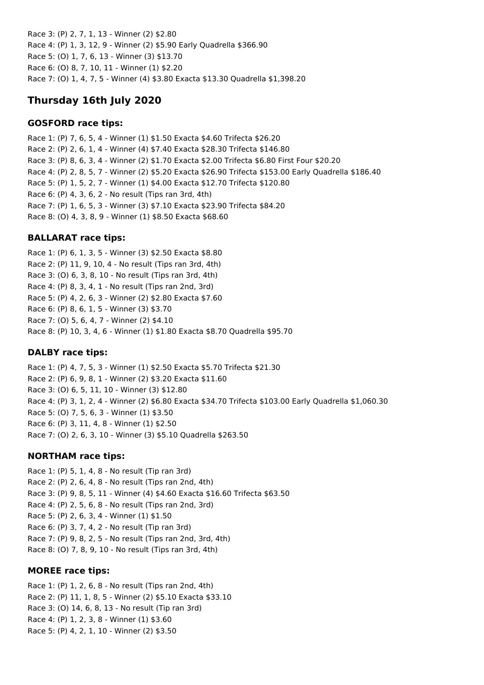Race 3: (P) 2, 7, 1, 13 - Winner (2) \$2.80 Race 4: (P) 1, 3, 12, 9 - Winner (2) \$5.90 Early Quadrella \$366.90 Race 5: (O) 1, 7, 6, 13 - Winner (3) \$13.70 Race 6: (O) 8, 7, 10, 11 - Winner (1) \$2.20 Race 7: (O) 1, 4, 7, 5 - Winner (4) \$3.80 Exacta \$13.30 Quadrella \$1,398.20

# **Thursday 16th July 2020**

## **GOSFORD race tips:**

Race 1: (P) 7, 6, 5, 4 - Winner (1) \$1.50 Exacta \$4.60 Trifecta \$26.20 Race 2: (P) 2, 6, 1, 4 - Winner (4) \$7.40 Exacta \$28.30 Trifecta \$146.80 Race 3: (P) 8, 6, 3, 4 - Winner (2) \$1.70 Exacta \$2.00 Trifecta \$6.80 First Four \$20.20 Race 4: (P) 2, 8, 5, 7 - Winner (2) \$5.20 Exacta \$26.90 Trifecta \$153.00 Early Quadrella \$186.40 Race 5: (P) 1, 5, 2, 7 - Winner (1) \$4.00 Exacta \$12.70 Trifecta \$120.80 Race 6: (P) 4, 3, 6, 2 - No result (Tips ran 3rd, 4th) Race 7: (P) 1, 6, 5, 3 - Winner (3) \$7.10 Exacta \$23.90 Trifecta \$84.20 Race 8: (O) 4, 3, 8, 9 - Winner (1) \$8.50 Exacta \$68.60

## **BALLARAT race tips:**

Race 1: (P) 6, 1, 3, 5 - Winner (3) \$2.50 Exacta \$8.80 Race 2: (P) 11, 9, 10, 4 - No result (Tips ran 3rd, 4th) Race 3: (O) 6, 3, 8, 10 - No result (Tips ran 3rd, 4th) Race 4: (P) 8, 3, 4, 1 - No result (Tips ran 2nd, 3rd) Race 5: (P) 4, 2, 6, 3 - Winner (2) \$2.80 Exacta \$7.60 Race 6: (P) 8, 6, 1, 5 - Winner (3) \$3.70 Race 7: (O) 5, 6, 4, 7 - Winner (2) \$4.10 Race 8: (P) 10, 3, 4, 6 - Winner (1) \$1.80 Exacta \$8.70 Quadrella \$95.70

## **DALBY race tips:**

Race 1: (P) 4, 7, 5, 3 - Winner (1) \$2.50 Exacta \$5.70 Trifecta \$21.30 Race 2: (P) 6, 9, 8, 1 - Winner (2) \$3.20 Exacta \$11.60 Race 3: (O) 6, 5, 11, 10 - Winner (3) \$12.80 Race 4: (P) 3, 1, 2, 4 - Winner (2) \$6.80 Exacta \$34.70 Trifecta \$103.00 Early Quadrella \$1,060.30 Race 5: (O) 7, 5, 6, 3 - Winner (1) \$3.50 Race 6: (P) 3, 11, 4, 8 - Winner (1) \$2.50 Race 7: (O) 2, 6, 3, 10 - Winner (3) \$5.10 Quadrella \$263.50

## **NORTHAM race tips:**

Race 1: (P) 5, 1, 4, 8 - No result (Tip ran 3rd) Race 2: (P) 2, 6, 4, 8 - No result (Tips ran 2nd, 4th) Race 3: (P) 9, 8, 5, 11 - Winner (4) \$4.60 Exacta \$16.60 Trifecta \$63.50 Race 4: (P) 2, 5, 6, 8 - No result (Tips ran 2nd, 3rd) Race 5: (P) 2, 6, 3, 4 - Winner (1) \$1.50 Race 6: (P) 3, 7, 4, 2 - No result (Tip ran 3rd) Race 7: (P) 9, 8, 2, 5 - No result (Tips ran 2nd, 3rd, 4th) Race 8: (O) 7, 8, 9, 10 - No result (Tips ran 3rd, 4th)

## **MOREE race tips:**

Race 1: (P) 1, 2, 6, 8 - No result (Tips ran 2nd, 4th) Race 2: (P) 11, 1, 8, 5 - Winner (2) \$5.10 Exacta \$33.10 Race 3: (O) 14, 6, 8, 13 - No result (Tip ran 3rd) Race 4: (P) 1, 2, 3, 8 - Winner (1) \$3.60 Race 5: (P) 4, 2, 1, 10 - Winner (2) \$3.50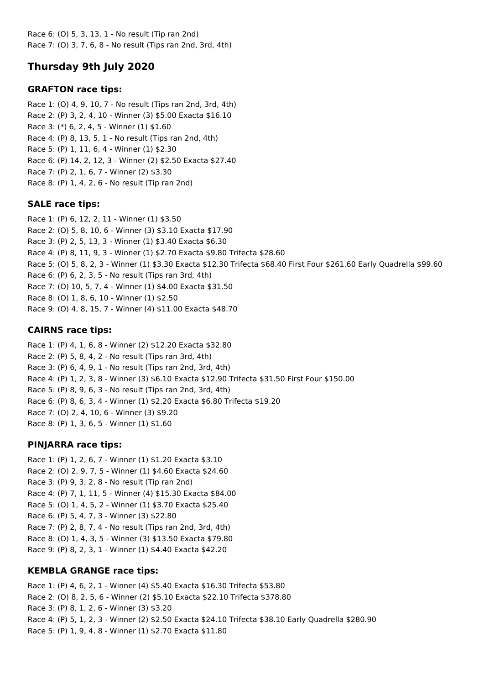Race 6: (O) 5, 3, 13, 1 - No result (Tip ran 2nd) Race 7: (O) 3, 7, 6, 8 - No result (Tips ran 2nd, 3rd, 4th)

# **Thursday 9th July 2020**

## **GRAFTON race tips:**

Race 1: (O) 4, 9, 10, 7 - No result (Tips ran 2nd, 3rd, 4th) Race 2: (P) 3, 2, 4, 10 - Winner (3) \$5.00 Exacta \$16.10 Race 3: (\*) 6, 2, 4, 5 - Winner (1) \$1.60 Race 4: (P) 8, 13, 5, 1 - No result (Tips ran 2nd, 4th) Race 5: (P) 1, 11, 6, 4 - Winner (1) \$2.30 Race 6: (P) 14, 2, 12, 3 - Winner (2) \$2.50 Exacta \$27.40 Race 7: (P) 2, 1, 6, 7 - Winner (2) \$3.30 Race 8: (P) 1, 4, 2, 6 - No result (Tip ran 2nd)

## **SALE race tips:**

Race 1: (P) 6, 12, 2, 11 - Winner (1) \$3.50 Race 2: (O) 5, 8, 10, 6 - Winner (3) \$3.10 Exacta \$17.90 Race 3: (P) 2, 5, 13, 3 - Winner (1) \$3.40 Exacta \$6.30 Race 4: (P) 8, 11, 9, 3 - Winner (1) \$2.70 Exacta \$9.80 Trifecta \$28.60 Race 5: (O) 5, 8, 2, 3 - Winner (1) \$3.30 Exacta \$12.30 Trifecta \$68.40 First Four \$261.60 Early Quadrella \$99.60 Race 6: (P) 6, 2, 3, 5 - No result (Tips ran 3rd, 4th) Race 7: (O) 10, 5, 7, 4 - Winner (1) \$4.00 Exacta \$31.50 Race 8: (O) 1, 8, 6, 10 - Winner (1) \$2.50 Race 9: (O) 4, 8, 15, 7 - Winner (4) \$11.00 Exacta \$48.70

## **CAIRNS race tips:**

Race 1: (P) 4, 1, 6, 8 - Winner (2) \$12.20 Exacta \$32.80 Race 2: (P) 5, 8, 4, 2 - No result (Tips ran 3rd, 4th) Race 3: (P) 6, 4, 9, 1 - No result (Tips ran 2nd, 3rd, 4th) Race 4: (P) 1, 2, 3, 8 - Winner (3) \$6.10 Exacta \$12.90 Trifecta \$31.50 First Four \$150.00 Race 5: (P) 8, 9, 6, 3 - No result (Tips ran 2nd, 3rd, 4th) Race 6: (P) 8, 6, 3, 4 - Winner (1) \$2.20 Exacta \$6.80 Trifecta \$19.20 Race 7: (O) 2, 4, 10, 6 - Winner (3) \$9.20 Race 8: (P) 1, 3, 6, 5 - Winner (1) \$1.60

## **PINJARRA race tips:**

Race 1: (P) 1, 2, 6, 7 - Winner (1) \$1.20 Exacta \$3.10 Race 2: (O) 2, 9, 7, 5 - Winner (1) \$4.60 Exacta \$24.60 Race 3: (P) 9, 3, 2, 8 - No result (Tip ran 2nd) Race 4: (P) 7, 1, 11, 5 - Winner (4) \$15.30 Exacta \$84.00 Race 5: (O) 1, 4, 5, 2 - Winner (1) \$3.70 Exacta \$25.40 Race 6: (P) 5, 4, 7, 3 - Winner (3) \$22.80 Race 7: (P) 2, 8, 7, 4 - No result (Tips ran 2nd, 3rd, 4th) Race 8: (O) 1, 4, 3, 5 - Winner (3) \$13.50 Exacta \$79.80 Race 9: (P) 8, 2, 3, 1 - Winner (1) \$4.40 Exacta \$42.20

## **KEMBLA GRANGE race tips:**

Race 1: (P) 4, 6, 2, 1 - Winner (4) \$5.40 Exacta \$16.30 Trifecta \$53.80 Race 2: (O) 8, 2, 5, 6 - Winner (2) \$5.10 Exacta \$22.10 Trifecta \$378.80 Race 3: (P) 8, 1, 2, 6 - Winner (3) \$3.20 Race 4: (P) 5, 1, 2, 3 - Winner (2) \$2.50 Exacta \$24.10 Trifecta \$38.10 Early Quadrella \$280.90 Race 5: (P) 1, 9, 4, 8 - Winner (1) \$2.70 Exacta \$11.80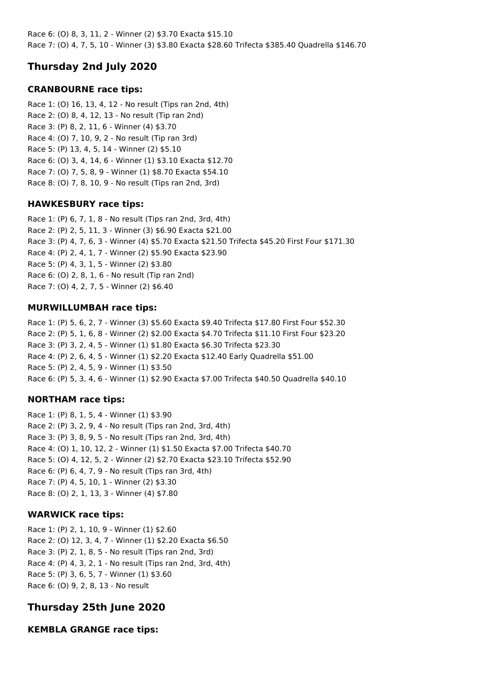Race 6: (O) 8, 3, 11, 2 - Winner (2) \$3.70 Exacta \$15.10 Race 7: (O) 4, 7, 5, 10 - Winner (3) \$3.80 Exacta \$28.60 Trifecta \$385.40 Quadrella \$146.70

# **Thursday 2nd July 2020**

## **CRANBOURNE race tips:**

Race 1: (O) 16, 13, 4, 12 - No result (Tips ran 2nd, 4th) Race 2: (O) 8, 4, 12, 13 - No result (Tip ran 2nd) Race 3: (P) 8, 2, 11, 6 - Winner (4) \$3.70 Race 4: (O) 7, 10, 9, 2 - No result (Tip ran 3rd) Race 5: (P) 13, 4, 5, 14 - Winner (2) \$5.10 Race 6: (O) 3, 4, 14, 6 - Winner (1) \$3.10 Exacta \$12.70 Race 7: (O) 7, 5, 8, 9 - Winner (1) \$8.70 Exacta \$54.10 Race 8: (O) 7, 8, 10, 9 - No result (Tips ran 2nd, 3rd)

## **HAWKESBURY race tips:**

Race 1: (P) 6, 7, 1, 8 - No result (Tips ran 2nd, 3rd, 4th) Race 2: (P) 2, 5, 11, 3 - Winner (3) \$6.90 Exacta \$21.00 Race 3: (P) 4, 7, 6, 3 - Winner (4) \$5.70 Exacta \$21.50 Trifecta \$45.20 First Four \$171.30 Race 4: (P) 2, 4, 1, 7 - Winner (2) \$5.90 Exacta \$23.90 Race 5: (P) 4, 3, 1, 5 - Winner (2) \$3.80 Race 6: (O) 2, 8, 1, 6 - No result (Tip ran 2nd) Race 7: (O) 4, 2, 7, 5 - Winner (2) \$6.40

## **MURWILLUMBAH race tips:**

Race 1: (P) 5, 6, 2, 7 - Winner (3) \$5.60 Exacta \$9.40 Trifecta \$17.80 First Four \$52.30 Race 2: (P) 5, 1, 6, 8 - Winner (2) \$2.00 Exacta \$4.70 Trifecta \$11.10 First Four \$23.20 Race 3: (P) 3, 2, 4, 5 - Winner (1) \$1.80 Exacta \$6.30 Trifecta \$23.30 Race 4: (P) 2, 6, 4, 5 - Winner (1) \$2.20 Exacta \$12.40 Early Quadrella \$51.00 Race 5: (P) 2, 4, 5, 9 - Winner (1) \$3.50 Race 6: (P) 5, 3, 4, 6 - Winner (1) \$2.90 Exacta \$7.00 Trifecta \$40.50 Quadrella \$40.10

## **NORTHAM race tips:**

Race 1: (P) 8, 1, 5, 4 - Winner (1) \$3.90 Race 2: (P) 3, 2, 9, 4 - No result (Tips ran 2nd, 3rd, 4th) Race 3: (P) 3, 8, 9, 5 - No result (Tips ran 2nd, 3rd, 4th) Race 4: (O) 1, 10, 12, 2 - Winner (1) \$1.50 Exacta \$7.00 Trifecta \$40.70 Race 5: (O) 4, 12, 5, 2 - Winner (2) \$2.70 Exacta \$23.10 Trifecta \$52.90 Race 6: (P) 6, 4, 7, 9 - No result (Tips ran 3rd, 4th) Race 7: (P) 4, 5, 10, 1 - Winner (2) \$3.30 Race 8: (O) 2, 1, 13, 3 - Winner (4) \$7.80

## **WARWICK race tips:**

Race 1: (P) 2, 1, 10, 9 - Winner (1) \$2.60 Race 2: (O) 12, 3, 4, 7 - Winner (1) \$2.20 Exacta \$6.50 Race 3: (P) 2, 1, 8, 5 - No result (Tips ran 2nd, 3rd) Race 4: (P) 4, 3, 2, 1 - No result (Tips ran 2nd, 3rd, 4th) Race 5: (P) 3, 6, 5, 7 - Winner (1) \$3.60 Race 6: (O) 9, 2, 8, 13 - No result

# **Thursday 25th June 2020**

**KEMBLA GRANGE race tips:**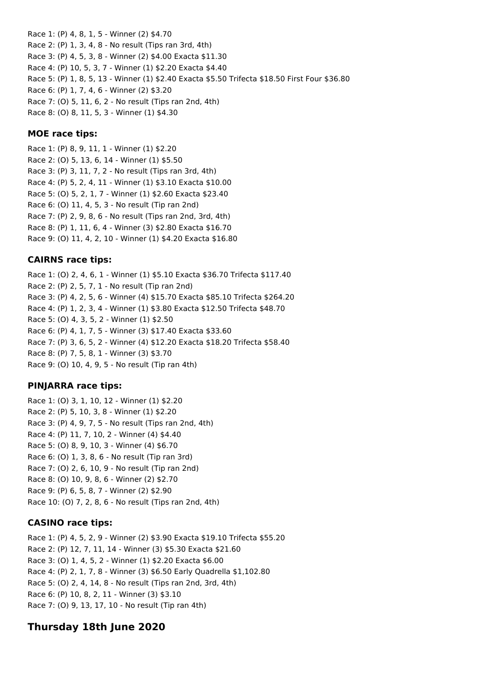Race 1: (P) 4, 8, 1, 5 - Winner (2) \$4.70 Race 2: (P) 1, 3, 4, 8 - No result (Tips ran 3rd, 4th) Race 3: (P) 4, 5, 3, 8 - Winner (2) \$4.00 Exacta \$11.30 Race 4: (P) 10, 5, 3, 7 - Winner (1) \$2.20 Exacta \$4.40 Race 5: (P) 1, 8, 5, 13 - Winner (1) \$2.40 Exacta \$5.50 Trifecta \$18.50 First Four \$36.80 Race 6: (P) 1, 7, 4, 6 - Winner (2) \$3.20 Race 7: (O) 5, 11, 6, 2 - No result (Tips ran 2nd, 4th) Race 8: (O) 8, 11, 5, 3 - Winner (1) \$4.30

## **MOE race tips:**

Race 1: (P) 8, 9, 11, 1 - Winner (1) \$2.20 Race 2: (O) 5, 13, 6, 14 - Winner (1) \$5.50 Race 3: (P) 3, 11, 7, 2 - No result (Tips ran 3rd, 4th) Race 4: (P) 5, 2, 4, 11 - Winner (1) \$3.10 Exacta \$10.00 Race 5: (O) 5, 2, 1, 7 - Winner (1) \$2.60 Exacta \$23.40 Race 6: (O) 11, 4, 5, 3 - No result (Tip ran 2nd) Race 7: (P) 2, 9, 8, 6 - No result (Tips ran 2nd, 3rd, 4th) Race 8: (P) 1, 11, 6, 4 - Winner (3) \$2.80 Exacta \$16.70 Race 9: (O) 11, 4, 2, 10 - Winner (1) \$4.20 Exacta \$16.80

## **CAIRNS race tips:**

Race 1: (O) 2, 4, 6, 1 - Winner (1) \$5.10 Exacta \$36.70 Trifecta \$117.40 Race 2: (P) 2, 5, 7, 1 - No result (Tip ran 2nd) Race 3: (P) 4, 2, 5, 6 - Winner (4) \$15.70 Exacta \$85.10 Trifecta \$264.20 Race 4: (P) 1, 2, 3, 4 - Winner (1) \$3.80 Exacta \$12.50 Trifecta \$48.70 Race 5: (O) 4, 3, 5, 2 - Winner (1) \$2.50 Race 6: (P) 4, 1, 7, 5 - Winner (3) \$17.40 Exacta \$33.60 Race 7: (P) 3, 6, 5, 2 - Winner (4) \$12.20 Exacta \$18.20 Trifecta \$58.40 Race 8: (P) 7, 5, 8, 1 - Winner (3) \$3.70 Race 9: (O) 10, 4, 9, 5 - No result (Tip ran 4th)

## **PINJARRA race tips:**

Race 1: (O) 3, 1, 10, 12 - Winner (1) \$2.20 Race 2: (P) 5, 10, 3, 8 - Winner (1) \$2.20 Race 3: (P) 4, 9, 7, 5 - No result (Tips ran 2nd, 4th) Race 4: (P) 11, 7, 10, 2 - Winner (4) \$4.40 Race 5: (O) 8, 9, 10, 3 - Winner (4) \$6.70 Race 6: (O) 1, 3, 8, 6 - No result (Tip ran 3rd) Race 7: (O) 2, 6, 10, 9 - No result (Tip ran 2nd) Race 8: (O) 10, 9, 8, 6 - Winner (2) \$2.70 Race 9: (P) 6, 5, 8, 7 - Winner (2) \$2.90 Race 10: (O) 7, 2, 8, 6 - No result (Tips ran 2nd, 4th)

## **CASINO race tips:**

Race 1: (P) 4, 5, 2, 9 - Winner (2) \$3.90 Exacta \$19.10 Trifecta \$55.20 Race 2: (P) 12, 7, 11, 14 - Winner (3) \$5.30 Exacta \$21.60 Race 3: (O) 1, 4, 5, 2 - Winner (1) \$2.20 Exacta \$6.00 Race 4: (P) 2, 1, 7, 8 - Winner (3) \$6.50 Early Quadrella \$1,102.80 Race 5: (O) 2, 4, 14, 8 - No result (Tips ran 2nd, 3rd, 4th) Race 6: (P) 10, 8, 2, 11 - Winner (3) \$3.10 Race 7: (O) 9, 13, 17, 10 - No result (Tip ran 4th)

## **Thursday 18th June 2020**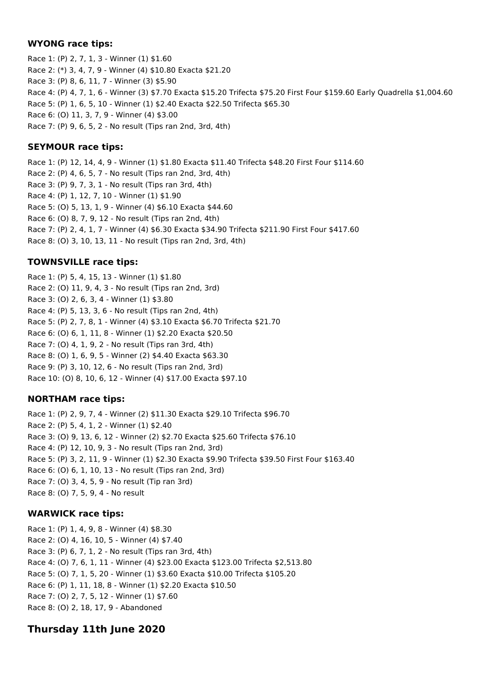## **WYONG race tips:**

Race 1: (P) 2, 7, 1, 3 - Winner (1) \$1.60 Race 2: (\*) 3, 4, 7, 9 - Winner (4) \$10.80 Exacta \$21.20 Race 3: (P) 8, 6, 11, 7 - Winner (3) \$5.90 Race 4: (P) 4, 7, 1, 6 - Winner (3) \$7.70 Exacta \$15.20 Trifecta \$75.20 First Four \$159.60 Early Quadrella \$1,004.60 Race 5: (P) 1, 6, 5, 10 - Winner (1) \$2.40 Exacta \$22.50 Trifecta \$65.30 Race 6: (O) 11, 3, 7, 9 - Winner (4) \$3.00 Race 7: (P) 9, 6, 5, 2 - No result (Tips ran 2nd, 3rd, 4th)

## **SEYMOUR race tips:**

Race 1: (P) 12, 14, 4, 9 - Winner (1) \$1.80 Exacta \$11.40 Trifecta \$48.20 First Four \$114.60 Race 2: (P) 4, 6, 5, 7 - No result (Tips ran 2nd, 3rd, 4th) Race 3: (P) 9, 7, 3, 1 - No result (Tips ran 3rd, 4th) Race 4: (P) 1, 12, 7, 10 - Winner (1) \$1.90 Race 5: (O) 5, 13, 1, 9 - Winner (4) \$6.10 Exacta \$44.60 Race 6: (O) 8, 7, 9, 12 - No result (Tips ran 2nd, 4th) Race 7: (P) 2, 4, 1, 7 - Winner (4) \$6.30 Exacta \$34.90 Trifecta \$211.90 First Four \$417.60 Race 8: (O) 3, 10, 13, 11 - No result (Tips ran 2nd, 3rd, 4th)

## **TOWNSVILLE race tips:**

Race 1: (P) 5, 4, 15, 13 - Winner (1) \$1.80 Race 2: (O) 11, 9, 4, 3 - No result (Tips ran 2nd, 3rd) Race 3: (O) 2, 6, 3, 4 - Winner (1) \$3.80 Race 4: (P) 5, 13, 3, 6 - No result (Tips ran 2nd, 4th) Race 5: (P) 2, 7, 8, 1 - Winner (4) \$3.10 Exacta \$6.70 Trifecta \$21.70 Race 6: (O) 6, 1, 11, 8 - Winner (1) \$2.20 Exacta \$20.50 Race 7: (O) 4, 1, 9, 2 - No result (Tips ran 3rd, 4th) Race 8: (O) 1, 6, 9, 5 - Winner (2) \$4.40 Exacta \$63.30 Race 9: (P) 3, 10, 12, 6 - No result (Tips ran 2nd, 3rd) Race 10: (O) 8, 10, 6, 12 - Winner (4) \$17.00 Exacta \$97.10

## **NORTHAM race tips:**

Race 1: (P) 2, 9, 7, 4 - Winner (2) \$11.30 Exacta \$29.10 Trifecta \$96.70 Race 2: (P) 5, 4, 1, 2 - Winner (1) \$2.40 Race 3: (O) 9, 13, 6, 12 - Winner (2) \$2.70 Exacta \$25.60 Trifecta \$76.10 Race 4: (P) 12, 10, 9, 3 - No result (Tips ran 2nd, 3rd) Race 5: (P) 3, 2, 11, 9 - Winner (1) \$2.30 Exacta \$9.90 Trifecta \$39.50 First Four \$163.40 Race 6: (O) 6, 1, 10, 13 - No result (Tips ran 2nd, 3rd) Race 7: (O) 3, 4, 5, 9 - No result (Tip ran 3rd) Race 8: (O) 7, 5, 9, 4 - No result

## **WARWICK race tips:**

Race 1: (P) 1, 4, 9, 8 - Winner (4) \$8.30 Race 2: (O) 4, 16, 10, 5 - Winner (4) \$7.40 Race 3: (P) 6, 7, 1, 2 - No result (Tips ran 3rd, 4th) Race 4: (O) 7, 6, 1, 11 - Winner (4) \$23.00 Exacta \$123.00 Trifecta \$2,513.80 Race 5: (O) 7, 1, 5, 20 - Winner (1) \$3.60 Exacta \$10.00 Trifecta \$105.20 Race 6: (P) 1, 11, 18, 8 - Winner (1) \$2.20 Exacta \$10.50 Race 7: (O) 2, 7, 5, 12 - Winner (1) \$7.60 Race 8: (O) 2, 18, 17, 9 - Abandoned

# **Thursday 11th June 2020**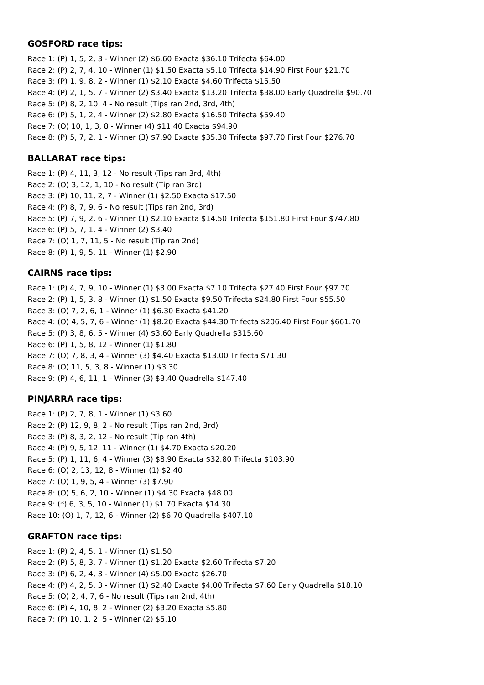## **GOSFORD race tips:**

Race 1: (P) 1, 5, 2, 3 - Winner (2) \$6.60 Exacta \$36.10 Trifecta \$64.00 Race 2: (P) 2, 7, 4, 10 - Winner (1) \$1.50 Exacta \$5.10 Trifecta \$14.90 First Four \$21.70 Race 3: (P) 1, 9, 8, 2 - Winner (1) \$2.10 Exacta \$4.60 Trifecta \$15.50 Race 4: (P) 2, 1, 5, 7 - Winner (2) \$3.40 Exacta \$13.20 Trifecta \$38.00 Early Quadrella \$90.70 Race 5: (P) 8, 2, 10, 4 - No result (Tips ran 2nd, 3rd, 4th) Race 6: (P) 5, 1, 2, 4 - Winner (2) \$2.80 Exacta \$16.50 Trifecta \$59.40 Race 7: (O) 10, 1, 3, 8 - Winner (4) \$11.40 Exacta \$94.90 Race 8: (P) 5, 7, 2, 1 - Winner (3) \$7.90 Exacta \$35.30 Trifecta \$97.70 First Four \$276.70

## **BALLARAT race tips:**

Race 1: (P) 4, 11, 3, 12 - No result (Tips ran 3rd, 4th) Race 2: (O) 3, 12, 1, 10 - No result (Tip ran 3rd) Race 3: (P) 10, 11, 2, 7 - Winner (1) \$2.50 Exacta \$17.50 Race 4: (P) 8, 7, 9, 6 - No result (Tips ran 2nd, 3rd) Race 5: (P) 7, 9, 2, 6 - Winner (1) \$2.10 Exacta \$14.50 Trifecta \$151.80 First Four \$747.80 Race 6: (P) 5, 7, 1, 4 - Winner (2) \$3.40 Race 7: (O) 1, 7, 11, 5 - No result (Tip ran 2nd) Race 8: (P) 1, 9, 5, 11 - Winner (1) \$2.90

## **CAIRNS race tips:**

Race 1: (P) 4, 7, 9, 10 - Winner (1) \$3.00 Exacta \$7.10 Trifecta \$27.40 First Four \$97.70 Race 2: (P) 1, 5, 3, 8 - Winner (1) \$1.50 Exacta \$9.50 Trifecta \$24.80 First Four \$55.50 Race 3: (O) 7, 2, 6, 1 - Winner (1) \$6.30 Exacta \$41.20 Race 4: (O) 4, 5, 7, 6 - Winner (1) \$8.20 Exacta \$44.30 Trifecta \$206.40 First Four \$661.70 Race 5: (P) 3, 8, 6, 5 - Winner (4) \$3.60 Early Quadrella \$315.60 Race 6: (P) 1, 5, 8, 12 - Winner (1) \$1.80 Race 7: (O) 7, 8, 3, 4 - Winner (3) \$4.40 Exacta \$13.00 Trifecta \$71.30 Race 8: (O) 11, 5, 3, 8 - Winner (1) \$3.30 Race 9: (P) 4, 6, 11, 1 - Winner (3) \$3.40 Quadrella \$147.40

## **PINJARRA race tips:**

Race 1: (P) 2, 7, 8, 1 - Winner (1) \$3.60 Race 2: (P) 12, 9, 8, 2 - No result (Tips ran 2nd, 3rd) Race 3: (P) 8, 3, 2, 12 - No result (Tip ran 4th) Race 4: (P) 9, 5, 12, 11 - Winner (1) \$4.70 Exacta \$20.20 Race 5: (P) 1, 11, 6, 4 - Winner (3) \$8.90 Exacta \$32.80 Trifecta \$103.90 Race 6: (O) 2, 13, 12, 8 - Winner (1) \$2.40 Race 7: (O) 1, 9, 5, 4 - Winner (3) \$7.90 Race 8: (O) 5, 6, 2, 10 - Winner (1) \$4.30 Exacta \$48.00 Race 9: (\*) 6, 3, 5, 10 - Winner (1) \$1.70 Exacta \$14.30 Race 10: (O) 1, 7, 12, 6 - Winner (2) \$6.70 Quadrella \$407.10

## **GRAFTON race tips:**

Race 1: (P) 2, 4, 5, 1 - Winner (1) \$1.50 Race 2: (P) 5, 8, 3, 7 - Winner (1) \$1.20 Exacta \$2.60 Trifecta \$7.20 Race 3: (P) 6, 2, 4, 3 - Winner (4) \$5.00 Exacta \$26.70 Race 4: (P) 4, 2, 5, 3 - Winner (1) \$2.40 Exacta \$4.00 Trifecta \$7.60 Early Quadrella \$18.10 Race 5: (O) 2, 4, 7, 6 - No result (Tips ran 2nd, 4th) Race 6: (P) 4, 10, 8, 2 - Winner (2) \$3.20 Exacta \$5.80 Race 7: (P) 10, 1, 2, 5 - Winner (2) \$5.10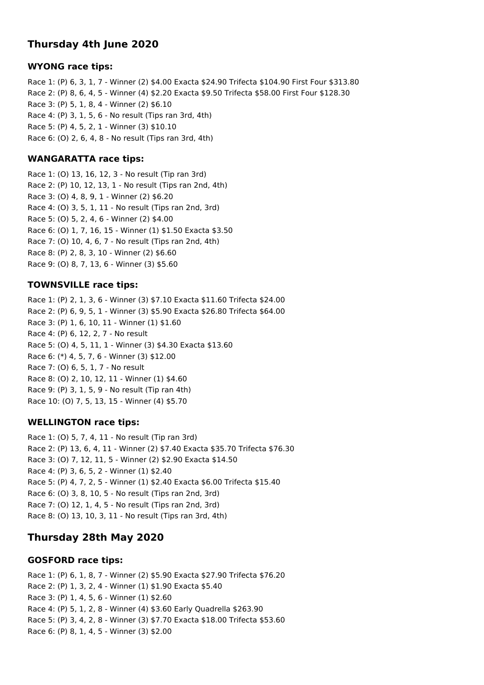## **Thursday 4th June 2020**

#### **WYONG race tips:**

Race 1: (P) 6, 3, 1, 7 - Winner (2) \$4.00 Exacta \$24.90 Trifecta \$104.90 First Four \$313.80 Race 2: (P) 8, 6, 4, 5 - Winner (4) \$2.20 Exacta \$9.50 Trifecta \$58.00 First Four \$128.30 Race 3: (P) 5, 1, 8, 4 - Winner (2) \$6.10 Race 4: (P) 3, 1, 5, 6 - No result (Tips ran 3rd, 4th) Race 5: (P) 4, 5, 2, 1 - Winner (3) \$10.10 Race 6: (O) 2, 6, 4, 8 - No result (Tips ran 3rd, 4th)

#### **WANGARATTA race tips:**

Race 1: (O) 13, 16, 12, 3 - No result (Tip ran 3rd) Race 2: (P) 10, 12, 13, 1 - No result (Tips ran 2nd, 4th) Race 3: (O) 4, 8, 9, 1 - Winner (2) \$6.20 Race 4: (O) 3, 5, 1, 11 - No result (Tips ran 2nd, 3rd) Race 5: (O) 5, 2, 4, 6 - Winner (2) \$4.00 Race 6: (O) 1, 7, 16, 15 - Winner (1) \$1.50 Exacta \$3.50 Race 7: (O) 10, 4, 6, 7 - No result (Tips ran 2nd, 4th) Race 8: (P) 2, 8, 3, 10 - Winner (2) \$6.60 Race 9: (O) 8, 7, 13, 6 - Winner (3) \$5.60

### **TOWNSVILLE race tips:**

Race 1: (P) 2, 1, 3, 6 - Winner (3) \$7.10 Exacta \$11.60 Trifecta \$24.00 Race 2: (P) 6, 9, 5, 1 - Winner (3) \$5.90 Exacta \$26.80 Trifecta \$64.00 Race 3: (P) 1, 6, 10, 11 - Winner (1) \$1.60 Race 4: (P) 6, 12, 2, 7 - No result Race 5: (O) 4, 5, 11, 1 - Winner (3) \$4.30 Exacta \$13.60 Race 6: (\*) 4, 5, 7, 6 - Winner (3) \$12.00 Race 7: (O) 6, 5, 1, 7 - No result Race 8: (O) 2, 10, 12, 11 - Winner (1) \$4.60 Race 9: (P) 3, 1, 5, 9 - No result (Tip ran 4th) Race 10: (O) 7, 5, 13, 15 - Winner (4) \$5.70

#### **WELLINGTON race tips:**

Race 1: (O) 5, 7, 4, 11 - No result (Tip ran 3rd) Race 2: (P) 13, 6, 4, 11 - Winner (2) \$7.40 Exacta \$35.70 Trifecta \$76.30 Race 3: (O) 7, 12, 11, 5 - Winner (2) \$2.90 Exacta \$14.50 Race 4: (P) 3, 6, 5, 2 - Winner (1) \$2.40 Race 5: (P) 4, 7, 2, 5 - Winner (1) \$2.40 Exacta \$6.00 Trifecta \$15.40 Race 6: (O) 3, 8, 10, 5 - No result (Tips ran 2nd, 3rd) Race 7: (O) 12, 1, 4, 5 - No result (Tips ran 2nd, 3rd) Race 8: (O) 13, 10, 3, 11 - No result (Tips ran 3rd, 4th)

## **Thursday 28th May 2020**

## **GOSFORD race tips:**

Race 1: (P) 6, 1, 8, 7 - Winner (2) \$5.90 Exacta \$27.90 Trifecta \$76.20 Race 2: (P) 1, 3, 2, 4 - Winner (1) \$1.90 Exacta \$5.40 Race 3: (P) 1, 4, 5, 6 - Winner (1) \$2.60 Race 4: (P) 5, 1, 2, 8 - Winner (4) \$3.60 Early Quadrella \$263.90 Race 5: (P) 3, 4, 2, 8 - Winner (3) \$7.70 Exacta \$18.00 Trifecta \$53.60 Race 6: (P) 8, 1, 4, 5 - Winner (3) \$2.00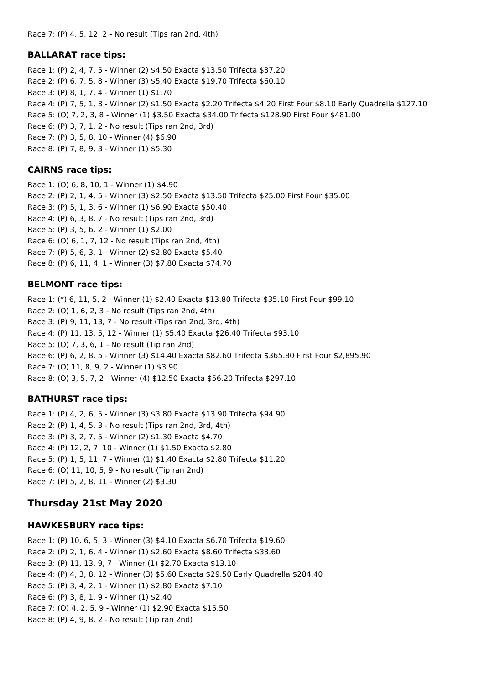#### **BALLARAT race tips:**

Race 1: (P) 2, 4, 7, 5 - Winner (2) \$4.50 Exacta \$13.50 Trifecta \$37.20 Race 2: (P) 6, 7, 5, 8 - Winner (3) \$5.40 Exacta \$19.70 Trifecta \$60.10 Race 3: (P) 8, 1, 7, 4 - Winner (1) \$1.70 Race 4: (P) 7, 5, 1, 3 - Winner (2) \$1.50 Exacta \$2.20 Trifecta \$4.20 First Four \$8.10 Early Quadrella \$127.10 Race 5: (O) 7, 2, 3, 8 - Winner (1) \$3.50 Exacta \$34.00 Trifecta \$128.90 First Four \$481.00 Race 6: (P) 3, 7, 1, 2 - No result (Tips ran 2nd, 3rd) Race 7: (P) 3, 5, 8, 10 - Winner (4) \$6.90 Race 8: (P) 7, 8, 9, 3 - Winner (1) \$5.30

### **CAIRNS race tips:**

Race 1: (O) 6, 8, 10, 1 - Winner (1) \$4.90 Race 2: (P) 2, 1, 4, 5 - Winner (3) \$2.50 Exacta \$13.50 Trifecta \$25.00 First Four \$35.00 Race 3: (P) 5, 1, 3, 6 - Winner (1) \$6.90 Exacta \$50.40 Race 4: (P) 6, 3, 8, 7 - No result (Tips ran 2nd, 3rd) Race 5: (P) 3, 5, 6, 2 - Winner (1) \$2.00 Race 6: (O) 6, 1, 7, 12 - No result (Tips ran 2nd, 4th) Race 7: (P) 5, 6, 3, 1 - Winner (2) \$2.80 Exacta \$5.40 Race 8: (P) 6, 11, 4, 1 - Winner (3) \$7.80 Exacta \$74.70

### **BELMONT race tips:**

Race 1: (\*) 6, 11, 5, 2 - Winner (1) \$2.40 Exacta \$13.80 Trifecta \$35.10 First Four \$99.10 Race 2: (O) 1, 6, 2, 3 - No result (Tips ran 2nd, 4th) Race 3: (P) 9, 11, 13, 7 - No result (Tips ran 2nd, 3rd, 4th) Race 4: (P) 11, 13, 5, 12 - Winner (1) \$5.40 Exacta \$26.40 Trifecta \$93.10 Race 5: (O) 7, 3, 6, 1 - No result (Tip ran 2nd) Race 6: (P) 6, 2, 8, 5 - Winner (3) \$14.40 Exacta \$82.60 Trifecta \$365.80 First Four \$2,895.90 Race 7: (O) 11, 8, 9, 2 - Winner (1) \$3.90 Race 8: (O) 3, 5, 7, 2 - Winner (4) \$12.50 Exacta \$56.20 Trifecta \$297.10

## **BATHURST race tips:**

Race 1: (P) 4, 2, 6, 5 - Winner (3) \$3.80 Exacta \$13.90 Trifecta \$94.90 Race 2: (P) 1, 4, 5, 3 - No result (Tips ran 2nd, 3rd, 4th) Race 3: (P) 3, 2, 7, 5 - Winner (2) \$1.30 Exacta \$4.70 Race 4: (P) 12, 2, 7, 10 - Winner (1) \$1.50 Exacta \$2.80 Race 5: (P) 1, 5, 11, 7 - Winner (1) \$1.40 Exacta \$2.80 Trifecta \$11.20 Race 6: (O) 11, 10, 5, 9 - No result (Tip ran 2nd) Race 7: (P) 5, 2, 8, 11 - Winner (2) \$3.30

## **Thursday 21st May 2020**

#### **HAWKESBURY race tips:**

Race 1: (P) 10, 6, 5, 3 - Winner (3) \$4.10 Exacta \$6.70 Trifecta \$19.60 Race 2: (P) 2, 1, 6, 4 - Winner (1) \$2.60 Exacta \$8.60 Trifecta \$33.60 Race 3: (P) 11, 13, 9, 7 - Winner (1) \$2.70 Exacta \$13.10 Race 4: (P) 4, 3, 8, 12 - Winner (3) \$5.60 Exacta \$29.50 Early Quadrella \$284.40 Race 5: (P) 3, 4, 2, 1 - Winner (1) \$2.80 Exacta \$7.10 Race 6: (P) 3, 8, 1, 9 - Winner (1) \$2.40 Race 7: (O) 4, 2, 5, 9 - Winner (1) \$2.90 Exacta \$15.50 Race 8: (P) 4, 9, 8, 2 - No result (Tip ran 2nd)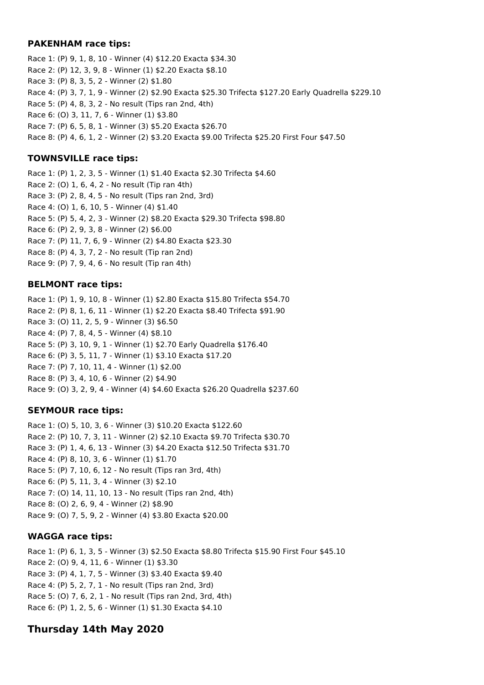### **PAKENHAM race tips:**

Race 1: (P) 9, 1, 8, 10 - Winner (4) \$12.20 Exacta \$34.30 Race 2: (P) 12, 3, 9, 8 - Winner (1) \$2.20 Exacta \$8.10 Race 3: (P) 8, 3, 5, 2 - Winner (2) \$1.80 Race 4: (P) 3, 7, 1, 9 - Winner (2) \$2.90 Exacta \$25.30 Trifecta \$127.20 Early Quadrella \$229.10 Race 5: (P) 4, 8, 3, 2 - No result (Tips ran 2nd, 4th) Race 6: (O) 3, 11, 7, 6 - Winner (1) \$3.80 Race 7: (P) 6, 5, 8, 1 - Winner (3) \$5.20 Exacta \$26.70 Race 8: (P) 4, 6, 1, 2 - Winner (2) \$3.20 Exacta \$9.00 Trifecta \$25.20 First Four \$47.50

## **TOWNSVILLE race tips:**

Race 1: (P) 1, 2, 3, 5 - Winner (1) \$1.40 Exacta \$2.30 Trifecta \$4.60 Race 2: (O) 1, 6, 4, 2 - No result (Tip ran 4th) Race 3: (P) 2, 8, 4, 5 - No result (Tips ran 2nd, 3rd) Race 4: (O) 1, 6, 10, 5 - Winner (4) \$1.40 Race 5: (P) 5, 4, 2, 3 - Winner (2) \$8.20 Exacta \$29.30 Trifecta \$98.80 Race 6: (P) 2, 9, 3, 8 - Winner (2) \$6.00 Race 7: (P) 11, 7, 6, 9 - Winner (2) \$4.80 Exacta \$23.30 Race 8: (P) 4, 3, 7, 2 - No result (Tip ran 2nd) Race 9: (P) 7, 9, 4, 6 - No result (Tip ran 4th)

## **BELMONT race tips:**

Race 1: (P) 1, 9, 10, 8 - Winner (1) \$2.80 Exacta \$15.80 Trifecta \$54.70 Race 2: (P) 8, 1, 6, 11 - Winner (1) \$2.20 Exacta \$8.40 Trifecta \$91.90 Race 3: (O) 11, 2, 5, 9 - Winner (3) \$6.50 Race 4: (P) 7, 8, 4, 5 - Winner (4) \$8.10 Race 5: (P) 3, 10, 9, 1 - Winner (1) \$2.70 Early Quadrella \$176.40 Race 6: (P) 3, 5, 11, 7 - Winner (1) \$3.10 Exacta \$17.20 Race 7: (P) 7, 10, 11, 4 - Winner (1) \$2.00 Race 8: (P) 3, 4, 10, 6 - Winner (2) \$4.90 Race 9: (O) 3, 2, 9, 4 - Winner (4) \$4.60 Exacta \$26.20 Quadrella \$237.60

## **SEYMOUR race tips:**

Race 1: (O) 5, 10, 3, 6 - Winner (3) \$10.20 Exacta \$122.60 Race 2: (P) 10, 7, 3, 11 - Winner (2) \$2.10 Exacta \$9.70 Trifecta \$30.70 Race 3: (P) 1, 4, 6, 13 - Winner (3) \$4.20 Exacta \$12.50 Trifecta \$31.70 Race 4: (P) 8, 10, 3, 6 - Winner (1) \$1.70 Race 5: (P) 7, 10, 6, 12 - No result (Tips ran 3rd, 4th) Race 6: (P) 5, 11, 3, 4 - Winner (3) \$2.10 Race 7: (O) 14, 11, 10, 13 - No result (Tips ran 2nd, 4th) Race 8: (O) 2, 6, 9, 4 - Winner (2) \$8.90 Race 9: (O) 7, 5, 9, 2 - Winner (4) \$3.80 Exacta \$20.00

## **WAGGA race tips:**

Race 1: (P) 6, 1, 3, 5 - Winner (3) \$2.50 Exacta \$8.80 Trifecta \$15.90 First Four \$45.10 Race 2: (O) 9, 4, 11, 6 - Winner (1) \$3.30 Race 3: (P) 4, 1, 7, 5 - Winner (3) \$3.40 Exacta \$9.40 Race 4: (P) 5, 2, 7, 1 - No result (Tips ran 2nd, 3rd) Race 5: (O) 7, 6, 2, 1 - No result (Tips ran 2nd, 3rd, 4th) Race 6: (P) 1, 2, 5, 6 - Winner (1) \$1.30 Exacta \$4.10

## **Thursday 14th May 2020**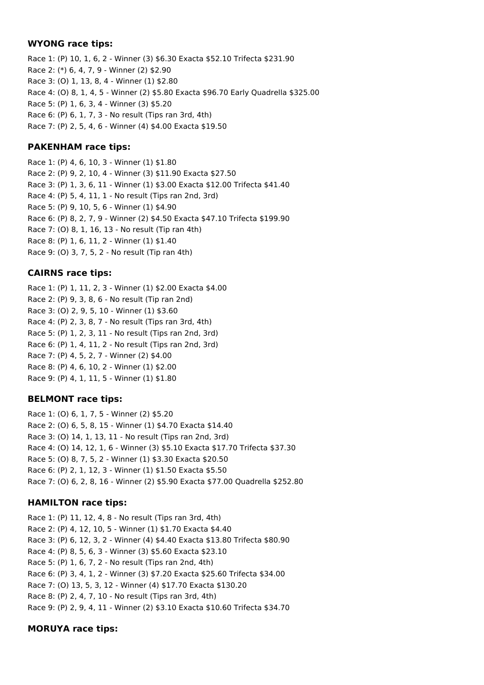### **WYONG race tips:**

Race 1: (P) 10, 1, 6, 2 - Winner (3) \$6.30 Exacta \$52.10 Trifecta \$231.90 Race 2: (\*) 6, 4, 7, 9 - Winner (2) \$2.90 Race 3: (O) 1, 13, 8, 4 - Winner (1) \$2.80 Race 4: (O) 8, 1, 4, 5 - Winner (2) \$5.80 Exacta \$96.70 Early Quadrella \$325.00 Race 5: (P) 1, 6, 3, 4 - Winner (3) \$5.20 Race 6: (P) 6, 1, 7, 3 - No result (Tips ran 3rd, 4th) Race 7: (P) 2, 5, 4, 6 - Winner (4) \$4.00 Exacta \$19.50

## **PAKENHAM race tips:**

Race 1: (P) 4, 6, 10, 3 - Winner (1) \$1.80 Race 2: (P) 9, 2, 10, 4 - Winner (3) \$11.90 Exacta \$27.50 Race 3: (P) 1, 3, 6, 11 - Winner (1) \$3.00 Exacta \$12.00 Trifecta \$41.40 Race 4: (P) 5, 4, 11, 1 - No result (Tips ran 2nd, 3rd) Race 5: (P) 9, 10, 5, 6 - Winner (1) \$4.90 Race 6: (P) 8, 2, 7, 9 - Winner (2) \$4.50 Exacta \$47.10 Trifecta \$199.90 Race 7: (O) 8, 1, 16, 13 - No result (Tip ran 4th) Race 8: (P) 1, 6, 11, 2 - Winner (1) \$1.40 Race 9: (O) 3, 7, 5, 2 - No result (Tip ran 4th)

## **CAIRNS race tips:**

Race 1: (P) 1, 11, 2, 3 - Winner (1) \$2.00 Exacta \$4.00 Race 2: (P) 9, 3, 8, 6 - No result (Tip ran 2nd) Race 3: (O) 2, 9, 5, 10 - Winner (1) \$3.60 Race 4: (P) 2, 3, 8, 7 - No result (Tips ran 3rd, 4th) Race 5: (P) 1, 2, 3, 11 - No result (Tips ran 2nd, 3rd) Race 6: (P) 1, 4, 11, 2 - No result (Tips ran 2nd, 3rd) Race 7: (P) 4, 5, 2, 7 - Winner (2) \$4.00 Race 8: (P) 4, 6, 10, 2 - Winner (1) \$2.00 Race 9: (P) 4, 1, 11, 5 - Winner (1) \$1.80

## **BELMONT race tips:**

Race 1: (O) 6, 1, 7, 5 - Winner (2) \$5.20 Race 2: (O) 6, 5, 8, 15 - Winner (1) \$4.70 Exacta \$14.40 Race 3: (O) 14, 1, 13, 11 - No result (Tips ran 2nd, 3rd) Race 4: (O) 14, 12, 1, 6 - Winner (3) \$5.10 Exacta \$17.70 Trifecta \$37.30 Race 5: (O) 8, 7, 5, 2 - Winner (1) \$3.30 Exacta \$20.50 Race 6: (P) 2, 1, 12, 3 - Winner (1) \$1.50 Exacta \$5.50 Race 7: (O) 6, 2, 8, 16 - Winner (2) \$5.90 Exacta \$77.00 Quadrella \$252.80

## **HAMILTON race tips:**

Race 1: (P) 11, 12, 4, 8 - No result (Tips ran 3rd, 4th) Race 2: (P) 4, 12, 10, 5 - Winner (1) \$1.70 Exacta \$4.40 Race 3: (P) 6, 12, 3, 2 - Winner (4) \$4.40 Exacta \$13.80 Trifecta \$80.90 Race 4: (P) 8, 5, 6, 3 - Winner (3) \$5.60 Exacta \$23.10 Race 5: (P) 1, 6, 7, 2 - No result (Tips ran 2nd, 4th) Race 6: (P) 3, 4, 1, 2 - Winner (3) \$7.20 Exacta \$25.60 Trifecta \$34.00 Race 7: (O) 13, 5, 3, 12 - Winner (4) \$17.70 Exacta \$130.20 Race 8: (P) 2, 4, 7, 10 - No result (Tips ran 3rd, 4th) Race 9: (P) 2, 9, 4, 11 - Winner (2) \$3.10 Exacta \$10.60 Trifecta \$34.70

## **MORUYA race tips:**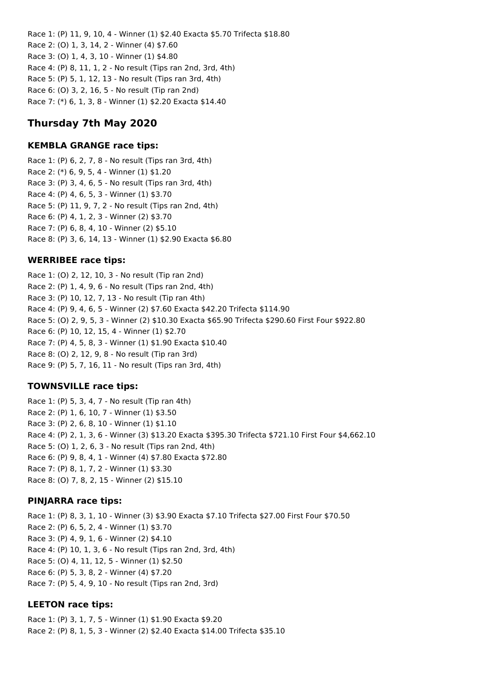Race 1: (P) 11, 9, 10, 4 - Winner (1) \$2.40 Exacta \$5.70 Trifecta \$18.80 Race 2: (O) 1, 3, 14, 2 - Winner (4) \$7.60 Race 3: (O) 1, 4, 3, 10 - Winner (1) \$4.80 Race 4: (P) 8, 11, 1, 2 - No result (Tips ran 2nd, 3rd, 4th) Race 5: (P) 5, 1, 12, 13 - No result (Tips ran 3rd, 4th) Race 6: (O) 3, 2, 16, 5 - No result (Tip ran 2nd) Race 7: (\*) 6, 1, 3, 8 - Winner (1) \$2.20 Exacta \$14.40

# **Thursday 7th May 2020**

## **KEMBLA GRANGE race tips:**

Race 1: (P) 6, 2, 7, 8 - No result (Tips ran 3rd, 4th) Race 2: (\*) 6, 9, 5, 4 - Winner (1) \$1.20 Race 3: (P) 3, 4, 6, 5 - No result (Tips ran 3rd, 4th) Race 4: (P) 4, 6, 5, 3 - Winner (1) \$3.70 Race 5: (P) 11, 9, 7, 2 - No result (Tips ran 2nd, 4th) Race 6: (P) 4, 1, 2, 3 - Winner (2) \$3.70 Race 7: (P) 6, 8, 4, 10 - Winner (2) \$5.10 Race 8: (P) 3, 6, 14, 13 - Winner (1) \$2.90 Exacta \$6.80

## **WERRIBEE race tips:**

Race 1: (O) 2, 12, 10, 3 - No result (Tip ran 2nd) Race 2: (P) 1, 4, 9, 6 - No result (Tips ran 2nd, 4th) Race 3: (P) 10, 12, 7, 13 - No result (Tip ran 4th) Race 4: (P) 9, 4, 6, 5 - Winner (2) \$7.60 Exacta \$42.20 Trifecta \$114.90 Race 5: (O) 2, 9, 5, 3 - Winner (2) \$10.30 Exacta \$65.90 Trifecta \$290.60 First Four \$922.80 Race 6: (P) 10, 12, 15, 4 - Winner (1) \$2.70 Race 7: (P) 4, 5, 8, 3 - Winner (1) \$1.90 Exacta \$10.40 Race 8: (O) 2, 12, 9, 8 - No result (Tip ran 3rd) Race 9: (P) 5, 7, 16, 11 - No result (Tips ran 3rd, 4th)

## **TOWNSVILLE race tips:**

Race 1: (P) 5, 3, 4, 7 - No result (Tip ran 4th) Race 2: (P) 1, 6, 10, 7 - Winner (1) \$3.50 Race 3: (P) 2, 6, 8, 10 - Winner (1) \$1.10 Race 4: (P) 2, 1, 3, 6 - Winner (3) \$13.20 Exacta \$395.30 Trifecta \$721.10 First Four \$4,662.10 Race 5: (O) 1, 2, 6, 3 - No result (Tips ran 2nd, 4th) Race 6: (P) 9, 8, 4, 1 - Winner (4) \$7.80 Exacta \$72.80 Race 7: (P) 8, 1, 7, 2 - Winner (1) \$3.30 Race 8: (O) 7, 8, 2, 15 - Winner (2) \$15.10

## **PINJARRA race tips:**

Race 1: (P) 8, 3, 1, 10 - Winner (3) \$3.90 Exacta \$7.10 Trifecta \$27.00 First Four \$70.50 Race 2: (P) 6, 5, 2, 4 - Winner (1) \$3.70 Race 3: (P) 4, 9, 1, 6 - Winner (2) \$4.10 Race 4: (P) 10, 1, 3, 6 - No result (Tips ran 2nd, 3rd, 4th) Race 5: (O) 4, 11, 12, 5 - Winner (1) \$2.50 Race 6: (P) 5, 3, 8, 2 - Winner (4) \$7.20 Race 7: (P) 5, 4, 9, 10 - No result (Tips ran 2nd, 3rd)

## **LEETON race tips:**

Race 1: (P) 3, 1, 7, 5 - Winner (1) \$1.90 Exacta \$9.20 Race 2: (P) 8, 1, 5, 3 - Winner (2) \$2.40 Exacta \$14.00 Trifecta \$35.10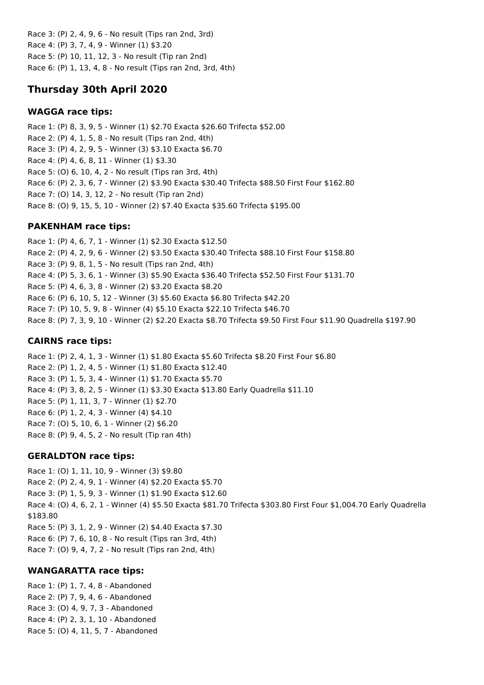Race 3: (P) 2, 4, 9, 6 - No result (Tips ran 2nd, 3rd) Race 4: (P) 3, 7, 4, 9 - Winner (1) \$3.20 Race 5: (P) 10, 11, 12, 3 - No result (Tip ran 2nd) Race 6: (P) 1, 13, 4, 8 - No result (Tips ran 2nd, 3rd, 4th)

# **Thursday 30th April 2020**

## **WAGGA race tips:**

Race 1: (P) 8, 3, 9, 5 - Winner (1) \$2.70 Exacta \$26.60 Trifecta \$52.00 Race 2: (P) 4, 1, 5, 8 - No result (Tips ran 2nd, 4th) Race 3: (P) 4, 2, 9, 5 - Winner (3) \$3.10 Exacta \$6.70 Race 4: (P) 4, 6, 8, 11 - Winner (1) \$3.30 Race 5: (O) 6, 10, 4, 2 - No result (Tips ran 3rd, 4th) Race 6: (P) 2, 3, 6, 7 - Winner (2) \$3.90 Exacta \$30.40 Trifecta \$88.50 First Four \$162.80 Race 7: (O) 14, 3, 12, 2 - No result (Tip ran 2nd) Race 8: (O) 9, 15, 5, 10 - Winner (2) \$7.40 Exacta \$35.60 Trifecta \$195.00

## **PAKENHAM race tips:**

Race 1: (P) 4, 6, 7, 1 - Winner (1) \$2.30 Exacta \$12.50 Race 2: (P) 4, 2, 9, 6 - Winner (2) \$3.50 Exacta \$30.40 Trifecta \$88.10 First Four \$158.80 Race 3: (P) 9, 8, 1, 5 - No result (Tips ran 2nd, 4th) Race 4: (P) 5, 3, 6, 1 - Winner (3) \$5.90 Exacta \$36.40 Trifecta \$52.50 First Four \$131.70 Race 5: (P) 4, 6, 3, 8 - Winner (2) \$3.20 Exacta \$8.20 Race 6: (P) 6, 10, 5, 12 - Winner (3) \$5.60 Exacta \$6.80 Trifecta \$42.20 Race 7: (P) 10, 5, 9, 8 - Winner (4) \$5.10 Exacta \$22.10 Trifecta \$46.70 Race 8: (P) 7, 3, 9, 10 - Winner (2) \$2.20 Exacta \$8.70 Trifecta \$9.50 First Four \$11.90 Quadrella \$197.90

## **CAIRNS race tips:**

Race 1: (P) 2, 4, 1, 3 - Winner (1) \$1.80 Exacta \$5.60 Trifecta \$8.20 First Four \$6.80 Race 2: (P) 1, 2, 4, 5 - Winner (1) \$1.80 Exacta \$12.40 Race 3: (P) 1, 5, 3, 4 - Winner (1) \$1.70 Exacta \$5.70 Race 4: (P) 3, 8, 2, 5 - Winner (1) \$3.30 Exacta \$13.80 Early Quadrella \$11.10 Race 5: (P) 1, 11, 3, 7 - Winner (1) \$2.70 Race 6: (P) 1, 2, 4, 3 - Winner (4) \$4.10 Race 7: (O) 5, 10, 6, 1 - Winner (2) \$6.20 Race 8: (P) 9, 4, 5, 2 - No result (Tip ran 4th)

## **GERALDTON race tips:**

Race 1: (O) 1, 11, 10, 9 - Winner (3) \$9.80 Race 2: (P) 2, 4, 9, 1 - Winner (4) \$2.20 Exacta \$5.70 Race 3: (P) 1, 5, 9, 3 - Winner (1) \$1.90 Exacta \$12.60 Race 4: (O) 4, 6, 2, 1 - Winner (4) \$5.50 Exacta \$81.70 Trifecta \$303.80 First Four \$1,004.70 Early Quadrella \$183.80 Race 5: (P) 3, 1, 2, 9 - Winner (2) \$4.40 Exacta \$7.30 Race 6: (P) 7, 6, 10, 8 - No result (Tips ran 3rd, 4th) Race 7: (O) 9, 4, 7, 2 - No result (Tips ran 2nd, 4th)

## **WANGARATTA race tips:**

Race 1: (P) 1, 7, 4, 8 - Abandoned Race 2: (P) 7, 9, 4, 6 - Abandoned Race 3: (O) 4, 9, 7, 3 - Abandoned Race 4: (P) 2, 3, 1, 10 - Abandoned Race 5: (O) 4, 11, 5, 7 - Abandoned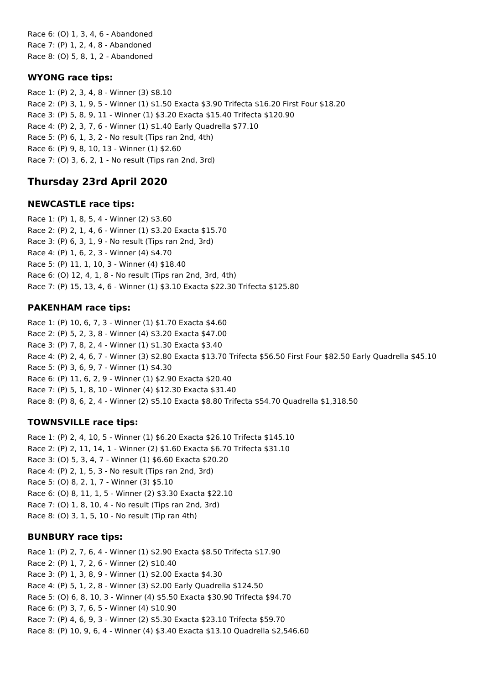Race 6: (O) 1, 3, 4, 6 - Abandoned Race 7: (P) 1, 2, 4, 8 - Abandoned Race 8: (O) 5, 8, 1, 2 - Abandoned

## **WYONG race tips:**

Race 1: (P) 2, 3, 4, 8 - Winner (3) \$8.10 Race 2: (P) 3, 1, 9, 5 - Winner (1) \$1.50 Exacta \$3.90 Trifecta \$16.20 First Four \$18.20 Race 3: (P) 5, 8, 9, 11 - Winner (1) \$3.20 Exacta \$15.40 Trifecta \$120.90 Race 4: (P) 2, 3, 7, 6 - Winner (1) \$1.40 Early Quadrella \$77.10 Race 5: (P) 6, 1, 3, 2 - No result (Tips ran 2nd, 4th) Race 6: (P) 9, 8, 10, 13 - Winner (1) \$2.60 Race 7: (O) 3, 6, 2, 1 - No result (Tips ran 2nd, 3rd)

## **Thursday 23rd April 2020**

## **NEWCASTLE race tips:**

Race 1: (P) 1, 8, 5, 4 - Winner (2) \$3.60 Race 2: (P) 2, 1, 4, 6 - Winner (1) \$3.20 Exacta \$15.70 Race 3: (P) 6, 3, 1, 9 - No result (Tips ran 2nd, 3rd) Race 4: (P) 1, 6, 2, 3 - Winner (4) \$4.70 Race 5: (P) 11, 1, 10, 3 - Winner (4) \$18.40 Race 6: (O) 12, 4, 1, 8 - No result (Tips ran 2nd, 3rd, 4th) Race 7: (P) 15, 13, 4, 6 - Winner (1) \$3.10 Exacta \$22.30 Trifecta \$125.80

## **PAKENHAM race tips:**

Race 1: (P) 10, 6, 7, 3 - Winner (1) \$1.70 Exacta \$4.60 Race 2: (P) 5, 2, 3, 8 - Winner (4) \$3.20 Exacta \$47.00 Race 3: (P) 7, 8, 2, 4 - Winner (1) \$1.30 Exacta \$3.40 Race 4: (P) 2, 4, 6, 7 - Winner (3) \$2.80 Exacta \$13.70 Trifecta \$56.50 First Four \$82.50 Early Quadrella \$45.10 Race 5: (P) 3, 6, 9, 7 - Winner (1) \$4.30 Race 6: (P) 11, 6, 2, 9 - Winner (1) \$2.90 Exacta \$20.40 Race 7: (P) 5, 1, 8, 10 - Winner (4) \$12.30 Exacta \$31.40 Race 8: (P) 8, 6, 2, 4 - Winner (2) \$5.10 Exacta \$8.80 Trifecta \$54.70 Quadrella \$1,318.50

## **TOWNSVILLE race tips:**

Race 1: (P) 2, 4, 10, 5 - Winner (1) \$6.20 Exacta \$26.10 Trifecta \$145.10 Race 2: (P) 2, 11, 14, 1 - Winner (2) \$1.60 Exacta \$6.70 Trifecta \$31.10 Race 3: (O) 5, 3, 4, 7 - Winner (1) \$6.60 Exacta \$20.20 Race 4: (P) 2, 1, 5, 3 - No result (Tips ran 2nd, 3rd) Race 5: (O) 8, 2, 1, 7 - Winner (3) \$5.10 Race 6: (O) 8, 11, 1, 5 - Winner (2) \$3.30 Exacta \$22.10 Race 7: (O) 1, 8, 10, 4 - No result (Tips ran 2nd, 3rd) Race 8: (O) 3, 1, 5, 10 - No result (Tip ran 4th)

#### **BUNBURY race tips:**

Race 1: (P) 2, 7, 6, 4 - Winner (1) \$2.90 Exacta \$8.50 Trifecta \$17.90 Race 2: (P) 1, 7, 2, 6 - Winner (2) \$10.40 Race 3: (P) 1, 3, 8, 9 - Winner (1) \$2.00 Exacta \$4.30 Race 4: (P) 5, 1, 2, 8 - Winner (3) \$2.00 Early Quadrella \$124.50 Race 5: (O) 6, 8, 10, 3 - Winner (4) \$5.50 Exacta \$30.90 Trifecta \$94.70 Race 6: (P) 3, 7, 6, 5 - Winner (4) \$10.90 Race 7: (P) 4, 6, 9, 3 - Winner (2) \$5.30 Exacta \$23.10 Trifecta \$59.70 Race 8: (P) 10, 9, 6, 4 - Winner (4) \$3.40 Exacta \$13.10 Quadrella \$2,546.60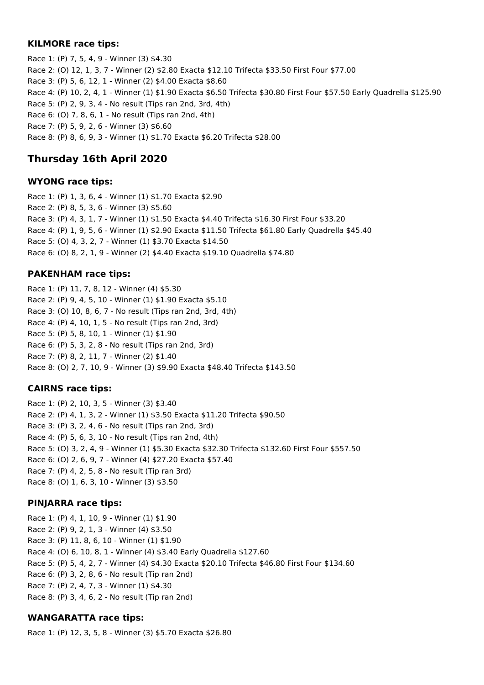### **KILMORE race tips:**

Race 1: (P) 7, 5, 4, 9 - Winner (3) \$4.30 Race 2: (O) 12, 1, 3, 7 - Winner (2) \$2.80 Exacta \$12.10 Trifecta \$33.50 First Four \$77.00 Race 3: (P) 5, 6, 12, 1 - Winner (2) \$4.00 Exacta \$8.60 Race 4: (P) 10, 2, 4, 1 - Winner (1) \$1.90 Exacta \$6.50 Trifecta \$30.80 First Four \$57.50 Early Quadrella \$125.90 Race 5: (P) 2, 9, 3, 4 - No result (Tips ran 2nd, 3rd, 4th) Race 6: (O) 7, 8, 6, 1 - No result (Tips ran 2nd, 4th) Race 7: (P) 5, 9, 2, 6 - Winner (3) \$6.60 Race 8: (P) 8, 6, 9, 3 - Winner (1) \$1.70 Exacta \$6.20 Trifecta \$28.00

# **Thursday 16th April 2020**

## **WYONG race tips:**

Race 1: (P) 1, 3, 6, 4 - Winner (1) \$1.70 Exacta \$2.90 Race 2: (P) 8, 5, 3, 6 - Winner (3) \$5.60 Race 3: (P) 4, 3, 1, 7 - Winner (1) \$1.50 Exacta \$4.40 Trifecta \$16.30 First Four \$33.20 Race 4: (P) 1, 9, 5, 6 - Winner (1) \$2.90 Exacta \$11.50 Trifecta \$61.80 Early Quadrella \$45.40 Race 5: (O) 4, 3, 2, 7 - Winner (1) \$3.70 Exacta \$14.50 Race 6: (O) 8, 2, 1, 9 - Winner (2) \$4.40 Exacta \$19.10 Quadrella \$74.80

## **PAKENHAM race tips:**

Race 1: (P) 11, 7, 8, 12 - Winner (4) \$5.30 Race 2: (P) 9, 4, 5, 10 - Winner (1) \$1.90 Exacta \$5.10 Race 3: (O) 10, 8, 6, 7 - No result (Tips ran 2nd, 3rd, 4th) Race 4: (P) 4, 10, 1, 5 - No result (Tips ran 2nd, 3rd) Race 5: (P) 5, 8, 10, 1 - Winner (1) \$1.90 Race 6: (P) 5, 3, 2, 8 - No result (Tips ran 2nd, 3rd) Race 7: (P) 8, 2, 11, 7 - Winner (2) \$1.40 Race 8: (O) 2, 7, 10, 9 - Winner (3) \$9.90 Exacta \$48.40 Trifecta \$143.50

## **CAIRNS race tips:**

Race 1: (P) 2, 10, 3, 5 - Winner (3) \$3.40 Race 2: (P) 4, 1, 3, 2 - Winner (1) \$3.50 Exacta \$11.20 Trifecta \$90.50 Race 3: (P) 3, 2, 4, 6 - No result (Tips ran 2nd, 3rd) Race 4: (P) 5, 6, 3, 10 - No result (Tips ran 2nd, 4th) Race 5: (O) 3, 2, 4, 9 - Winner (1) \$5.30 Exacta \$32.30 Trifecta \$132.60 First Four \$557.50 Race 6: (O) 2, 6, 9, 7 - Winner (4) \$27.20 Exacta \$57.40 Race 7: (P) 4, 2, 5, 8 - No result (Tip ran 3rd) Race 8: (O) 1, 6, 3, 10 - Winner (3) \$3.50

## **PINJARRA race tips:**

Race 1: (P) 4, 1, 10, 9 - Winner (1) \$1.90 Race 2: (P) 9, 2, 1, 3 - Winner (4) \$3.50 Race 3: (P) 11, 8, 6, 10 - Winner (1) \$1.90 Race 4: (O) 6, 10, 8, 1 - Winner (4) \$3.40 Early Quadrella \$127.60 Race 5: (P) 5, 4, 2, 7 - Winner (4) \$4.30 Exacta \$20.10 Trifecta \$46.80 First Four \$134.60 Race 6: (P) 3, 2, 8, 6 - No result (Tip ran 2nd) Race 7: (P) 2, 4, 7, 3 - Winner (1) \$4.30 Race 8: (P) 3, 4, 6, 2 - No result (Tip ran 2nd)

## **WANGARATTA race tips:**

Race 1: (P) 12, 3, 5, 8 - Winner (3) \$5.70 Exacta \$26.80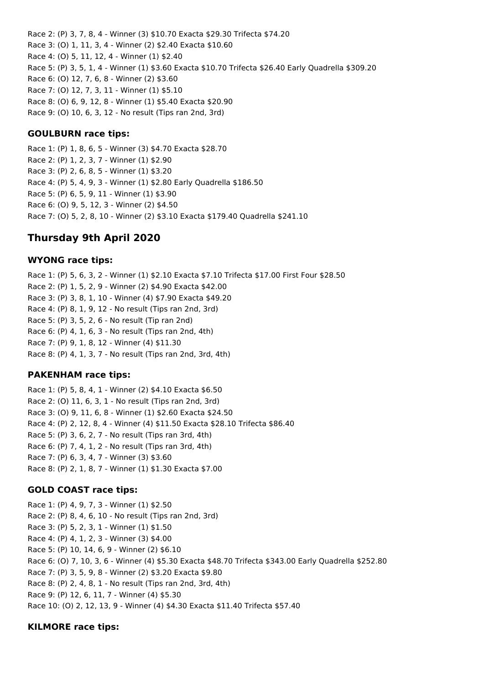Race 2: (P) 3, 7, 8, 4 - Winner (3) \$10.70 Exacta \$29.30 Trifecta \$74.20 Race 3: (O) 1, 11, 3, 4 - Winner (2) \$2.40 Exacta \$10.60 Race 4: (O) 5, 11, 12, 4 - Winner (1) \$2.40 Race 5: (P) 3, 5, 1, 4 - Winner (1) \$3.60 Exacta \$10.70 Trifecta \$26.40 Early Quadrella \$309.20 Race 6: (O) 12, 7, 6, 8 - Winner (2) \$3.60 Race 7: (O) 12, 7, 3, 11 - Winner (1) \$5.10 Race 8: (O) 6, 9, 12, 8 - Winner (1) \$5.40 Exacta \$20.90 Race 9: (O) 10, 6, 3, 12 - No result (Tips ran 2nd, 3rd)

### **GOULBURN race tips:**

Race 1: (P) 1, 8, 6, 5 - Winner (3) \$4.70 Exacta \$28.70 Race 2: (P) 1, 2, 3, 7 - Winner (1) \$2.90 Race 3: (P) 2, 6, 8, 5 - Winner (1) \$3.20 Race 4: (P) 5, 4, 9, 3 - Winner (1) \$2.80 Early Quadrella \$186.50 Race 5: (P) 6, 5, 9, 11 - Winner (1) \$3.90 Race 6: (O) 9, 5, 12, 3 - Winner (2) \$4.50 Race 7: (O) 5, 2, 8, 10 - Winner (2) \$3.10 Exacta \$179.40 Quadrella \$241.10

## **Thursday 9th April 2020**

#### **WYONG race tips:**

Race 1: (P) 5, 6, 3, 2 - Winner (1) \$2.10 Exacta \$7.10 Trifecta \$17.00 First Four \$28.50 Race 2: (P) 1, 5, 2, 9 - Winner (2) \$4.90 Exacta \$42.00 Race 3: (P) 3, 8, 1, 10 - Winner (4) \$7.90 Exacta \$49.20 Race 4: (P) 8, 1, 9, 12 - No result (Tips ran 2nd, 3rd) Race 5: (P) 3, 5, 2, 6 - No result (Tip ran 2nd) Race 6: (P) 4, 1, 6, 3 - No result (Tips ran 2nd, 4th) Race 7: (P) 9, 1, 8, 12 - Winner (4) \$11.30 Race 8: (P) 4, 1, 3, 7 - No result (Tips ran 2nd, 3rd, 4th)

#### **PAKENHAM race tips:**

Race 1: (P) 5, 8, 4, 1 - Winner (2) \$4.10 Exacta \$6.50 Race 2: (O) 11, 6, 3, 1 - No result (Tips ran 2nd, 3rd) Race 3: (O) 9, 11, 6, 8 - Winner (1) \$2.60 Exacta \$24.50 Race 4: (P) 2, 12, 8, 4 - Winner (4) \$11.50 Exacta \$28.10 Trifecta \$86.40 Race 5: (P) 3, 6, 2, 7 - No result (Tips ran 3rd, 4th) Race 6: (P) 7, 4, 1, 2 - No result (Tips ran 3rd, 4th) Race 7: (P) 6, 3, 4, 7 - Winner (3) \$3.60 Race 8: (P) 2, 1, 8, 7 - Winner (1) \$1.30 Exacta \$7.00

#### **GOLD COAST race tips:**

Race 1: (P) 4, 9, 7, 3 - Winner (1) \$2.50 Race 2: (P) 8, 4, 6, 10 - No result (Tips ran 2nd, 3rd) Race 3: (P) 5, 2, 3, 1 - Winner (1) \$1.50 Race 4: (P) 4, 1, 2, 3 - Winner (3) \$4.00 Race 5: (P) 10, 14, 6, 9 - Winner (2) \$6.10 Race 6: (O) 7, 10, 3, 6 - Winner (4) \$5.30 Exacta \$48.70 Trifecta \$343.00 Early Quadrella \$252.80 Race 7: (P) 3, 5, 9, 8 - Winner (2) \$3.20 Exacta \$9.80 Race 8: (P) 2, 4, 8, 1 - No result (Tips ran 2nd, 3rd, 4th) Race 9: (P) 12, 6, 11, 7 - Winner (4) \$5.30 Race 10: (O) 2, 12, 13, 9 - Winner (4) \$4.30 Exacta \$11.40 Trifecta \$57.40

#### **KILMORE race tips:**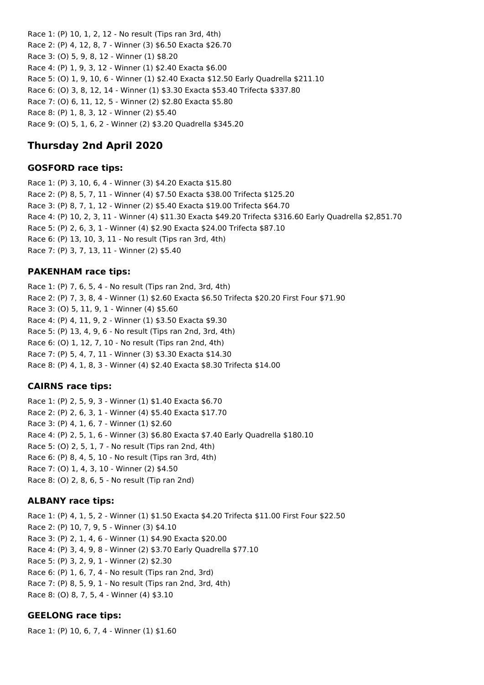Race 1: (P) 10, 1, 2, 12 - No result (Tips ran 3rd, 4th) Race 2: (P) 4, 12, 8, 7 - Winner (3) \$6.50 Exacta \$26.70 Race 3: (O) 5, 9, 8, 12 - Winner (1) \$8.20 Race 4: (P) 1, 9, 3, 12 - Winner (1) \$2.40 Exacta \$6.00 Race 5: (O) 1, 9, 10, 6 - Winner (1) \$2.40 Exacta \$12.50 Early Quadrella \$211.10 Race 6: (O) 3, 8, 12, 14 - Winner (1) \$3.30 Exacta \$53.40 Trifecta \$337.80 Race 7: (O) 6, 11, 12, 5 - Winner (2) \$2.80 Exacta \$5.80 Race 8: (P) 1, 8, 3, 12 - Winner (2) \$5.40 Race 9: (O) 5, 1, 6, 2 - Winner (2) \$3.20 Quadrella \$345.20

## **Thursday 2nd April 2020**

#### **GOSFORD race tips:**

Race 1: (P) 3, 10, 6, 4 - Winner (3) \$4.20 Exacta \$15.80 Race 2: (P) 8, 5, 7, 11 - Winner (4) \$7.50 Exacta \$38.00 Trifecta \$125.20 Race 3: (P) 8, 7, 1, 12 - Winner (2) \$5.40 Exacta \$19.00 Trifecta \$64.70 Race 4: (P) 10, 2, 3, 11 - Winner (4) \$11.30 Exacta \$49.20 Trifecta \$316.60 Early Quadrella \$2,851.70 Race 5: (P) 2, 6, 3, 1 - Winner (4) \$2.90 Exacta \$24.00 Trifecta \$87.10 Race 6: (P) 13, 10, 3, 11 - No result (Tips ran 3rd, 4th) Race 7: (P) 3, 7, 13, 11 - Winner (2) \$5.40

### **PAKENHAM race tips:**

Race 1: (P) 7, 6, 5, 4 - No result (Tips ran 2nd, 3rd, 4th) Race 2: (P) 7, 3, 8, 4 - Winner (1) \$2.60 Exacta \$6.50 Trifecta \$20.20 First Four \$71.90 Race 3: (O) 5, 11, 9, 1 - Winner (4) \$5.60 Race 4: (P) 4, 11, 9, 2 - Winner (1) \$3.50 Exacta \$9.30 Race 5: (P) 13, 4, 9, 6 - No result (Tips ran 2nd, 3rd, 4th) Race 6: (O) 1, 12, 7, 10 - No result (Tips ran 2nd, 4th) Race 7: (P) 5, 4, 7, 11 - Winner (3) \$3.30 Exacta \$14.30 Race 8: (P) 4, 1, 8, 3 - Winner (4) \$2.40 Exacta \$8.30 Trifecta \$14.00

## **CAIRNS race tips:**

Race 1: (P) 2, 5, 9, 3 - Winner (1) \$1.40 Exacta \$6.70 Race 2: (P) 2, 6, 3, 1 - Winner (4) \$5.40 Exacta \$17.70 Race 3: (P) 4, 1, 6, 7 - Winner (1) \$2.60 Race 4: (P) 2, 5, 1, 6 - Winner (3) \$6.80 Exacta \$7.40 Early Quadrella \$180.10 Race 5: (O) 2, 5, 1, 7 - No result (Tips ran 2nd, 4th) Race 6: (P) 8, 4, 5, 10 - No result (Tips ran 3rd, 4th) Race 7: (O) 1, 4, 3, 10 - Winner (2) \$4.50 Race 8: (O) 2, 8, 6, 5 - No result (Tip ran 2nd)

#### **ALBANY race tips:**

Race 1: (P) 4, 1, 5, 2 - Winner (1) \$1.50 Exacta \$4.20 Trifecta \$11.00 First Four \$22.50 Race 2: (P) 10, 7, 9, 5 - Winner (3) \$4.10 Race 3: (P) 2, 1, 4, 6 - Winner (1) \$4.90 Exacta \$20.00 Race 4: (P) 3, 4, 9, 8 - Winner (2) \$3.70 Early Quadrella \$77.10 Race 5: (P) 3, 2, 9, 1 - Winner (2) \$2.30 Race 6: (P) 1, 6, 7, 4 - No result (Tips ran 2nd, 3rd) Race 7: (P) 8, 5, 9, 1 - No result (Tips ran 2nd, 3rd, 4th) Race 8: (O) 8, 7, 5, 4 - Winner (4) \$3.10

## **GEELONG race tips:**

Race 1: (P) 10, 6, 7, 4 - Winner (1) \$1.60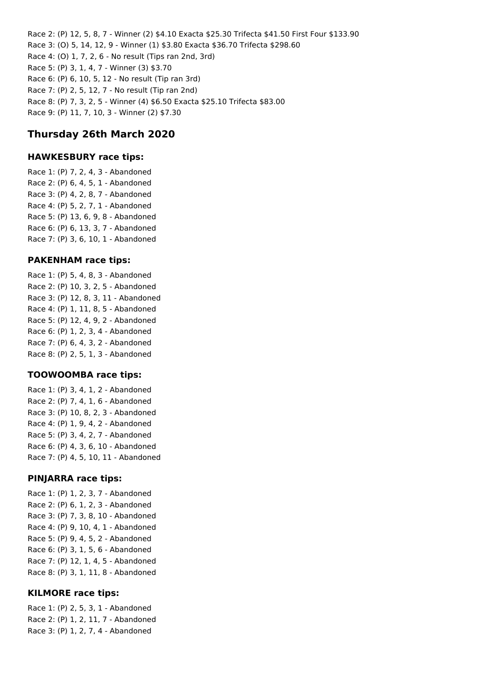Race 2: (P) 12, 5, 8, 7 - Winner (2) \$4.10 Exacta \$25.30 Trifecta \$41.50 First Four \$133.90 Race 3: (O) 5, 14, 12, 9 - Winner (1) \$3.80 Exacta \$36.70 Trifecta \$298.60 Race 4: (O) 1, 7, 2, 6 - No result (Tips ran 2nd, 3rd) Race 5: (P) 3, 1, 4, 7 - Winner (3) \$3.70 Race 6: (P) 6, 10, 5, 12 - No result (Tip ran 3rd) Race 7: (P) 2, 5, 12, 7 - No result (Tip ran 2nd) Race 8: (P) 7, 3, 2, 5 - Winner (4) \$6.50 Exacta \$25.10 Trifecta \$83.00 Race 9: (P) 11, 7, 10, 3 - Winner (2) \$7.30

## **Thursday 26th March 2020**

#### **HAWKESBURY race tips:**

Race 1: (P) 7, 2, 4, 3 - Abandoned Race 2: (P) 6, 4, 5, 1 - Abandoned Race 3: (P) 4, 2, 8, 7 - Abandoned Race 4: (P) 5, 2, 7, 1 - Abandoned Race 5: (P) 13, 6, 9, 8 - Abandoned Race 6: (P) 6, 13, 3, 7 - Abandoned Race 7: (P) 3, 6, 10, 1 - Abandoned

### **PAKENHAM race tips:**

Race 1: (P) 5, 4, 8, 3 - Abandoned Race 2: (P) 10, 3, 2, 5 - Abandoned Race 3: (P) 12, 8, 3, 11 - Abandoned Race 4: (P) 1, 11, 8, 5 - Abandoned Race 5: (P) 12, 4, 9, 2 - Abandoned Race 6: (P) 1, 2, 3, 4 - Abandoned Race 7: (P) 6, 4, 3, 2 - Abandoned Race 8: (P) 2, 5, 1, 3 - Abandoned

#### **TOOWOOMBA race tips:**

Race 1: (P) 3, 4, 1, 2 - Abandoned Race 2: (P) 7, 4, 1, 6 - Abandoned Race 3: (P) 10, 8, 2, 3 - Abandoned Race 4: (P) 1, 9, 4, 2 - Abandoned Race 5: (P) 3, 4, 2, 7 - Abandoned Race 6: (P) 4, 3, 6, 10 - Abandoned Race 7: (P) 4, 5, 10, 11 - Abandoned

#### **PINJARRA race tips:**

Race 1: (P) 1, 2, 3, 7 - Abandoned Race 2: (P) 6, 1, 2, 3 - Abandoned Race 3: (P) 7, 3, 8, 10 - Abandoned Race 4: (P) 9, 10, 4, 1 - Abandoned Race 5: (P) 9, 4, 5, 2 - Abandoned Race 6: (P) 3, 1, 5, 6 - Abandoned Race 7: (P) 12, 1, 4, 5 - Abandoned Race 8: (P) 3, 1, 11, 8 - Abandoned

## **KILMORE race tips:**

Race 1: (P) 2, 5, 3, 1 - Abandoned Race 2: (P) 1, 2, 11, 7 - Abandoned Race 3: (P) 1, 2, 7, 4 - Abandoned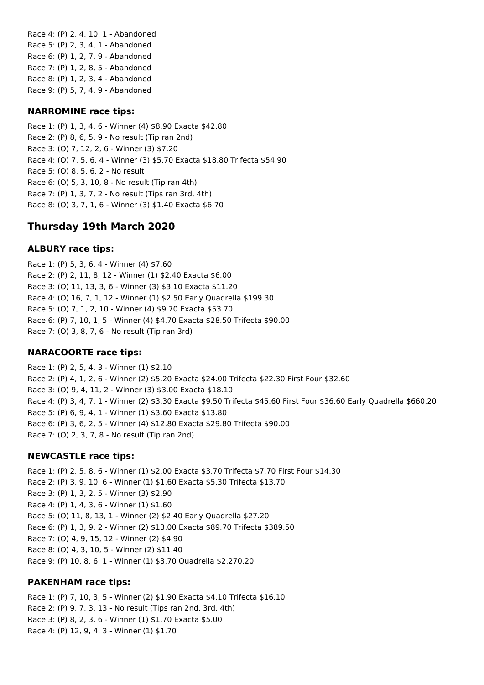Race 4: (P) 2, 4, 10, 1 - Abandoned Race 5: (P) 2, 3, 4, 1 - Abandoned Race 6: (P) 1, 2, 7, 9 - Abandoned Race 7: (P) 1, 2, 8, 5 - Abandoned Race 8: (P) 1, 2, 3, 4 - Abandoned Race 9: (P) 5, 7, 4, 9 - Abandoned

### **NARROMINE race tips:**

Race 1: (P) 1, 3, 4, 6 - Winner (4) \$8.90 Exacta \$42.80 Race 2: (P) 8, 6, 5, 9 - No result (Tip ran 2nd) Race 3: (O) 7, 12, 2, 6 - Winner (3) \$7.20 Race 4: (O) 7, 5, 6, 4 - Winner (3) \$5.70 Exacta \$18.80 Trifecta \$54.90 Race 5: (O) 8, 5, 6, 2 - No result Race 6: (O) 5, 3, 10, 8 - No result (Tip ran 4th) Race 7: (P) 1, 3, 7, 2 - No result (Tips ran 3rd, 4th) Race 8: (O) 3, 7, 1, 6 - Winner (3) \$1.40 Exacta \$6.70

## **Thursday 19th March 2020**

### **ALBURY race tips:**

Race 1: (P) 5, 3, 6, 4 - Winner (4) \$7.60 Race 2: (P) 2, 11, 8, 12 - Winner (1) \$2.40 Exacta \$6.00 Race 3: (O) 11, 13, 3, 6 - Winner (3) \$3.10 Exacta \$11.20 Race 4: (O) 16, 7, 1, 12 - Winner (1) \$2.50 Early Quadrella \$199.30 Race 5: (O) 7, 1, 2, 10 - Winner (4) \$9.70 Exacta \$53.70 Race 6: (P) 7, 10, 1, 5 - Winner (4) \$4.70 Exacta \$28.50 Trifecta \$90.00 Race 7: (O) 3, 8, 7, 6 - No result (Tip ran 3rd)

#### **NARACOORTE race tips:**

Race 1: (P) 2, 5, 4, 3 - Winner (1) \$2.10 Race 2: (P) 4, 1, 2, 6 - Winner (2) \$5.20 Exacta \$24.00 Trifecta \$22.30 First Four \$32.60 Race 3: (O) 9, 4, 11, 2 - Winner (3) \$3.00 Exacta \$18.10 Race 4: (P) 3, 4, 7, 1 - Winner (2) \$3.30 Exacta \$9.50 Trifecta \$45.60 First Four \$36.60 Early Quadrella \$660.20 Race 5: (P) 6, 9, 4, 1 - Winner (1) \$3.60 Exacta \$13.80 Race 6: (P) 3, 6, 2, 5 - Winner (4) \$12.80 Exacta \$29.80 Trifecta \$90.00 Race 7: (O) 2, 3, 7, 8 - No result (Tip ran 2nd)

#### **NEWCASTLE race tips:**

Race 1: (P) 2, 5, 8, 6 - Winner (1) \$2.00 Exacta \$3.70 Trifecta \$7.70 First Four \$14.30 Race 2: (P) 3, 9, 10, 6 - Winner (1) \$1.60 Exacta \$5.30 Trifecta \$13.70 Race 3: (P) 1, 3, 2, 5 - Winner (3) \$2.90 Race 4: (P) 1, 4, 3, 6 - Winner (1) \$1.60 Race 5: (O) 11, 8, 13, 1 - Winner (2) \$2.40 Early Quadrella \$27.20 Race 6: (P) 1, 3, 9, 2 - Winner (2) \$13.00 Exacta \$89.70 Trifecta \$389.50 Race 7: (O) 4, 9, 15, 12 - Winner (2) \$4.90 Race 8: (O) 4, 3, 10, 5 - Winner (2) \$11.40 Race 9: (P) 10, 8, 6, 1 - Winner (1) \$3.70 Quadrella \$2,270.20

#### **PAKENHAM race tips:**

Race 1: (P) 7, 10, 3, 5 - Winner (2) \$1.90 Exacta \$4.10 Trifecta \$16.10 Race 2: (P) 9, 7, 3, 13 - No result (Tips ran 2nd, 3rd, 4th) Race 3: (P) 8, 2, 3, 6 - Winner (1) \$1.70 Exacta \$5.00 Race 4: (P) 12, 9, 4, 3 - Winner (1) \$1.70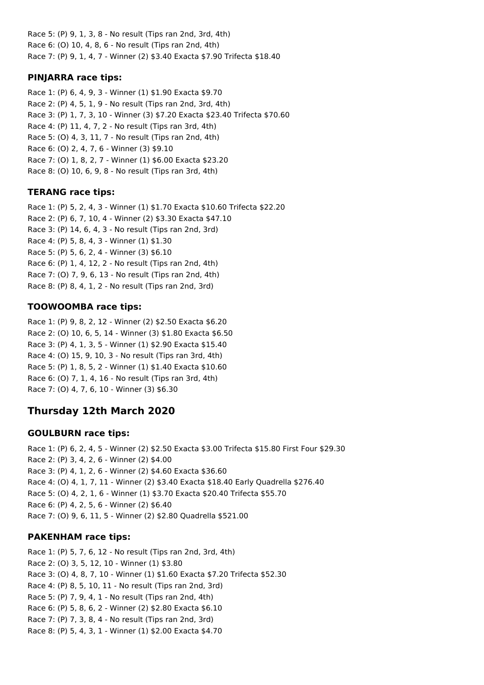Race 5: (P) 9, 1, 3, 8 - No result (Tips ran 2nd, 3rd, 4th) Race 6: (O) 10, 4, 8, 6 - No result (Tips ran 2nd, 4th) Race 7: (P) 9, 1, 4, 7 - Winner (2) \$3.40 Exacta \$7.90 Trifecta \$18.40

## **PINJARRA race tips:**

Race 1: (P) 6, 4, 9, 3 - Winner (1) \$1.90 Exacta \$9.70 Race 2: (P) 4, 5, 1, 9 - No result (Tips ran 2nd, 3rd, 4th) Race 3: (P) 1, 7, 3, 10 - Winner (3) \$7.20 Exacta \$23.40 Trifecta \$70.60 Race 4: (P) 11, 4, 7, 2 - No result (Tips ran 3rd, 4th) Race 5: (O) 4, 3, 11, 7 - No result (Tips ran 2nd, 4th) Race 6: (O) 2, 4, 7, 6 - Winner (3) \$9.10 Race 7: (O) 1, 8, 2, 7 - Winner (1) \$6.00 Exacta \$23.20 Race 8: (O) 10, 6, 9, 8 - No result (Tips ran 3rd, 4th)

## **TERANG race tips:**

Race 1: (P) 5, 2, 4, 3 - Winner (1) \$1.70 Exacta \$10.60 Trifecta \$22.20 Race 2: (P) 6, 7, 10, 4 - Winner (2) \$3.30 Exacta \$47.10 Race 3: (P) 14, 6, 4, 3 - No result (Tips ran 2nd, 3rd) Race 4: (P) 5, 8, 4, 3 - Winner (1) \$1.30 Race 5: (P) 5, 6, 2, 4 - Winner (3) \$6.10 Race 6: (P) 1, 4, 12, 2 - No result (Tips ran 2nd, 4th) Race 7: (O) 7, 9, 6, 13 - No result (Tips ran 2nd, 4th) Race 8: (P) 8, 4, 1, 2 - No result (Tips ran 2nd, 3rd)

## **TOOWOOMBA race tips:**

Race 1: (P) 9, 8, 2, 12 - Winner (2) \$2.50 Exacta \$6.20 Race 2: (O) 10, 6, 5, 14 - Winner (3) \$1.80 Exacta \$6.50 Race 3: (P) 4, 1, 3, 5 - Winner (1) \$2.90 Exacta \$15.40 Race 4: (O) 15, 9, 10, 3 - No result (Tips ran 3rd, 4th) Race 5: (P) 1, 8, 5, 2 - Winner (1) \$1.40 Exacta \$10.60 Race 6: (O) 7, 1, 4, 16 - No result (Tips ran 3rd, 4th) Race 7: (O) 4, 7, 6, 10 - Winner (3) \$6.30

# **Thursday 12th March 2020**

## **GOULBURN race tips:**

Race 1: (P) 6, 2, 4, 5 - Winner (2) \$2.50 Exacta \$3.00 Trifecta \$15.80 First Four \$29.30 Race 2: (P) 3, 4, 2, 6 - Winner (2) \$4.00 Race 3: (P) 4, 1, 2, 6 - Winner (2) \$4.60 Exacta \$36.60 Race 4: (O) 4, 1, 7, 11 - Winner (2) \$3.40 Exacta \$18.40 Early Quadrella \$276.40 Race 5: (O) 4, 2, 1, 6 - Winner (1) \$3.70 Exacta \$20.40 Trifecta \$55.70 Race 6: (P) 4, 2, 5, 6 - Winner (2) \$6.40 Race 7: (O) 9, 6, 11, 5 - Winner (2) \$2.80 Quadrella \$521.00

## **PAKENHAM race tips:**

Race 1: (P) 5, 7, 6, 12 - No result (Tips ran 2nd, 3rd, 4th) Race 2: (O) 3, 5, 12, 10 - Winner (1) \$3.80 Race 3: (O) 4, 8, 7, 10 - Winner (1) \$1.60 Exacta \$7.20 Trifecta \$52.30 Race 4: (P) 8, 5, 10, 11 - No result (Tips ran 2nd, 3rd) Race 5: (P) 7, 9, 4, 1 - No result (Tips ran 2nd, 4th) Race 6: (P) 5, 8, 6, 2 - Winner (2) \$2.80 Exacta \$6.10 Race 7: (P) 7, 3, 8, 4 - No result (Tips ran 2nd, 3rd) Race 8: (P) 5, 4, 3, 1 - Winner (1) \$2.00 Exacta \$4.70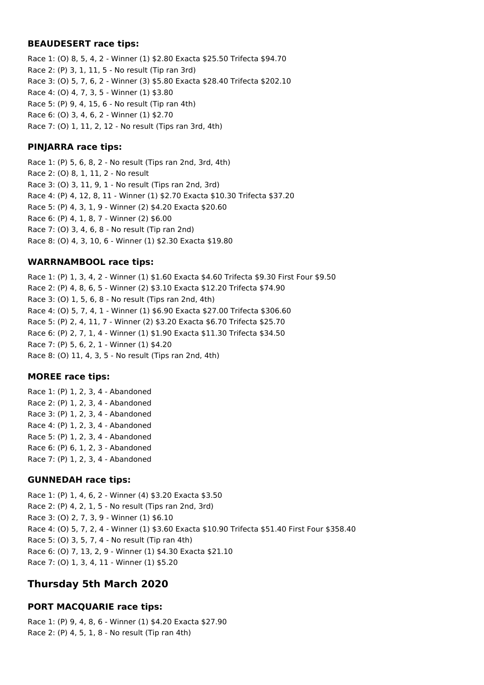#### **BEAUDESERT race tips:**

Race 1: (O) 8, 5, 4, 2 - Winner (1) \$2.80 Exacta \$25.50 Trifecta \$94.70 Race 2: (P) 3, 1, 11, 5 - No result (Tip ran 3rd) Race 3: (O) 5, 7, 6, 2 - Winner (3) \$5.80 Exacta \$28.40 Trifecta \$202.10 Race 4: (O) 4, 7, 3, 5 - Winner (1) \$3.80 Race 5: (P) 9, 4, 15, 6 - No result (Tip ran 4th) Race 6: (O) 3, 4, 6, 2 - Winner (1) \$2.70 Race 7: (O) 1, 11, 2, 12 - No result (Tips ran 3rd, 4th)

## **PINJARRA race tips:**

Race 1: (P) 5, 6, 8, 2 - No result (Tips ran 2nd, 3rd, 4th) Race 2: (O) 8, 1, 11, 2 - No result Race 3: (O) 3, 11, 9, 1 - No result (Tips ran 2nd, 3rd) Race 4: (P) 4, 12, 8, 11 - Winner (1) \$2.70 Exacta \$10.30 Trifecta \$37.20 Race 5: (P) 4, 3, 1, 9 - Winner (2) \$4.20 Exacta \$20.60 Race 6: (P) 4, 1, 8, 7 - Winner (2) \$6.00 Race 7: (O) 3, 4, 6, 8 - No result (Tip ran 2nd) Race 8: (O) 4, 3, 10, 6 - Winner (1) \$2.30 Exacta \$19.80

## **WARRNAMBOOL race tips:**

Race 1: (P) 1, 3, 4, 2 - Winner (1) \$1.60 Exacta \$4.60 Trifecta \$9.30 First Four \$9.50 Race 2: (P) 4, 8, 6, 5 - Winner (2) \$3.10 Exacta \$12.20 Trifecta \$74.90 Race 3: (O) 1, 5, 6, 8 - No result (Tips ran 2nd, 4th) Race 4: (O) 5, 7, 4, 1 - Winner (1) \$6.90 Exacta \$27.00 Trifecta \$306.60 Race 5: (P) 2, 4, 11, 7 - Winner (2) \$3.20 Exacta \$6.70 Trifecta \$25.70 Race 6: (P) 2, 7, 1, 4 - Winner (1) \$1.90 Exacta \$11.30 Trifecta \$34.50 Race 7: (P) 5, 6, 2, 1 - Winner (1) \$4.20 Race 8: (O) 11, 4, 3, 5 - No result (Tips ran 2nd, 4th)

## **MOREE race tips:**

Race 1: (P) 1, 2, 3, 4 - Abandoned Race 2: (P) 1, 2, 3, 4 - Abandoned Race 3: (P) 1, 2, 3, 4 - Abandoned Race 4: (P) 1, 2, 3, 4 - Abandoned Race 5: (P) 1, 2, 3, 4 - Abandoned Race 6: (P) 6, 1, 2, 3 - Abandoned Race 7: (P) 1, 2, 3, 4 - Abandoned

## **GUNNEDAH race tips:**

Race 1: (P) 1, 4, 6, 2 - Winner (4) \$3.20 Exacta \$3.50 Race 2: (P) 4, 2, 1, 5 - No result (Tips ran 2nd, 3rd) Race 3: (O) 2, 7, 3, 9 - Winner (1) \$6.10 Race 4: (O) 5, 7, 2, 4 - Winner (1) \$3.60 Exacta \$10.90 Trifecta \$51.40 First Four \$358.40 Race 5: (O) 3, 5, 7, 4 - No result (Tip ran 4th) Race 6: (O) 7, 13, 2, 9 - Winner (1) \$4.30 Exacta \$21.10 Race 7: (O) 1, 3, 4, 11 - Winner (1) \$5.20

## **Thursday 5th March 2020**

## **PORT MACQUARIE race tips:**

Race 1: (P) 9, 4, 8, 6 - Winner (1) \$4.20 Exacta \$27.90 Race 2: (P) 4, 5, 1, 8 - No result (Tip ran 4th)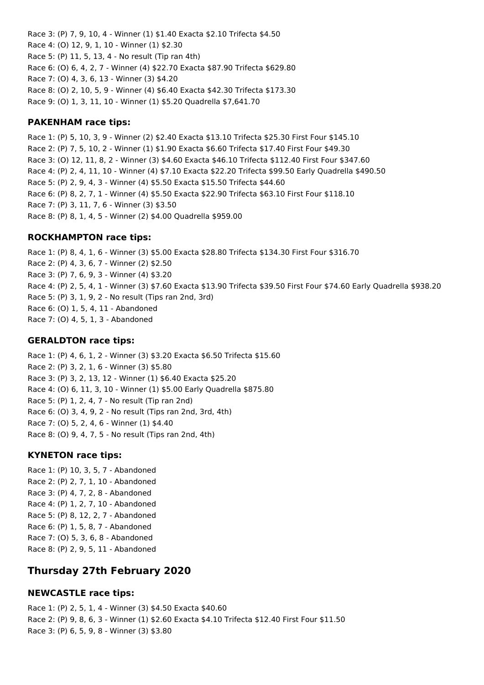Race 3: (P) 7, 9, 10, 4 - Winner (1) \$1.40 Exacta \$2.10 Trifecta \$4.50 Race 4: (O) 12, 9, 1, 10 - Winner (1) \$2.30 Race 5: (P) 11, 5, 13, 4 - No result (Tip ran 4th) Race 6: (O) 6, 4, 2, 7 - Winner (4) \$22.70 Exacta \$87.90 Trifecta \$629.80 Race 7: (O) 4, 3, 6, 13 - Winner (3) \$4.20 Race 8: (O) 2, 10, 5, 9 - Winner (4) \$6.40 Exacta \$42.30 Trifecta \$173.30 Race 9: (O) 1, 3, 11, 10 - Winner (1) \$5.20 Quadrella \$7,641.70

#### **PAKENHAM race tips:**

Race 1: (P) 5, 10, 3, 9 - Winner (2) \$2.40 Exacta \$13.10 Trifecta \$25.30 First Four \$145.10 Race 2: (P) 7, 5, 10, 2 - Winner (1) \$1.90 Exacta \$6.60 Trifecta \$17.40 First Four \$49.30 Race 3: (O) 12, 11, 8, 2 - Winner (3) \$4.60 Exacta \$46.10 Trifecta \$112.40 First Four \$347.60 Race 4: (P) 2, 4, 11, 10 - Winner (4) \$7.10 Exacta \$22.20 Trifecta \$99.50 Early Quadrella \$490.50 Race 5: (P) 2, 9, 4, 3 - Winner (4) \$5.50 Exacta \$15.50 Trifecta \$44.60 Race 6: (P) 8, 2, 7, 1 - Winner (4) \$5.50 Exacta \$22.90 Trifecta \$63.10 First Four \$118.10 Race 7: (P) 3, 11, 7, 6 - Winner (3) \$3.50 Race 8: (P) 8, 1, 4, 5 - Winner (2) \$4.00 Quadrella \$959.00

### **ROCKHAMPTON race tips:**

Race 1: (P) 8, 4, 1, 6 - Winner (3) \$5.00 Exacta \$28.80 Trifecta \$134.30 First Four \$316.70 Race 2: (P) 4, 3, 6, 7 - Winner (2) \$2.50 Race 3: (P) 7, 6, 9, 3 - Winner (4) \$3.20 Race 4: (P) 2, 5, 4, 1 - Winner (3) \$7.60 Exacta \$13.90 Trifecta \$39.50 First Four \$74.60 Early Quadrella \$938.20 Race 5: (P) 3, 1, 9, 2 - No result (Tips ran 2nd, 3rd) Race 6: (O) 1, 5, 4, 11 - Abandoned Race 7: (O) 4, 5, 1, 3 - Abandoned

### **GERALDTON race tips:**

Race 1: (P) 4, 6, 1, 2 - Winner (3) \$3.20 Exacta \$6.50 Trifecta \$15.60 Race 2: (P) 3, 2, 1, 6 - Winner (3) \$5.80 Race 3: (P) 3, 2, 13, 12 - Winner (1) \$6.40 Exacta \$25.20 Race 4: (O) 6, 11, 3, 10 - Winner (1) \$5.00 Early Quadrella \$875.80 Race 5: (P) 1, 2, 4, 7 - No result (Tip ran 2nd) Race 6: (O) 3, 4, 9, 2 - No result (Tips ran 2nd, 3rd, 4th) Race 7: (O) 5, 2, 4, 6 - Winner (1) \$4.40 Race 8: (O) 9, 4, 7, 5 - No result (Tips ran 2nd, 4th)

## **KYNETON race tips:**

Race 1: (P) 10, 3, 5, 7 - Abandoned Race 2: (P) 2, 7, 1, 10 - Abandoned Race 3: (P) 4, 7, 2, 8 - Abandoned Race 4: (P) 1, 2, 7, 10 - Abandoned Race 5: (P) 8, 12, 2, 7 - Abandoned Race 6: (P) 1, 5, 8, 7 - Abandoned Race 7: (O) 5, 3, 6, 8 - Abandoned Race 8: (P) 2, 9, 5, 11 - Abandoned

## **Thursday 27th February 2020**

## **NEWCASTLE race tips:**

Race 1: (P) 2, 5, 1, 4 - Winner (3) \$4.50 Exacta \$40.60 Race 2: (P) 9, 8, 6, 3 - Winner (1) \$2.60 Exacta \$4.10 Trifecta \$12.40 First Four \$11.50 Race 3: (P) 6, 5, 9, 8 - Winner (3) \$3.80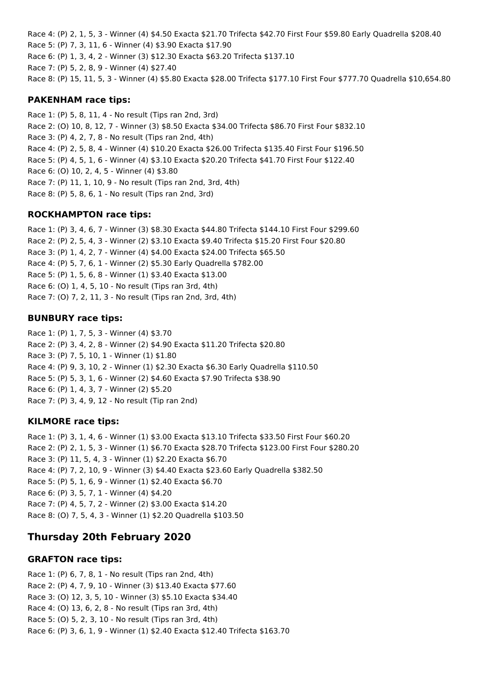Race 4: (P) 2, 1, 5, 3 - Winner (4) \$4.50 Exacta \$21.70 Trifecta \$42.70 First Four \$59.80 Early Quadrella \$208.40 Race 5: (P) 7, 3, 11, 6 - Winner (4) \$3.90 Exacta \$17.90 Race 6: (P) 1, 3, 4, 2 - Winner (3) \$12.30 Exacta \$63.20 Trifecta \$137.10 Race 7: (P) 5, 2, 8, 9 - Winner (4) \$27.40 Race 8: (P) 15, 11, 5, 3 - Winner (4) \$5.80 Exacta \$28.00 Trifecta \$177.10 First Four \$777.70 Quadrella \$10,654.80

#### **PAKENHAM race tips:**

Race 1: (P) 5, 8, 11, 4 - No result (Tips ran 2nd, 3rd) Race 2: (O) 10, 8, 12, 7 - Winner (3) \$8.50 Exacta \$34.00 Trifecta \$86.70 First Four \$832.10 Race 3: (P) 4, 2, 7, 8 - No result (Tips ran 2nd, 4th) Race 4: (P) 2, 5, 8, 4 - Winner (4) \$10.20 Exacta \$26.00 Trifecta \$135.40 First Four \$196.50 Race 5: (P) 4, 5, 1, 6 - Winner (4) \$3.10 Exacta \$20.20 Trifecta \$41.70 First Four \$122.40 Race 6: (O) 10, 2, 4, 5 - Winner (4) \$3.80 Race 7: (P) 11, 1, 10, 9 - No result (Tips ran 2nd, 3rd, 4th) Race 8: (P) 5, 8, 6, 1 - No result (Tips ran 2nd, 3rd)

## **ROCKHAMPTON race tips:**

Race 1: (P) 3, 4, 6, 7 - Winner (3) \$8.30 Exacta \$44.80 Trifecta \$144.10 First Four \$299.60 Race 2: (P) 2, 5, 4, 3 - Winner (2) \$3.10 Exacta \$9.40 Trifecta \$15.20 First Four \$20.80 Race 3: (P) 1, 4, 2, 7 - Winner (4) \$4.00 Exacta \$24.00 Trifecta \$65.50 Race 4: (P) 5, 7, 6, 1 - Winner (2) \$5.30 Early Quadrella \$782.00 Race 5: (P) 1, 5, 6, 8 - Winner (1) \$3.40 Exacta \$13.00 Race 6: (O) 1, 4, 5, 10 - No result (Tips ran 3rd, 4th) Race 7: (O) 7, 2, 11, 3 - No result (Tips ran 2nd, 3rd, 4th)

## **BUNBURY race tips:**

Race 1: (P) 1, 7, 5, 3 - Winner (4) \$3.70 Race 2: (P) 3, 4, 2, 8 - Winner (2) \$4.90 Exacta \$11.20 Trifecta \$20.80 Race 3: (P) 7, 5, 10, 1 - Winner (1) \$1.80 Race 4: (P) 9, 3, 10, 2 - Winner (1) \$2.30 Exacta \$6.30 Early Quadrella \$110.50 Race 5: (P) 5, 3, 1, 6 - Winner (2) \$4.60 Exacta \$7.90 Trifecta \$38.90 Race 6: (P) 1, 4, 3, 7 - Winner (2) \$5.20 Race 7: (P) 3, 4, 9, 12 - No result (Tip ran 2nd)

## **KILMORE race tips:**

Race 1: (P) 3, 1, 4, 6 - Winner (1) \$3.00 Exacta \$13.10 Trifecta \$33.50 First Four \$60.20 Race 2: (P) 2, 1, 5, 3 - Winner (1) \$6.70 Exacta \$28.70 Trifecta \$123.00 First Four \$280.20 Race 3: (P) 11, 5, 4, 3 - Winner (1) \$2.20 Exacta \$6.70 Race 4: (P) 7, 2, 10, 9 - Winner (3) \$4.40 Exacta \$23.60 Early Quadrella \$382.50 Race 5: (P) 5, 1, 6, 9 - Winner (1) \$2.40 Exacta \$6.70 Race 6: (P) 3, 5, 7, 1 - Winner (4) \$4.20 Race 7: (P) 4, 5, 7, 2 - Winner (2) \$3.00 Exacta \$14.20 Race 8: (O) 7, 5, 4, 3 - Winner (1) \$2.20 Quadrella \$103.50

# **Thursday 20th February 2020**

## **GRAFTON race tips:**

Race 1: (P) 6, 7, 8, 1 - No result (Tips ran 2nd, 4th) Race 2: (P) 4, 7, 9, 10 - Winner (3) \$13.40 Exacta \$77.60 Race 3: (O) 12, 3, 5, 10 - Winner (3) \$5.10 Exacta \$34.40 Race 4: (O) 13, 6, 2, 8 - No result (Tips ran 3rd, 4th) Race 5: (O) 5, 2, 3, 10 - No result (Tips ran 3rd, 4th) Race 6: (P) 3, 6, 1, 9 - Winner (1) \$2.40 Exacta \$12.40 Trifecta \$163.70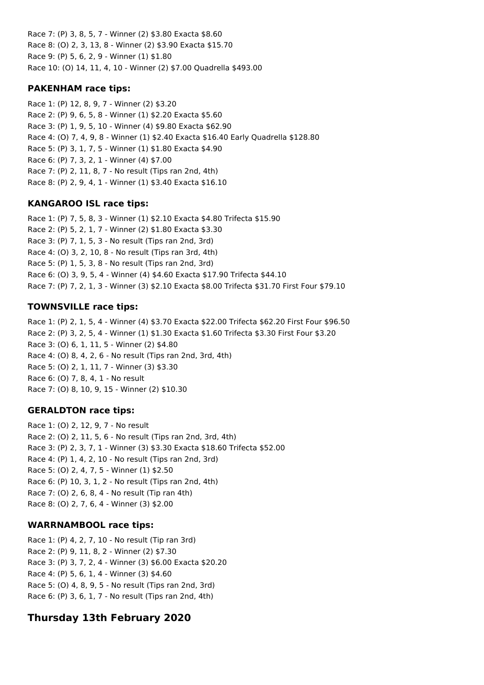Race 7: (P) 3, 8, 5, 7 - Winner (2) \$3.80 Exacta \$8.60 Race 8: (O) 2, 3, 13, 8 - Winner (2) \$3.90 Exacta \$15.70 Race 9: (P) 5, 6, 2, 9 - Winner (1) \$1.80 Race 10: (O) 14, 11, 4, 10 - Winner (2) \$7.00 Quadrella \$493.00

## **PAKENHAM race tips:**

Race 1: (P) 12, 8, 9, 7 - Winner (2) \$3.20 Race 2: (P) 9, 6, 5, 8 - Winner (1) \$2.20 Exacta \$5.60 Race 3: (P) 1, 9, 5, 10 - Winner (4) \$9.80 Exacta \$62.90 Race 4: (O) 7, 4, 9, 8 - Winner (1) \$2.40 Exacta \$16.40 Early Quadrella \$128.80 Race 5: (P) 3, 1, 7, 5 - Winner (1) \$1.80 Exacta \$4.90 Race 6: (P) 7, 3, 2, 1 - Winner (4) \$7.00 Race 7: (P) 2, 11, 8, 7 - No result (Tips ran 2nd, 4th) Race 8: (P) 2, 9, 4, 1 - Winner (1) \$3.40 Exacta \$16.10

## **KANGAROO ISL race tips:**

Race 1: (P) 7, 5, 8, 3 - Winner (1) \$2.10 Exacta \$4.80 Trifecta \$15.90 Race 2: (P) 5, 2, 1, 7 - Winner (2) \$1.80 Exacta \$3.30 Race 3: (P) 7, 1, 5, 3 - No result (Tips ran 2nd, 3rd) Race 4: (O) 3, 2, 10, 8 - No result (Tips ran 3rd, 4th) Race 5: (P) 1, 5, 3, 8 - No result (Tips ran 2nd, 3rd) Race 6: (O) 3, 9, 5, 4 - Winner (4) \$4.60 Exacta \$17.90 Trifecta \$44.10 Race 7: (P) 7, 2, 1, 3 - Winner (3) \$2.10 Exacta \$8.00 Trifecta \$31.70 First Four \$79.10

## **TOWNSVILLE race tips:**

Race 1: (P) 2, 1, 5, 4 - Winner (4) \$3.70 Exacta \$22.00 Trifecta \$62.20 First Four \$96.50 Race 2: (P) 3, 2, 5, 4 - Winner (1) \$1.30 Exacta \$1.60 Trifecta \$3.30 First Four \$3.20 Race 3: (O) 6, 1, 11, 5 - Winner (2) \$4.80 Race 4: (O) 8, 4, 2, 6 - No result (Tips ran 2nd, 3rd, 4th) Race 5: (O) 2, 1, 11, 7 - Winner (3) \$3.30 Race 6: (O) 7, 8, 4, 1 - No result Race 7: (O) 8, 10, 9, 15 - Winner (2) \$10.30

## **GERALDTON race tips:**

Race 1: (O) 2, 12, 9, 7 - No result Race 2: (O) 2, 11, 5, 6 - No result (Tips ran 2nd, 3rd, 4th) Race 3: (P) 2, 3, 7, 1 - Winner (3) \$3.30 Exacta \$18.60 Trifecta \$52.00 Race 4: (P) 1, 4, 2, 10 - No result (Tips ran 2nd, 3rd) Race 5: (O) 2, 4, 7, 5 - Winner (1) \$2.50 Race 6: (P) 10, 3, 1, 2 - No result (Tips ran 2nd, 4th) Race 7: (O) 2, 6, 8, 4 - No result (Tip ran 4th) Race 8: (O) 2, 7, 6, 4 - Winner (3) \$2.00

## **WARRNAMBOOL race tips:**

Race 1: (P) 4, 2, 7, 10 - No result (Tip ran 3rd) Race 2: (P) 9, 11, 8, 2 - Winner (2) \$7.30 Race 3: (P) 3, 7, 2, 4 - Winner (3) \$6.00 Exacta \$20.20 Race 4: (P) 5, 6, 1, 4 - Winner (3) \$4.60 Race 5: (O) 4, 8, 9, 5 - No result (Tips ran 2nd, 3rd) Race 6: (P) 3, 6, 1, 7 - No result (Tips ran 2nd, 4th)

## **Thursday 13th February 2020**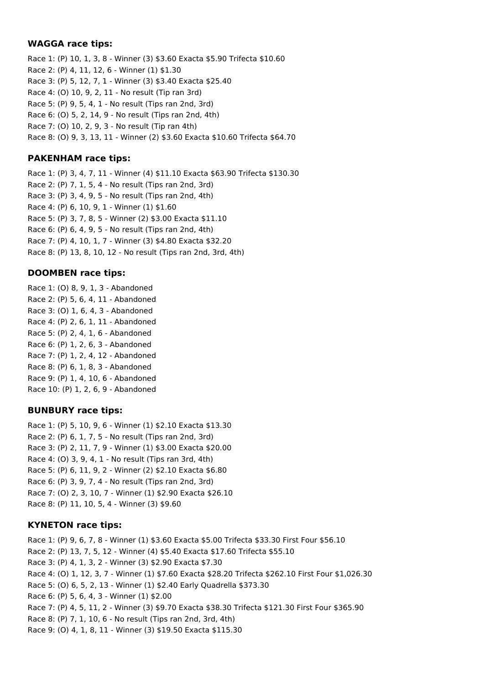### **WAGGA race tips:**

Race 1: (P) 10, 1, 3, 8 - Winner (3) \$3.60 Exacta \$5.90 Trifecta \$10.60 Race 2: (P) 4, 11, 12, 6 - Winner (1) \$1.30 Race 3: (P) 5, 12, 7, 1 - Winner (3) \$3.40 Exacta \$25.40 Race 4: (O) 10, 9, 2, 11 - No result (Tip ran 3rd) Race 5: (P) 9, 5, 4, 1 - No result (Tips ran 2nd, 3rd) Race 6: (O) 5, 2, 14, 9 - No result (Tips ran 2nd, 4th) Race 7: (O) 10, 2, 9, 3 - No result (Tip ran 4th) Race 8: (O) 9, 3, 13, 11 - Winner (2) \$3.60 Exacta \$10.60 Trifecta \$64.70

## **PAKENHAM race tips:**

Race 1: (P) 3, 4, 7, 11 - Winner (4) \$11.10 Exacta \$63.90 Trifecta \$130.30 Race 2: (P) 7, 1, 5, 4 - No result (Tips ran 2nd, 3rd) Race 3: (P) 3, 4, 9, 5 - No result (Tips ran 2nd, 4th) Race 4: (P) 6, 10, 9, 1 - Winner (1) \$1.60 Race 5: (P) 3, 7, 8, 5 - Winner (2) \$3.00 Exacta \$11.10 Race 6: (P) 6, 4, 9, 5 - No result (Tips ran 2nd, 4th) Race 7: (P) 4, 10, 1, 7 - Winner (3) \$4.80 Exacta \$32.20 Race 8: (P) 13, 8, 10, 12 - No result (Tips ran 2nd, 3rd, 4th)

## **DOOMBEN race tips:**

Race 1: (O) 8, 9, 1, 3 - Abandoned Race 2: (P) 5, 6, 4, 11 - Abandoned Race 3: (O) 1, 6, 4, 3 - Abandoned Race 4: (P) 2, 6, 1, 11 - Abandoned Race 5: (P) 2, 4, 1, 6 - Abandoned Race 6: (P) 1, 2, 6, 3 - Abandoned Race 7: (P) 1, 2, 4, 12 - Abandoned Race 8: (P) 6, 1, 8, 3 - Abandoned Race 9: (P) 1, 4, 10, 6 - Abandoned Race 10: (P) 1, 2, 6, 9 - Abandoned

## **BUNBURY race tips:**

Race 1: (P) 5, 10, 9, 6 - Winner (1) \$2.10 Exacta \$13.30 Race 2: (P) 6, 1, 7, 5 - No result (Tips ran 2nd, 3rd) Race 3: (P) 2, 11, 7, 9 - Winner (1) \$3.00 Exacta \$20.00 Race 4: (O) 3, 9, 4, 1 - No result (Tips ran 3rd, 4th) Race 5: (P) 6, 11, 9, 2 - Winner (2) \$2.10 Exacta \$6.80 Race 6: (P) 3, 9, 7, 4 - No result (Tips ran 2nd, 3rd) Race 7: (O) 2, 3, 10, 7 - Winner (1) \$2.90 Exacta \$26.10 Race 8: (P) 11, 10, 5, 4 - Winner (3) \$9.60

## **KYNETON race tips:**

Race 1: (P) 9, 6, 7, 8 - Winner (1) \$3.60 Exacta \$5.00 Trifecta \$33.30 First Four \$56.10 Race 2: (P) 13, 7, 5, 12 - Winner (4) \$5.40 Exacta \$17.60 Trifecta \$55.10 Race 3: (P) 4, 1, 3, 2 - Winner (3) \$2.90 Exacta \$7.30 Race 4: (O) 1, 12, 3, 7 - Winner (1) \$7.60 Exacta \$28.20 Trifecta \$262.10 First Four \$1,026.30 Race 5: (O) 6, 5, 2, 13 - Winner (1) \$2.40 Early Quadrella \$373.30 Race 6: (P) 5, 6, 4, 3 - Winner (1) \$2.00 Race 7: (P) 4, 5, 11, 2 - Winner (3) \$9.70 Exacta \$38.30 Trifecta \$121.30 First Four \$365.90 Race 8: (P) 7, 1, 10, 6 - No result (Tips ran 2nd, 3rd, 4th) Race 9: (O) 4, 1, 8, 11 - Winner (3) \$19.50 Exacta \$115.30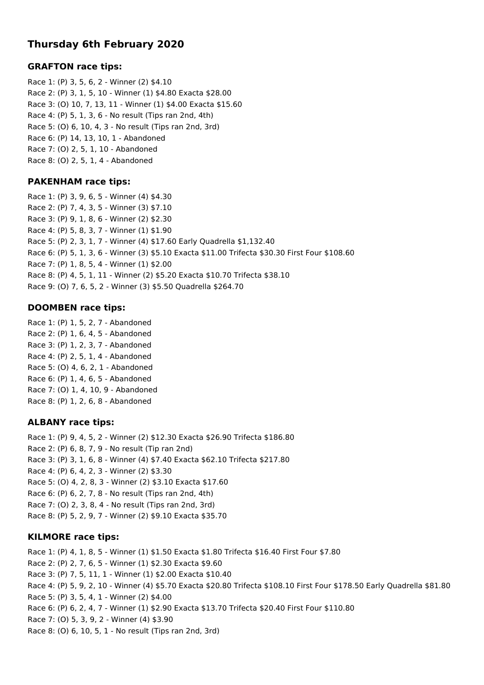# **Thursday 6th February 2020**

### **GRAFTON race tips:**

Race 1: (P) 3, 5, 6, 2 - Winner (2) \$4.10 Race 2: (P) 3, 1, 5, 10 - Winner (1) \$4.80 Exacta \$28.00 Race 3: (O) 10, 7, 13, 11 - Winner (1) \$4.00 Exacta \$15.60 Race 4: (P) 5, 1, 3, 6 - No result (Tips ran 2nd, 4th) Race 5: (O) 6, 10, 4, 3 - No result (Tips ran 2nd, 3rd) Race 6: (P) 14, 13, 10, 1 - Abandoned Race 7: (O) 2, 5, 1, 10 - Abandoned Race 8: (O) 2, 5, 1, 4 - Abandoned

### **PAKENHAM race tips:**

Race 1: (P) 3, 9, 6, 5 - Winner (4) \$4.30 Race 2: (P) 7, 4, 3, 5 - Winner (3) \$7.10 Race 3: (P) 9, 1, 8, 6 - Winner (2) \$2.30 Race 4: (P) 5, 8, 3, 7 - Winner (1) \$1.90 Race 5: (P) 2, 3, 1, 7 - Winner (4) \$17.60 Early Quadrella \$1,132.40 Race 6: (P) 5, 1, 3, 6 - Winner (3) \$5.10 Exacta \$11.00 Trifecta \$30.30 First Four \$108.60 Race 7: (P) 1, 8, 5, 4 - Winner (1) \$2.00 Race 8: (P) 4, 5, 1, 11 - Winner (2) \$5.20 Exacta \$10.70 Trifecta \$38.10 Race 9: (O) 7, 6, 5, 2 - Winner (3) \$5.50 Quadrella \$264.70

## **DOOMBEN race tips:**

Race 1: (P) 1, 5, 2, 7 - Abandoned Race 2: (P) 1, 6, 4, 5 - Abandoned Race 3: (P) 1, 2, 3, 7 - Abandoned Race 4: (P) 2, 5, 1, 4 - Abandoned Race 5: (O) 4, 6, 2, 1 - Abandoned Race 6: (P) 1, 4, 6, 5 - Abandoned Race 7: (O) 1, 4, 10, 9 - Abandoned Race 8: (P) 1, 2, 6, 8 - Abandoned

## **ALBANY race tips:**

Race 1: (P) 9, 4, 5, 2 - Winner (2) \$12.30 Exacta \$26.90 Trifecta \$186.80 Race 2: (P) 6, 8, 7, 9 - No result (Tip ran 2nd) Race 3: (P) 3, 1, 6, 8 - Winner (4) \$7.40 Exacta \$62.10 Trifecta \$217.80 Race 4: (P) 6, 4, 2, 3 - Winner (2) \$3.30 Race 5: (O) 4, 2, 8, 3 - Winner (2) \$3.10 Exacta \$17.60 Race 6: (P) 6, 2, 7, 8 - No result (Tips ran 2nd, 4th) Race 7: (O) 2, 3, 8, 4 - No result (Tips ran 2nd, 3rd) Race 8: (P) 5, 2, 9, 7 - Winner (2) \$9.10 Exacta \$35.70

## **KILMORE race tips:**

Race 1: (P) 4, 1, 8, 5 - Winner (1) \$1.50 Exacta \$1.80 Trifecta \$16.40 First Four \$7.80 Race 2: (P) 2, 7, 6, 5 - Winner (1) \$2.30 Exacta \$9.60 Race 3: (P) 7, 5, 11, 1 - Winner (1) \$2.00 Exacta \$10.40 Race 4: (P) 5, 9, 2, 10 - Winner (4) \$5.70 Exacta \$20.80 Trifecta \$108.10 First Four \$178.50 Early Quadrella \$81.80 Race 5: (P) 3, 5, 4, 1 - Winner (2) \$4.00 Race 6: (P) 6, 2, 4, 7 - Winner (1) \$2.90 Exacta \$13.70 Trifecta \$20.40 First Four \$110.80 Race 7: (O) 5, 3, 9, 2 - Winner (4) \$3.90 Race 8: (O) 6, 10, 5, 1 - No result (Tips ran 2nd, 3rd)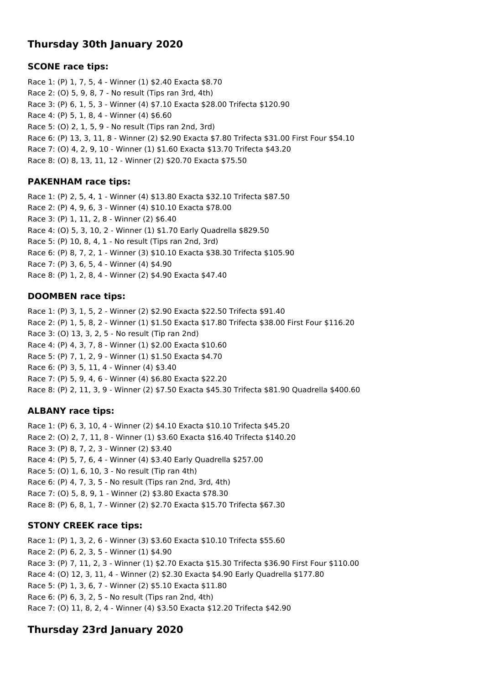# **Thursday 30th January 2020**

## **SCONE race tips:**

Race 1: (P) 1, 7, 5, 4 - Winner (1) \$2.40 Exacta \$8.70 Race 2: (O) 5, 9, 8, 7 - No result (Tips ran 3rd, 4th) Race 3: (P) 6, 1, 5, 3 - Winner (4) \$7.10 Exacta \$28.00 Trifecta \$120.90 Race 4: (P) 5, 1, 8, 4 - Winner (4) \$6.60 Race 5: (O) 2, 1, 5, 9 - No result (Tips ran 2nd, 3rd) Race 6: (P) 13, 3, 11, 8 - Winner (2) \$2.90 Exacta \$7.80 Trifecta \$31.00 First Four \$54.10 Race 7: (O) 4, 2, 9, 10 - Winner (1) \$1.60 Exacta \$13.70 Trifecta \$43.20 Race 8: (O) 8, 13, 11, 12 - Winner (2) \$20.70 Exacta \$75.50

## **PAKENHAM race tips:**

Race 1: (P) 2, 5, 4, 1 - Winner (4) \$13.80 Exacta \$32.10 Trifecta \$87.50 Race 2: (P) 4, 9, 6, 3 - Winner (4) \$10.10 Exacta \$78.00 Race 3: (P) 1, 11, 2, 8 - Winner (2) \$6.40 Race 4: (O) 5, 3, 10, 2 - Winner (1) \$1.70 Early Quadrella \$829.50 Race 5: (P) 10, 8, 4, 1 - No result (Tips ran 2nd, 3rd) Race 6: (P) 8, 7, 2, 1 - Winner (3) \$10.10 Exacta \$38.30 Trifecta \$105.90 Race 7: (P) 3, 6, 5, 4 - Winner (4) \$4.90 Race 8: (P) 1, 2, 8, 4 - Winner (2) \$4.90 Exacta \$47.40

### **DOOMBEN race tips:**

Race 1: (P) 3, 1, 5, 2 - Winner (2) \$2.90 Exacta \$22.50 Trifecta \$91.40 Race 2: (P) 1, 5, 8, 2 - Winner (1) \$1.50 Exacta \$17.80 Trifecta \$38.00 First Four \$116.20 Race 3: (O) 13, 3, 2, 5 - No result (Tip ran 2nd) Race 4: (P) 4, 3, 7, 8 - Winner (1) \$2.00 Exacta \$10.60 Race 5: (P) 7, 1, 2, 9 - Winner (1) \$1.50 Exacta \$4.70 Race 6: (P) 3, 5, 11, 4 - Winner (4) \$3.40 Race 7: (P) 5, 9, 4, 6 - Winner (4) \$6.80 Exacta \$22.20 Race 8: (P) 2, 11, 3, 9 - Winner (2) \$7.50 Exacta \$45.30 Trifecta \$81.90 Quadrella \$400.60

## **ALBANY race tips:**

Race 1: (P) 6, 3, 10, 4 - Winner (2) \$4.10 Exacta \$10.10 Trifecta \$45.20 Race 2: (O) 2, 7, 11, 8 - Winner (1) \$3.60 Exacta \$16.40 Trifecta \$140.20 Race 3: (P) 8, 7, 2, 3 - Winner (2) \$3.40 Race 4: (P) 5, 7, 6, 4 - Winner (4) \$3.40 Early Quadrella \$257.00 Race 5: (O) 1, 6, 10, 3 - No result (Tip ran 4th) Race 6: (P) 4, 7, 3, 5 - No result (Tips ran 2nd, 3rd, 4th) Race 7: (O) 5, 8, 9, 1 - Winner (2) \$3.80 Exacta \$78.30 Race 8: (P) 6, 8, 1, 7 - Winner (2) \$2.70 Exacta \$15.70 Trifecta \$67.30

## **STONY CREEK race tips:**

Race 1: (P) 1, 3, 2, 6 - Winner (3) \$3.60 Exacta \$10.10 Trifecta \$55.60 Race 2: (P) 6, 2, 3, 5 - Winner (1) \$4.90 Race 3: (P) 7, 11, 2, 3 - Winner (1) \$2.70 Exacta \$15.30 Trifecta \$36.90 First Four \$110.00 Race 4: (O) 12, 3, 11, 4 - Winner (2) \$2.30 Exacta \$4.90 Early Quadrella \$177.80 Race 5: (P) 1, 3, 6, 7 - Winner (2) \$5.10 Exacta \$11.80 Race 6: (P) 6, 3, 2, 5 - No result (Tips ran 2nd, 4th) Race 7: (O) 11, 8, 2, 4 - Winner (4) \$3.50 Exacta \$12.20 Trifecta \$42.90

## **Thursday 23rd January 2020**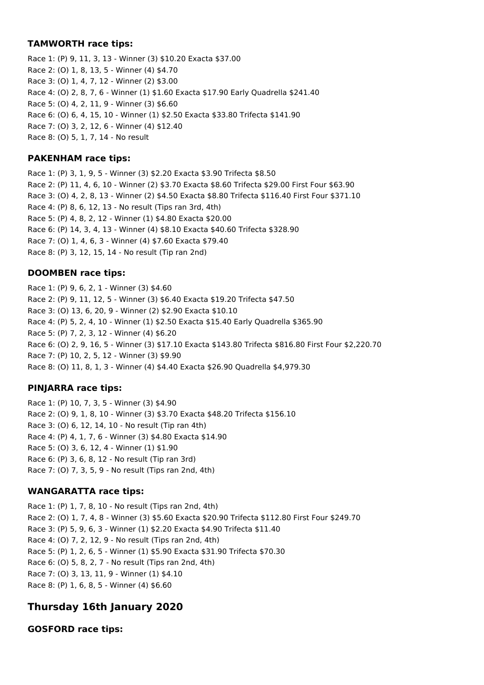## **TAMWORTH race tips:**

Race 1: (P) 9, 11, 3, 13 - Winner (3) \$10.20 Exacta \$37.00 Race 2: (O) 1, 8, 13, 5 - Winner (4) \$4.70 Race 3: (O) 1, 4, 7, 12 - Winner (2) \$3.00 Race 4: (O) 2, 8, 7, 6 - Winner (1) \$1.60 Exacta \$17.90 Early Quadrella \$241.40 Race 5: (O) 4, 2, 11, 9 - Winner (3) \$6.60 Race 6: (O) 6, 4, 15, 10 - Winner (1) \$2.50 Exacta \$33.80 Trifecta \$141.90 Race 7: (O) 3, 2, 12, 6 - Winner (4) \$12.40 Race 8: (O) 5, 1, 7, 14 - No result

### **PAKENHAM race tips:**

Race 1: (P) 3, 1, 9, 5 - Winner (3) \$2.20 Exacta \$3.90 Trifecta \$8.50 Race 2: (P) 11, 4, 6, 10 - Winner (2) \$3.70 Exacta \$8.60 Trifecta \$29.00 First Four \$63.90 Race 3: (O) 4, 2, 8, 13 - Winner (2) \$4.50 Exacta \$8.80 Trifecta \$116.40 First Four \$371.10 Race 4: (P) 8, 6, 12, 13 - No result (Tips ran 3rd, 4th) Race 5: (P) 4, 8, 2, 12 - Winner (1) \$4.80 Exacta \$20.00 Race 6: (P) 14, 3, 4, 13 - Winner (4) \$8.10 Exacta \$40.60 Trifecta \$328.90 Race 7: (O) 1, 4, 6, 3 - Winner (4) \$7.60 Exacta \$79.40 Race 8: (P) 3, 12, 15, 14 - No result (Tip ran 2nd)

## **DOOMBEN race tips:**

Race 1: (P) 9, 6, 2, 1 - Winner (3) \$4.60 Race 2: (P) 9, 11, 12, 5 - Winner (3) \$6.40 Exacta \$19.20 Trifecta \$47.50 Race 3: (O) 13, 6, 20, 9 - Winner (2) \$2.90 Exacta \$10.10 Race 4: (P) 5, 2, 4, 10 - Winner (1) \$2.50 Exacta \$15.40 Early Quadrella \$365.90 Race 5: (P) 7, 2, 3, 12 - Winner (4) \$6.20 Race 6: (O) 2, 9, 16, 5 - Winner (3) \$17.10 Exacta \$143.80 Trifecta \$816.80 First Four \$2,220.70 Race 7: (P) 10, 2, 5, 12 - Winner (3) \$9.90 Race 8: (O) 11, 8, 1, 3 - Winner (4) \$4.40 Exacta \$26.90 Quadrella \$4,979.30

## **PINJARRA race tips:**

Race 1: (P) 10, 7, 3, 5 - Winner (3) \$4.90 Race 2: (O) 9, 1, 8, 10 - Winner (3) \$3.70 Exacta \$48.20 Trifecta \$156.10 Race 3: (O) 6, 12, 14, 10 - No result (Tip ran 4th) Race 4: (P) 4, 1, 7, 6 - Winner (3) \$4.80 Exacta \$14.90 Race 5: (O) 3, 6, 12, 4 - Winner (1) \$1.90 Race 6: (P) 3, 6, 8, 12 - No result (Tip ran 3rd) Race 7: (O) 7, 3, 5, 9 - No result (Tips ran 2nd, 4th)

## **WANGARATTA race tips:**

Race 1: (P) 1, 7, 8, 10 - No result (Tips ran 2nd, 4th) Race 2: (O) 1, 7, 4, 8 - Winner (3) \$5.60 Exacta \$20.90 Trifecta \$112.80 First Four \$249.70 Race 3: (P) 5, 9, 6, 3 - Winner (1) \$2.20 Exacta \$4.90 Trifecta \$11.40 Race 4: (O) 7, 2, 12, 9 - No result (Tips ran 2nd, 4th) Race 5: (P) 1, 2, 6, 5 - Winner (1) \$5.90 Exacta \$31.90 Trifecta \$70.30 Race 6: (O) 5, 8, 2, 7 - No result (Tips ran 2nd, 4th) Race 7: (O) 3, 13, 11, 9 - Winner (1) \$4.10 Race 8: (P) 1, 6, 8, 5 - Winner (4) \$6.60

## **Thursday 16th January 2020**

**GOSFORD race tips:**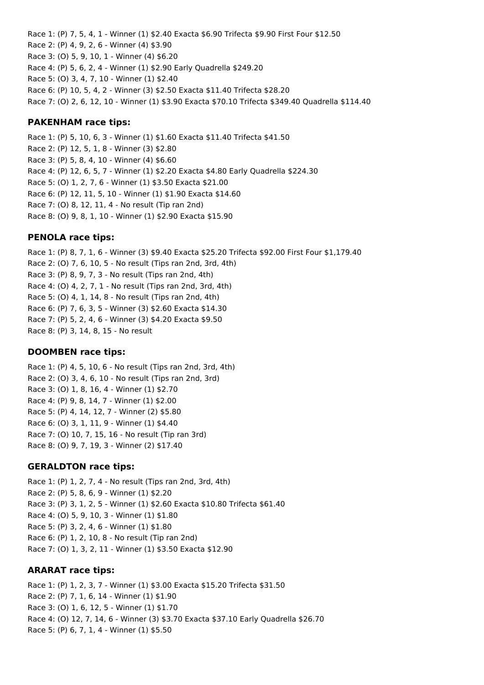Race 1: (P) 7, 5, 4, 1 - Winner (1) \$2.40 Exacta \$6.90 Trifecta \$9.90 First Four \$12.50 Race 2: (P) 4, 9, 2, 6 - Winner (4) \$3.90 Race 3: (O) 5, 9, 10, 1 - Winner (4) \$6.20 Race 4: (P) 5, 6, 2, 4 - Winner (1) \$2.90 Early Quadrella \$249.20 Race 5: (O) 3, 4, 7, 10 - Winner (1) \$2.40 Race 6: (P) 10, 5, 4, 2 - Winner (3) \$2.50 Exacta \$11.40 Trifecta \$28.20 Race 7: (O) 2, 6, 12, 10 - Winner (1) \$3.90 Exacta \$70.10 Trifecta \$349.40 Quadrella \$114.40

#### **PAKENHAM race tips:**

Race 1: (P) 5, 10, 6, 3 - Winner (1) \$1.60 Exacta \$11.40 Trifecta \$41.50 Race 2: (P) 12, 5, 1, 8 - Winner (3) \$2.80 Race 3: (P) 5, 8, 4, 10 - Winner (4) \$6.60 Race 4: (P) 12, 6, 5, 7 - Winner (1) \$2.20 Exacta \$4.80 Early Quadrella \$224.30 Race 5: (O) 1, 2, 7, 6 - Winner (1) \$3.50 Exacta \$21.00 Race 6: (P) 12, 11, 5, 10 - Winner (1) \$1.90 Exacta \$14.60 Race 7: (O) 8, 12, 11, 4 - No result (Tip ran 2nd) Race 8: (O) 9, 8, 1, 10 - Winner (1) \$2.90 Exacta \$15.90

### **PENOLA race tips:**

Race 1: (P) 8, 7, 1, 6 - Winner (3) \$9.40 Exacta \$25.20 Trifecta \$92.00 First Four \$1,179.40 Race 2: (O) 7, 6, 10, 5 - No result (Tips ran 2nd, 3rd, 4th) Race 3: (P) 8, 9, 7, 3 - No result (Tips ran 2nd, 4th) Race 4: (O) 4, 2, 7, 1 - No result (Tips ran 2nd, 3rd, 4th) Race 5: (O) 4, 1, 14, 8 - No result (Tips ran 2nd, 4th) Race 6: (P) 7, 6, 3, 5 - Winner (3) \$2.60 Exacta \$14.30 Race 7: (P) 5, 2, 4, 6 - Winner (3) \$4.20 Exacta \$9.50 Race 8: (P) 3, 14, 8, 15 - No result

## **DOOMBEN race tips:**

Race 1: (P) 4, 5, 10, 6 - No result (Tips ran 2nd, 3rd, 4th) Race 2: (O) 3, 4, 6, 10 - No result (Tips ran 2nd, 3rd) Race 3: (O) 1, 8, 16, 4 - Winner (1) \$2.70 Race 4: (P) 9, 8, 14, 7 - Winner (1) \$2.00 Race 5: (P) 4, 14, 12, 7 - Winner (2) \$5.80 Race 6: (O) 3, 1, 11, 9 - Winner (1) \$4.40 Race 7: (O) 10, 7, 15, 16 - No result (Tip ran 3rd) Race 8: (O) 9, 7, 19, 3 - Winner (2) \$17.40

#### **GERALDTON race tips:**

Race 1: (P) 1, 2, 7, 4 - No result (Tips ran 2nd, 3rd, 4th) Race 2: (P) 5, 8, 6, 9 - Winner (1) \$2.20 Race 3: (P) 3, 1, 2, 5 - Winner (1) \$2.60 Exacta \$10.80 Trifecta \$61.40 Race 4: (O) 5, 9, 10, 3 - Winner (1) \$1.80 Race 5: (P) 3, 2, 4, 6 - Winner (1) \$1.80 Race 6: (P) 1, 2, 10, 8 - No result (Tip ran 2nd) Race 7: (O) 1, 3, 2, 11 - Winner (1) \$3.50 Exacta \$12.90

#### **ARARAT race tips:**

Race 1: (P) 1, 2, 3, 7 - Winner (1) \$3.00 Exacta \$15.20 Trifecta \$31.50 Race 2: (P) 7, 1, 6, 14 - Winner (1) \$1.90 Race 3: (O) 1, 6, 12, 5 - Winner (1) \$1.70 Race 4: (O) 12, 7, 14, 6 - Winner (3) \$3.70 Exacta \$37.10 Early Quadrella \$26.70 Race 5: (P) 6, 7, 1, 4 - Winner (1) \$5.50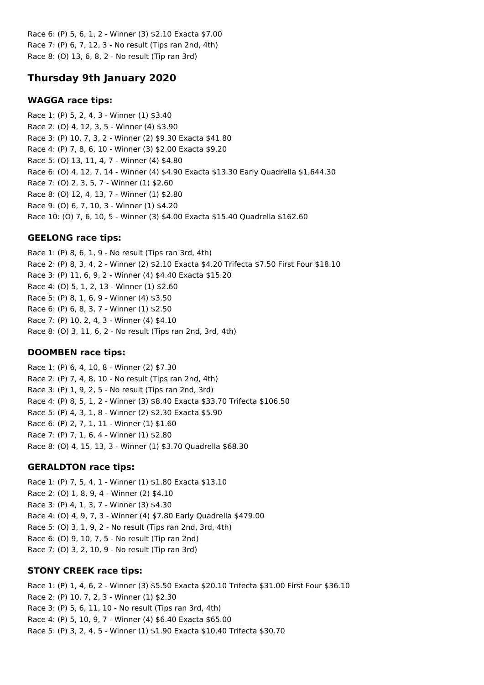Race 6: (P) 5, 6, 1, 2 - Winner (3) \$2.10 Exacta \$7.00 Race 7: (P) 6, 7, 12, 3 - No result (Tips ran 2nd, 4th) Race 8: (O) 13, 6, 8, 2 - No result (Tip ran 3rd)

## **Thursday 9th January 2020**

#### **WAGGA race tips:**

Race 1: (P) 5, 2, 4, 3 - Winner (1) \$3.40 Race 2: (O) 4, 12, 3, 5 - Winner (4) \$3.90 Race 3: (P) 10, 7, 3, 2 - Winner (2) \$9.30 Exacta \$41.80 Race 4: (P) 7, 8, 6, 10 - Winner (3) \$2.00 Exacta \$9.20 Race 5: (O) 13, 11, 4, 7 - Winner (4) \$4.80 Race 6: (O) 4, 12, 7, 14 - Winner (4) \$4.90 Exacta \$13.30 Early Quadrella \$1,644.30 Race 7: (O) 2, 3, 5, 7 - Winner (1) \$2.60 Race 8: (O) 12, 4, 13, 7 - Winner (1) \$2.80 Race 9: (O) 6, 7, 10, 3 - Winner (1) \$4.20 Race 10: (O) 7, 6, 10, 5 - Winner (3) \$4.00 Exacta \$15.40 Quadrella \$162.60

## **GEELONG race tips:**

Race 1: (P) 8, 6, 1, 9 - No result (Tips ran 3rd, 4th) Race 2: (P) 8, 3, 4, 2 - Winner (2) \$2.10 Exacta \$4.20 Trifecta \$7.50 First Four \$18.10 Race 3: (P) 11, 6, 9, 2 - Winner (4) \$4.40 Exacta \$15.20 Race 4: (O) 5, 1, 2, 13 - Winner (1) \$2.60 Race 5: (P) 8, 1, 6, 9 - Winner (4) \$3.50 Race 6: (P) 6, 8, 3, 7 - Winner (1) \$2.50 Race 7: (P) 10, 2, 4, 3 - Winner (4) \$4.10 Race 8: (O) 3, 11, 6, 2 - No result (Tips ran 2nd, 3rd, 4th)

## **DOOMBEN race tips:**

Race 1: (P) 6, 4, 10, 8 - Winner (2) \$7.30 Race 2: (P) 7, 4, 8, 10 - No result (Tips ran 2nd, 4th) Race 3: (P) 1, 9, 2, 5 - No result (Tips ran 2nd, 3rd) Race 4: (P) 8, 5, 1, 2 - Winner (3) \$8.40 Exacta \$33.70 Trifecta \$106.50 Race 5: (P) 4, 3, 1, 8 - Winner (2) \$2.30 Exacta \$5.90 Race 6: (P) 2, 7, 1, 11 - Winner (1) \$1.60 Race 7: (P) 7, 1, 6, 4 - Winner (1) \$2.80 Race 8: (O) 4, 15, 13, 3 - Winner (1) \$3.70 Quadrella \$68.30

## **GERALDTON race tips:**

Race 1: (P) 7, 5, 4, 1 - Winner (1) \$1.80 Exacta \$13.10 Race 2: (O) 1, 8, 9, 4 - Winner (2) \$4.10 Race 3: (P) 4, 1, 3, 7 - Winner (3) \$4.30 Race 4: (O) 4, 9, 7, 3 - Winner (4) \$7.80 Early Quadrella \$479.00 Race 5: (O) 3, 1, 9, 2 - No result (Tips ran 2nd, 3rd, 4th) Race 6: (O) 9, 10, 7, 5 - No result (Tip ran 2nd) Race 7: (O) 3, 2, 10, 9 - No result (Tip ran 3rd)

## **STONY CREEK race tips:**

Race 1: (P) 1, 4, 6, 2 - Winner (3) \$5.50 Exacta \$20.10 Trifecta \$31.00 First Four \$36.10 Race 2: (P) 10, 7, 2, 3 - Winner (1) \$2.30 Race 3: (P) 5, 6, 11, 10 - No result (Tips ran 3rd, 4th) Race 4: (P) 5, 10, 9, 7 - Winner (4) \$6.40 Exacta \$65.00 Race 5: (P) 3, 2, 4, 5 - Winner (1) \$1.90 Exacta \$10.40 Trifecta \$30.70